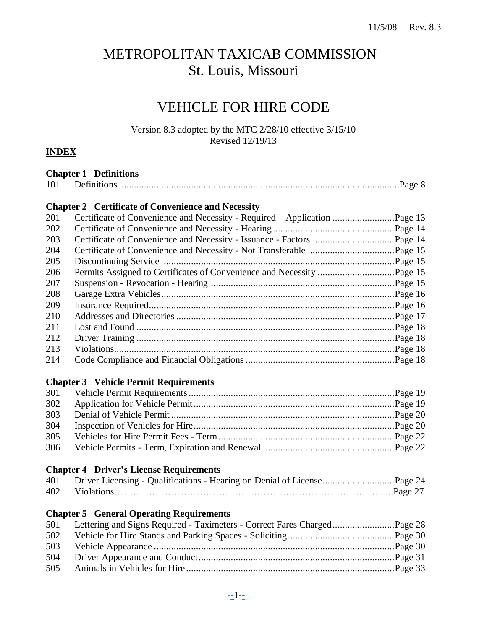# METROPOLITAN TAXICAB COMMISSION St. Louis, Missouri

# VEHICLE FOR HIRE CODE

Version 8.3 adopted by the MTC 2/28/10 effective 3/15/10 Revised 12/19/13

# **INDEX**

|     | <b>Chapter 1 Definitions</b>                                                 |  |
|-----|------------------------------------------------------------------------------|--|
| 101 |                                                                              |  |
|     | <b>Chapter 2 Certificate of Convenience and Necessity</b>                    |  |
| 201 | Certificate of Convenience and Necessity - Required - Application Page 13    |  |
| 202 |                                                                              |  |
| 203 |                                                                              |  |
| 204 |                                                                              |  |
| 205 |                                                                              |  |
| 206 |                                                                              |  |
| 207 |                                                                              |  |
| 208 |                                                                              |  |
| 209 |                                                                              |  |
| 210 |                                                                              |  |
| 211 |                                                                              |  |
| 212 |                                                                              |  |
| 213 |                                                                              |  |
| 214 |                                                                              |  |
|     |                                                                              |  |
|     | <b>Chapter 3 Vehicle Permit Requirements</b>                                 |  |
| 301 |                                                                              |  |
| 302 |                                                                              |  |
| 303 |                                                                              |  |
| 304 |                                                                              |  |
| 305 |                                                                              |  |
| 306 |                                                                              |  |
|     | <b>Chapter 4 Driver's License Requirements</b>                               |  |
| 401 | Driver Licensing - Qualifications - Hearing on Denial of LicensePage 24      |  |
| 402 |                                                                              |  |
|     |                                                                              |  |
|     | <b>Chapter 5 General Operating Requirements</b>                              |  |
|     | 501 Lettering and Signs Required - Taximeters - Correct Fares ChargedPage 28 |  |
| 502 |                                                                              |  |
| 503 |                                                                              |  |
| 504 |                                                                              |  |
| 505 |                                                                              |  |
|     |                                                                              |  |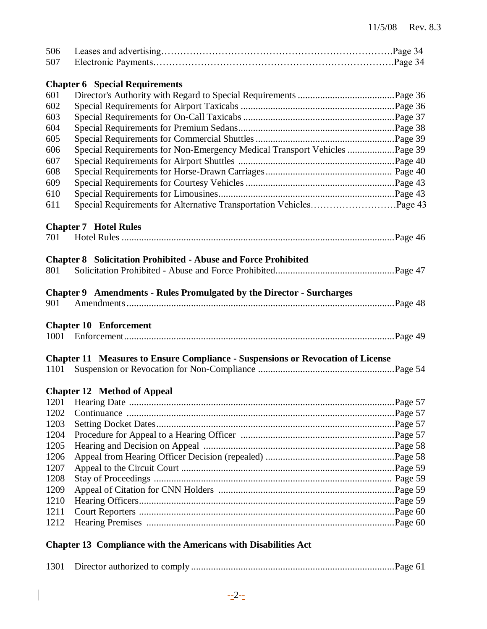| 506  |                                                                                        |  |
|------|----------------------------------------------------------------------------------------|--|
| 507  |                                                                                        |  |
|      |                                                                                        |  |
|      | <b>Chapter 6</b> Special Requirements                                                  |  |
| 601  |                                                                                        |  |
| 602  |                                                                                        |  |
| 603  |                                                                                        |  |
| 604  |                                                                                        |  |
| 605  |                                                                                        |  |
| 606  | Special Requirements for Non-Emergency Medical Transport Vehicles Page 39              |  |
| 607  |                                                                                        |  |
| 608  |                                                                                        |  |
| 609  |                                                                                        |  |
| 610  |                                                                                        |  |
| 611  |                                                                                        |  |
|      |                                                                                        |  |
|      | <b>Chapter 7 Hotel Rules</b>                                                           |  |
| 701  |                                                                                        |  |
|      |                                                                                        |  |
|      | <b>Chapter 8 Solicitation Prohibited - Abuse and Force Prohibited</b>                  |  |
| 801  |                                                                                        |  |
|      |                                                                                        |  |
|      | Chapter 9 Amendments - Rules Promulgated by the Director - Surcharges                  |  |
| 901  |                                                                                        |  |
|      |                                                                                        |  |
|      | <b>Chapter 10 Enforcement</b>                                                          |  |
|      |                                                                                        |  |
|      |                                                                                        |  |
|      | <b>Chapter 11 Measures to Ensure Compliance - Suspensions or Revocation of License</b> |  |
| 1101 |                                                                                        |  |
|      |                                                                                        |  |
|      | <b>Chapter 12 Method of Appeal</b>                                                     |  |
| 1201 |                                                                                        |  |
| 1202 |                                                                                        |  |
| 1203 |                                                                                        |  |
| 1204 |                                                                                        |  |
| 1205 |                                                                                        |  |
| 1206 |                                                                                        |  |
| 1207 |                                                                                        |  |
| 1208 |                                                                                        |  |
| 1209 |                                                                                        |  |
| 1210 |                                                                                        |  |
| 1211 |                                                                                        |  |
| 1212 |                                                                                        |  |
|      |                                                                                        |  |
|      | <b>Chapter 13 Compliance with the Americans with Disabilities Act</b>                  |  |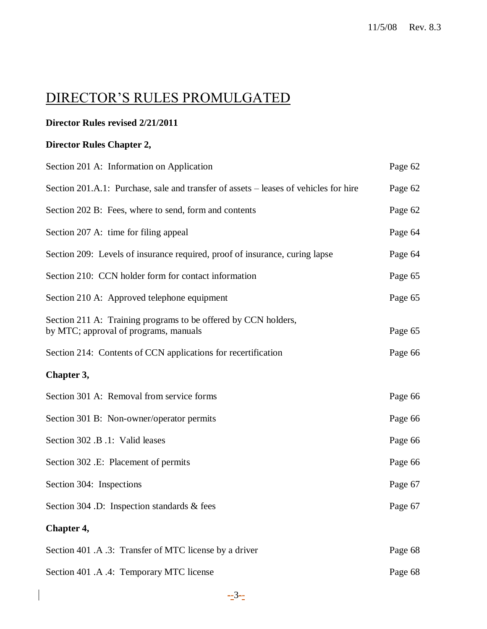# DIRECTOR'S RULES PROMULGATED

# **Director Rules revised 2/21/2011**

# **Director Rules Chapter 2,**

| Section 201 A: Information on Application                                                               | Page 62 |
|---------------------------------------------------------------------------------------------------------|---------|
| Section 201.A.1: Purchase, sale and transfer of assets – leases of vehicles for hire                    | Page 62 |
| Section 202 B: Fees, where to send, form and contents                                                   | Page 62 |
| Section 207 A: time for filing appeal                                                                   | Page 64 |
| Section 209: Levels of insurance required, proof of insurance, curing lapse                             | Page 64 |
| Section 210: CCN holder form for contact information                                                    | Page 65 |
| Section 210 A: Approved telephone equipment                                                             | Page 65 |
| Section 211 A: Training programs to be offered by CCN holders,<br>by MTC; approval of programs, manuals | Page 65 |
| Section 214: Contents of CCN applications for recertification                                           | Page 66 |
| Chapter 3,                                                                                              |         |
| Section 301 A: Removal from service forms                                                               | Page 66 |
| Section 301 B: Non-owner/operator permits                                                               | Page 66 |
| Section 302 .B .1: Valid leases                                                                         | Page 66 |
| Section 302 .E: Placement of permits                                                                    | Page 66 |
| Section 304: Inspections                                                                                | Page 67 |
| Section 304 .D: Inspection standards & fees                                                             | Page 67 |
| Chapter 4,                                                                                              |         |
| Section 401 .A .3: Transfer of MTC license by a driver                                                  | Page 68 |
| Section 401 .A .4: Temporary MTC license                                                                | Page 68 |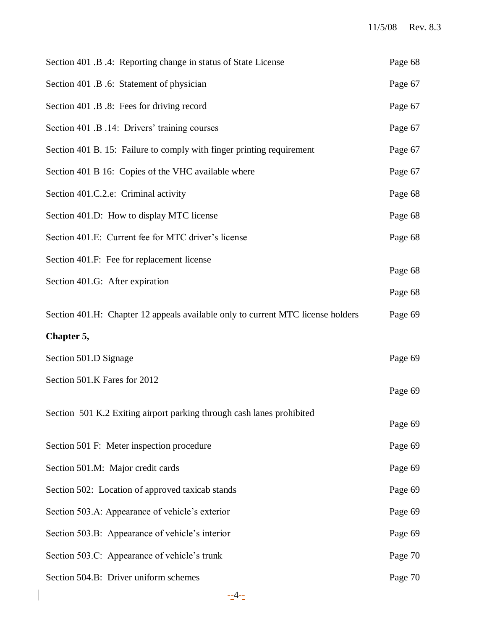| Section 401 .B .4: Reporting change in status of State License                  | Page 68 |
|---------------------------------------------------------------------------------|---------|
| Section 401 .B .6: Statement of physician                                       | Page 67 |
| Section 401 .B .8: Fees for driving record                                      | Page 67 |
| Section 401 .B .14: Drivers' training courses                                   | Page 67 |
| Section 401 B. 15: Failure to comply with finger printing requirement           | Page 67 |
| Section 401 B 16: Copies of the VHC available where                             | Page 67 |
| Section 401.C.2.e: Criminal activity                                            | Page 68 |
| Section 401.D: How to display MTC license                                       | Page 68 |
| Section 401.E: Current fee for MTC driver's license                             | Page 68 |
| Section 401.F: Fee for replacement license                                      | Page 68 |
| Section 401.G: After expiration                                                 | Page 68 |
| Section 401.H: Chapter 12 appeals available only to current MTC license holders | Page 69 |
| Chapter 5,                                                                      |         |
| Section 501.D Signage                                                           | Page 69 |
| Section 501.K Fares for 2012                                                    | Page 69 |
| Section 501 K.2 Exiting airport parking through cash lanes prohibited           | Page 69 |
| Section 501 F: Meter inspection procedure                                       | Page 69 |
| Section 501.M: Major credit cards                                               | Page 69 |
| Section 502: Location of approved taxicab stands                                | Page 69 |
| Section 503.A: Appearance of vehicle's exterior                                 | Page 69 |
| Section 503.B: Appearance of vehicle's interior                                 | Page 69 |
| Section 503.C: Appearance of vehicle's trunk                                    | Page 70 |
| Section 504.B: Driver uniform schemes                                           | Page 70 |
|                                                                                 |         |

 $\begin{array}{c} \hline \end{array}$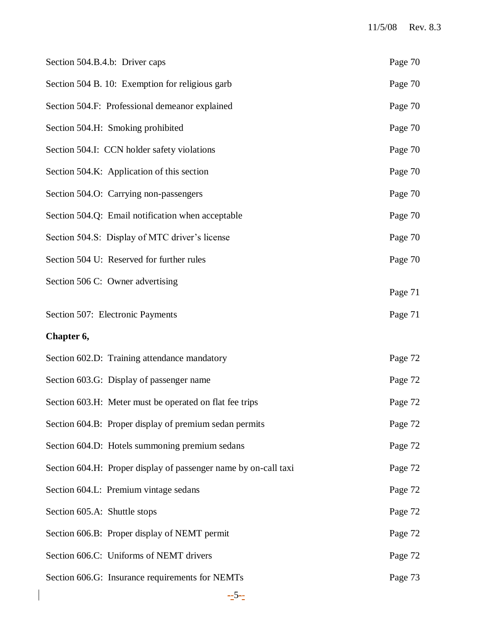| Section 504.B.4.b: Driver caps                                  | Page 70 |
|-----------------------------------------------------------------|---------|
| Section 504 B. 10: Exemption for religious garb                 | Page 70 |
| Section 504.F: Professional demeanor explained                  | Page 70 |
| Section 504.H: Smoking prohibited                               | Page 70 |
| Section 504.I: CCN holder safety violations                     | Page 70 |
| Section 504.K: Application of this section                      | Page 70 |
| Section 504.O: Carrying non-passengers                          | Page 70 |
| Section 504.Q: Email notification when acceptable               | Page 70 |
| Section 504.S: Display of MTC driver's license                  | Page 70 |
| Section 504 U: Reserved for further rules                       | Page 70 |
| Section 506 C: Owner advertising                                | Page 71 |
| Section 507: Electronic Payments                                | Page 71 |
| Chapter 6,                                                      |         |
| Section 602.D: Training attendance mandatory                    | Page 72 |
| Section 603.G: Display of passenger name                        | Page 72 |
| Section 603.H: Meter must be operated on flat fee trips         | Page 72 |
| Section 604.B: Proper display of premium sedan permits          | Page 72 |
| Section 604.D: Hotels summoning premium sedans                  | Page 72 |
| Section 604.H: Proper display of passenger name by on-call taxi | Page 72 |
| Section 604.L: Premium vintage sedans                           | Page 72 |
| Section 605.A: Shuttle stops                                    | Page 72 |
| Section 606.B: Proper display of NEMT permit                    | Page 72 |
| Section 606.C: Uniforms of NEMT drivers                         | Page 72 |
| Section 606.G: Insurance requirements for NEMTs                 | Page 73 |
|                                                                 |         |

 $\overline{\phantom{a}}$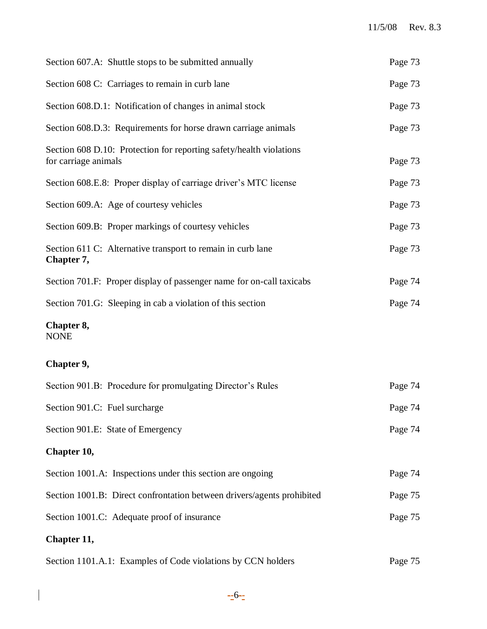| Section 607.A: Shuttle stops to be submitted annually                                       | Page 73 |
|---------------------------------------------------------------------------------------------|---------|
| Section 608 C: Carriages to remain in curb lane                                             | Page 73 |
| Section 608.D.1: Notification of changes in animal stock                                    | Page 73 |
| Section 608.D.3: Requirements for horse drawn carriage animals                              | Page 73 |
| Section 608 D.10: Protection for reporting safety/health violations<br>for carriage animals | Page 73 |
| Section 608.E.8: Proper display of carriage driver's MTC license                            | Page 73 |
| Section 609.A: Age of courtesy vehicles                                                     | Page 73 |
| Section 609.B: Proper markings of courtesy vehicles                                         | Page 73 |
| Section 611 C: Alternative transport to remain in curb lane<br>Chapter 7,                   | Page 73 |
| Section 701.F: Proper display of passenger name for on-call taxicabs                        | Page 74 |
| Section 701.G: Sleeping in cab a violation of this section                                  | Page 74 |
| Chapter 8,<br><b>NONE</b>                                                                   |         |
| Chapter 9,                                                                                  |         |
| Section 901.B: Procedure for promulgating Director's Rules                                  | Page 74 |
| Section 901.C: Fuel surcharge                                                               | Page 74 |
| Section 901.E: State of Emergency                                                           | Page 74 |
| Chapter 10,                                                                                 |         |
| Section 1001.A: Inspections under this section are ongoing                                  | Page 74 |
| Section 1001.B: Direct confrontation between drivers/agents prohibited                      | Page 75 |
| Section 1001.C: Adequate proof of insurance                                                 | Page 75 |
| Chapter 11,                                                                                 |         |
| Section 1101.A.1: Examples of Code violations by CCN holders                                | Page 75 |

 $\overline{\phantom{a}}$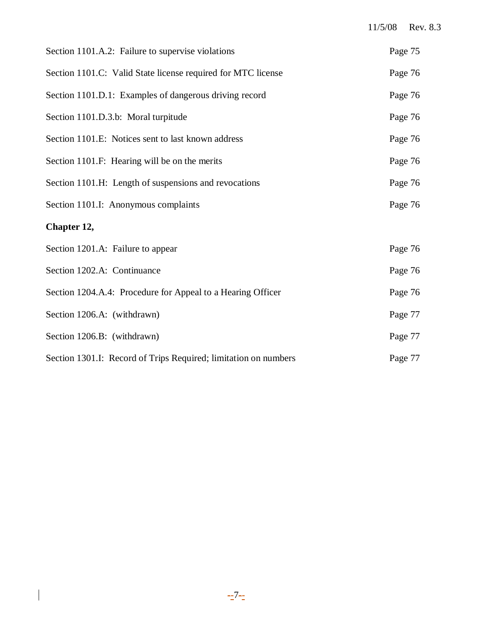| Section 1101.A.2: Failure to supervise violations               | Page 75 |
|-----------------------------------------------------------------|---------|
| Section 1101.C: Valid State license required for MTC license    | Page 76 |
| Section 1101.D.1: Examples of dangerous driving record          | Page 76 |
| Section 1101.D.3.b: Moral turpitude                             | Page 76 |
| Section 1101.E: Notices sent to last known address              | Page 76 |
| Section 1101.F: Hearing will be on the merits                   | Page 76 |
| Section 1101.H: Length of suspensions and revocations           | Page 76 |
| Section 1101.I: Anonymous complaints                            | Page 76 |
| Chapter 12,                                                     |         |
| Section 1201.A: Failure to appear                               | Page 76 |
| Section 1202.A: Continuance                                     | Page 76 |
| Section 1204.A.4: Procedure for Appeal to a Hearing Officer     | Page 76 |
| Section 1206.A: (withdrawn)                                     | Page 77 |
| Section 1206.B: (withdrawn)                                     | Page 77 |
| Section 1301.I: Record of Trips Required; limitation on numbers | Page 77 |

 $\begin{array}{c} \hline \end{array}$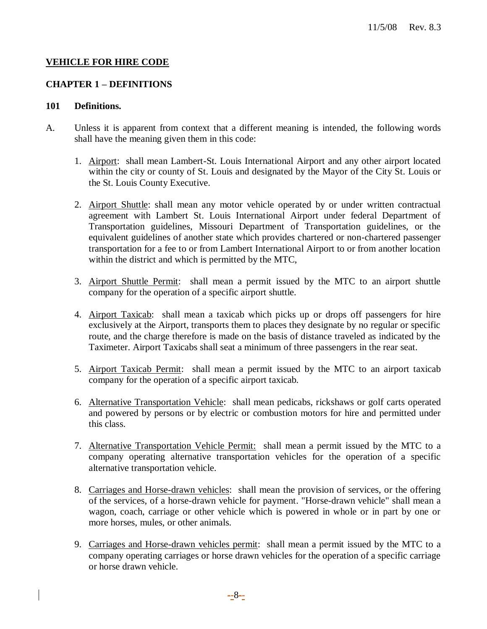#### **VEHICLE FOR HIRE CODE**

#### **CHAPTER 1 – DEFINITIONS**

#### **101 Definitions.**

- A. Unless it is apparent from context that a different meaning is intended, the following words shall have the meaning given them in this code:
	- 1. Airport: shall mean Lambert-St. Louis International Airport and any other airport located within the city or county of St. Louis and designated by the Mayor of the City St. Louis or the St. Louis County Executive.
	- 2. Airport Shuttle: shall mean any motor vehicle operated by or under written contractual agreement with Lambert St. Louis International Airport under federal Department of Transportation guidelines, Missouri Department of Transportation guidelines, or the equivalent guidelines of another state which provides chartered or non-chartered passenger transportation for a fee to or from Lambert International Airport to or from another location within the district and which is permitted by the MTC,
	- 3. Airport Shuttle Permit:shall mean a permit issued by the MTC to an airport shuttle company for the operation of a specific airport shuttle.
	- 4. Airport Taxicab: shall mean a taxicab which picks up or drops off passengers for hire exclusively at the Airport, transports them to places they designate by no regular or specific route, and the charge therefore is made on the basis of distance traveled as indicated by the Taximeter. Airport Taxicabs shall seat a minimum of three passengers in the rear seat.
	- 5. Airport Taxicab Permit: shall mean a permit issued by the MTC to an airport taxicab company for the operation of a specific airport taxicab.
	- 6. Alternative Transportation Vehicle: shall mean pedicabs, rickshaws or golf carts operated and powered by persons or by electric or combustion motors for hire and permitted under this class.
	- 7. Alternative Transportation Vehicle Permit: shall mean a permit issued by the MTC to a company operating alternative transportation vehicles for the operation of a specific alternative transportation vehicle.
	- 8. Carriages and Horse-drawn vehicles: shall mean the provision of services, or the offering of the services, of a horse-drawn vehicle for payment. "Horse-drawn vehicle" shall mean a wagon, coach, carriage or other vehicle which is powered in whole or in part by one or more horses, mules, or other animals.
	- 9. Carriages and Horse-drawn vehicles permit: shall mean a permit issued by the MTC to a company operating carriages or horse drawn vehicles for the operation of a specific carriage or horse drawn vehicle.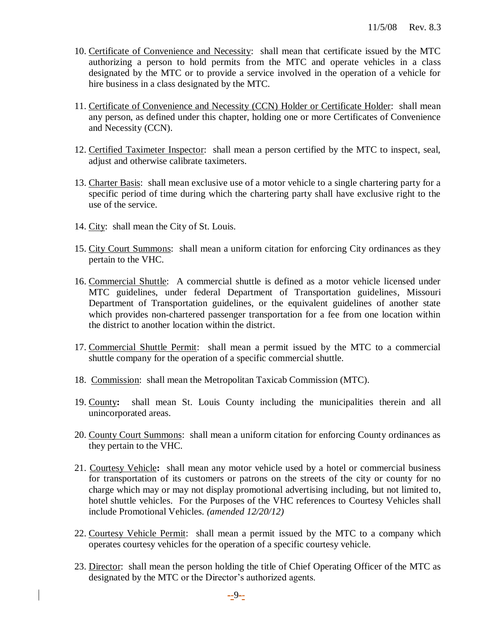- 10. Certificate of Convenience and Necessity: shall mean that certificate issued by the MTC authorizing a person to hold permits from the MTC and operate vehicles in a class designated by the MTC or to provide a service involved in the operation of a vehicle for hire business in a class designated by the MTC.
- 11. Certificate of Convenience and Necessity (CCN) Holder or Certificate Holder: shall mean any person, as defined under this chapter, holding one or more Certificates of Convenience and Necessity (CCN).
- 12. Certified Taximeter Inspector: shall mean a person certified by the MTC to inspect, seal, adjust and otherwise calibrate taximeters.
- 13. Charter Basis: shall mean exclusive use of a motor vehicle to a single chartering party for a specific period of time during which the chartering party shall have exclusive right to the use of the service.
- 14. City: shall mean the City of St. Louis.
- 15. City Court Summons: shall mean a uniform citation for enforcing City ordinances as they pertain to the VHC.
- 16. Commercial Shuttle: A commercial shuttle is defined as a motor vehicle licensed under MTC guidelines, under federal Department of Transportation guidelines, Missouri Department of Transportation guidelines, or the equivalent guidelines of another state which provides non-chartered passenger transportation for a fee from one location within the district to another location within the district.
- 17. Commercial Shuttle Permit: shall mean a permit issued by the MTC to a commercial shuttle company for the operation of a specific commercial shuttle.
- 18. Commission: shall mean the Metropolitan Taxicab Commission (MTC).
- 19. County**:** shall mean St. Louis County including the municipalities therein and all unincorporated areas.
- 20. County Court Summons: shall mean a uniform citation for enforcing County ordinances as they pertain to the VHC.
- 21. Courtesy Vehicle**:** shall mean any motor vehicle used by a hotel or commercial business for transportation of its customers or patrons on the streets of the city or county for no charge which may or may not display promotional advertising including, but not limited to, hotel shuttle vehicles. For the Purposes of the VHC references to Courtesy Vehicles shall include Promotional Vehicles. *(amended 12/20/12)*
- 22. Courtesy Vehicle Permit: shall mean a permit issued by the MTC to a company which operates courtesy vehicles for the operation of a specific courtesy vehicle.
- 23. Director: shall mean the person holding the title of Chief Operating Officer of the MTC as designated by the MTC or the Director's authorized agents.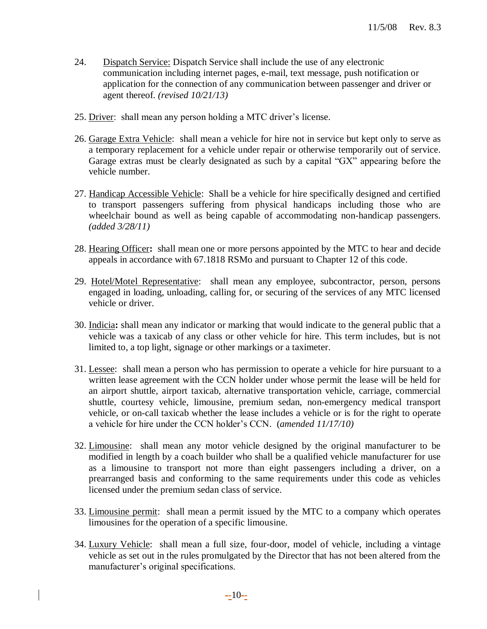- 24. Dispatch Service: Dispatch Service shall include the use of any electronic communication including internet pages, e-mail, text message, push notification or application for the connection of any communication between passenger and driver or agent thereof. *(revised 10/21/13)*
- 25. Driver: shall mean any person holding a MTC driver's license.
- 26. Garage Extra Vehicle: shall mean a vehicle for hire not in service but kept only to serve as a temporary replacement for a vehicle under repair or otherwise temporarily out of service. Garage extras must be clearly designated as such by a capital "GX" appearing before the vehicle number.
- 27. Handicap Accessible Vehicle: Shall be a vehicle for hire specifically designed and certified to transport passengers suffering from physical handicaps including those who are wheelchair bound as well as being capable of accommodating non-handicap passengers. *(added 3/28/11)*
- 28. Hearing Officer**:** shall mean one or more persons appointed by the MTC to hear and decide appeals in accordance with 67.1818 RSMo and pursuant to Chapter 12 of this code.
- 29. Hotel/Motel Representative: shall mean any employee, subcontractor, person, persons engaged in loading, unloading, calling for, or securing of the services of any MTC licensed vehicle or driver.
- 30. Indicia**:** shall mean any indicator or marking that would indicate to the general public that a vehicle was a taxicab of any class or other vehicle for hire. This term includes, but is not limited to, a top light, signage or other markings or a taximeter.
- 31. Lessee: shall mean a person who has permission to operate a vehicle for hire pursuant to a written lease agreement with the CCN holder under whose permit the lease will be held for an airport shuttle, airport taxicab, alternative transportation vehicle, carriage, commercial shuttle, courtesy vehicle, limousine, premium sedan, non-emergency medical transport vehicle, or on-call taxicab whether the lease includes a vehicle or is for the right to operate a vehicle for hire under the CCN holder's CCN. (*amended 11/17/10)*
- 32. Limousine: shall mean any motor vehicle designed by the original manufacturer to be modified in length by a coach builder who shall be a qualified vehicle manufacturer for use as a limousine to transport not more than eight passengers including a driver, on a prearranged basis and conforming to the same requirements under this code as vehicles licensed under the premium sedan class of service.
- 33. Limousine permit: shall mean a permit issued by the MTC to a company which operates limousines for the operation of a specific limousine.
- 34. Luxury Vehicle: shall mean a full size, four-door, model of vehicle, including a vintage vehicle as set out in the rules promulgated by the Director that has not been altered from the manufacturer's original specifications.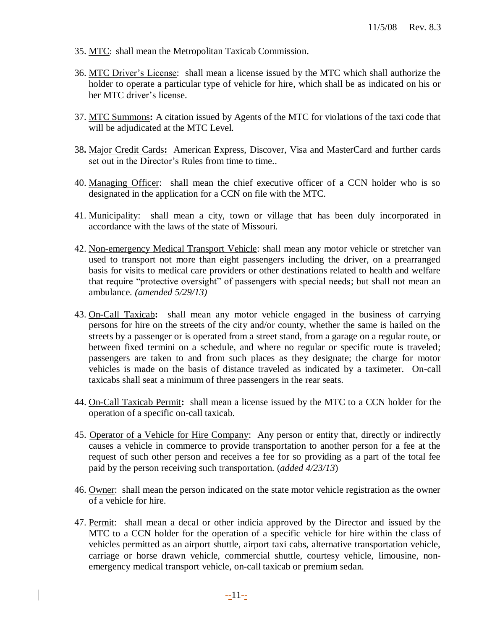- 35. MTC: shall mean the Metropolitan Taxicab Commission.
- 36. MTC Driver's License: shall mean a license issued by the MTC which shall authorize the holder to operate a particular type of vehicle for hire, which shall be as indicated on his or her MTC driver's license.
- 37. MTC Summons**:** A citation issued by Agents of the MTC for violations of the taxi code that will be adjudicated at the MTC Level.
- 38**.** Major Credit Cards**:** American Express, Discover, Visa and MasterCard and further cards set out in the Director's Rules from time to time..
- 40. Managing Officer: shall mean the chief executive officer of a CCN holder who is so designated in the application for a CCN on file with the MTC.
- 41. Municipality:shall mean a city, town or village that has been duly incorporated in accordance with the laws of the state of Missouri.
- 42. Non-emergency Medical Transport Vehicle: shall mean any motor vehicle or stretcher van used to transport not more than eight passengers including the driver, on a prearranged basis for visits to medical care providers or other destinations related to health and welfare that require "protective oversight" of passengers with special needs; but shall not mean an ambulance*. (amended 5/29/13)*
- 43. On-Call Taxicab**:** shall mean any motor vehicle engaged in the business of carrying persons for hire on the streets of the city and/or county, whether the same is hailed on the streets by a passenger or is operated from a street stand, from a garage on a regular route, or between fixed termini on a schedule, and where no regular or specific route is traveled; passengers are taken to and from such places as they designate; the charge for motor vehicles is made on the basis of distance traveled as indicated by a taximeter. On-call taxicabs shall seat a minimum of three passengers in the rear seats.
- 44. On-Call Taxicab Permit**:** shall mean a license issued by the MTC to a CCN holder for the operation of a specific on-call taxicab.
- 45. Operator of a Vehicle for Hire Company: Any person or entity that, directly or indirectly causes a vehicle in commerce to provide transportation to another person for a fee at the request of such other person and receives a fee for so providing as a part of the total fee paid by the person receiving such transportation. (*added 4/23/13*)
- 46. Owner: shall mean the person indicated on the state motor vehicle registration as the owner of a vehicle for hire.
- 47. Permit: shall mean a decal or other indicia approved by the Director and issued by the MTC to a CCN holder for the operation of a specific vehicle for hire within the class of vehicles permitted as an airport shuttle, airport taxi cabs, alternative transportation vehicle, carriage or horse drawn vehicle, commercial shuttle, courtesy vehicle, limousine, nonemergency medical transport vehicle, on-call taxicab or premium sedan.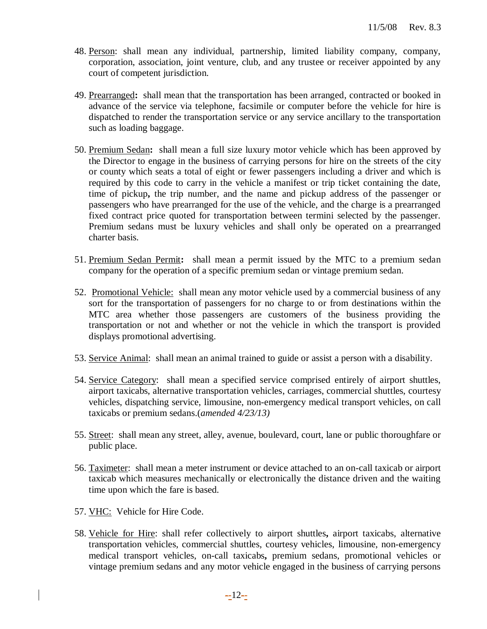- 48. Person: shall mean any individual, partnership, limited liability company, company, corporation, association, joint venture, club, and any trustee or receiver appointed by any court of competent jurisdiction.
- 49. Prearranged**:** shall mean that the transportation has been arranged, contracted or booked in advance of the service via telephone, facsimile or computer before the vehicle for hire is dispatched to render the transportation service or any service ancillary to the transportation such as loading baggage.
- 50. Premium Sedan**:** shall mean a full size luxury motor vehicle which has been approved by the Director to engage in the business of carrying persons for hire on the streets of the city or county which seats a total of eight or fewer passengers including a driver and which is required by this code to carry in the vehicle a manifest or trip ticket containing the date, time of pickup**,** the trip number, and the name and pickup address of the passenger or passengers who have prearranged for the use of the vehicle, and the charge is a prearranged fixed contract price quoted for transportation between termini selected by the passenger. Premium sedans must be luxury vehicles and shall only be operated on a prearranged charter basis.
- 51. Premium Sedan Permit**:** shall mean a permit issued by the MTC to a premium sedan company for the operation of a specific premium sedan or vintage premium sedan.
- 52. Promotional Vehicle: shall mean any motor vehicle used by a commercial business of any sort for the transportation of passengers for no charge to or from destinations within the MTC area whether those passengers are customers of the business providing the transportation or not and whether or not the vehicle in which the transport is provided displays promotional advertising.
- 53. Service Animal: shall mean an animal trained to guide or assist a person with a disability.
- 54. Service Category: shall mean a specified service comprised entirely of airport shuttles, airport taxicabs, alternative transportation vehicles, carriages, commercial shuttles, courtesy vehicles, dispatching service, limousine, non-emergency medical transport vehicles, on call taxicabs or premium sedans.(*amended 4/23/13)*
- 55. Street: shall mean any street, alley, avenue, boulevard, court, lane or public thoroughfare or public place.
- 56. Taximeter: shall mean a meter instrument or device attached to an on-call taxicab or airport taxicab which measures mechanically or electronically the distance driven and the waiting time upon which the fare is based.
- 57. VHC: Vehicle for Hire Code.
- 58. Vehicle for Hire: shall refer collectively to airport shuttles**,** airport taxicabs, alternative transportation vehicles, commercial shuttles, courtesy vehicles, limousine, non-emergency medical transport vehicles, on-call taxicabs**,** premium sedans, promotional vehicles or vintage premium sedans and any motor vehicle engaged in the business of carrying persons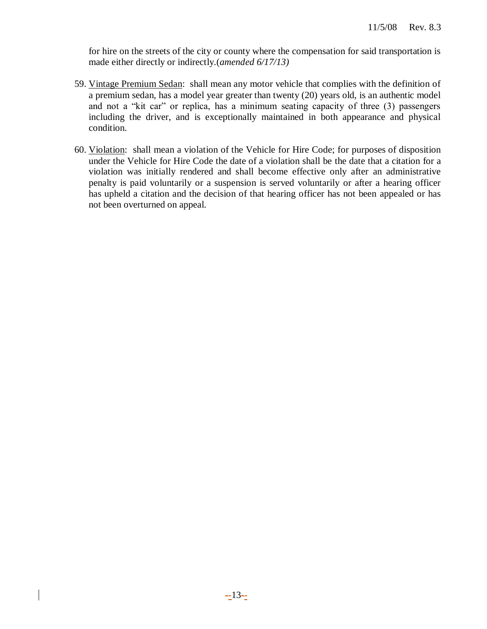for hire on the streets of the city or county where the compensation for said transportation is made either directly or indirectly.(*amended 6/17/13)*

- 59. Vintage Premium Sedan: shall mean any motor vehicle that complies with the definition of a premium sedan, has a model year greater than twenty (20) years old, is an authentic model and not a "kit car" or replica, has a minimum seating capacity of three (3) passengers including the driver, and is exceptionally maintained in both appearance and physical condition.
- 60. Violation: shall mean a violation of the Vehicle for Hire Code; for purposes of disposition under the Vehicle for Hire Code the date of a violation shall be the date that a citation for a violation was initially rendered and shall become effective only after an administrative penalty is paid voluntarily or a suspension is served voluntarily or after a hearing officer has upheld a citation and the decision of that hearing officer has not been appealed or has not been overturned on appeal.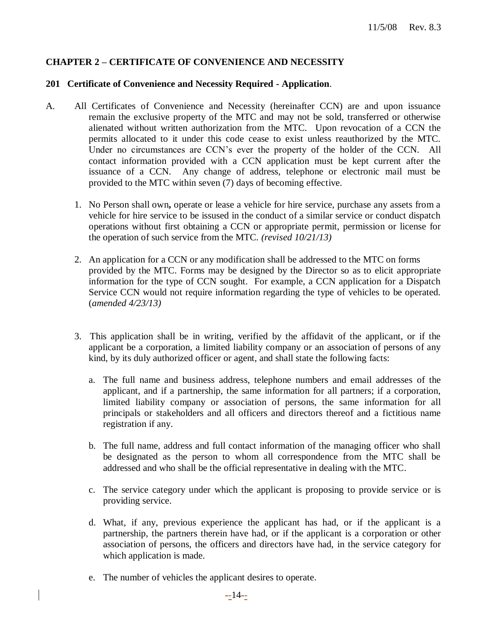## **CHAPTER 2 – CERTIFICATE OF CONVENIENCE AND NECESSITY**

#### **201 Certificate of Convenience and Necessity Required - Application**.

- A. All Certificates of Convenience and Necessity (hereinafter CCN) are and upon issuance remain the exclusive property of the MTC and may not be sold, transferred or otherwise alienated without written authorization from the MTC. Upon revocation of a CCN the permits allocated to it under this code cease to exist unless reauthorized by the MTC. Under no circumstances are CCN's ever the property of the holder of the CCN. All contact information provided with a CCN application must be kept current after the issuance of a CCN. Any change of address, telephone or electronic mail must be provided to the MTC within seven (7) days of becoming effective.
	- 1. No Person shall own**,** operate or lease a vehicle for hire service, purchase any assets from a vehicle for hire service to be issused in the conduct of a similar service or conduct dispatch operations without first obtaining a CCN or appropriate permit, permission or license for the operation of such service from the MTC. *(revised 10/21/13)*
	- 2. An application for a CCN or any modification shall be addressed to the MTC on forms provided by the MTC. Forms may be designed by the Director so as to elicit appropriate information for the type of CCN sought. For example, a CCN application for a Dispatch Service CCN would not require information regarding the type of vehicles to be operated. (*amended 4/23/13)*
	- 3. This application shall be in writing, verified by the affidavit of the applicant, or if the applicant be a corporation, a limited liability company or an association of persons of any kind, by its duly authorized officer or agent, and shall state the following facts:
		- a. The full name and business address, telephone numbers and email addresses of the applicant, and if a partnership, the same information for all partners; if a corporation, limited liability company or association of persons, the same information for all principals or stakeholders and all officers and directors thereof and a fictitious name registration if any.
		- b. The full name, address and full contact information of the managing officer who shall be designated as the person to whom all correspondence from the MTC shall be addressed and who shall be the official representative in dealing with the MTC.
		- c. The service category under which the applicant is proposing to provide service or is providing service.
		- d. What, if any, previous experience the applicant has had, or if the applicant is a partnership, the partners therein have had, or if the applicant is a corporation or other association of persons, the officers and directors have had, in the service category for which application is made.
		- e. The number of vehicles the applicant desires to operate.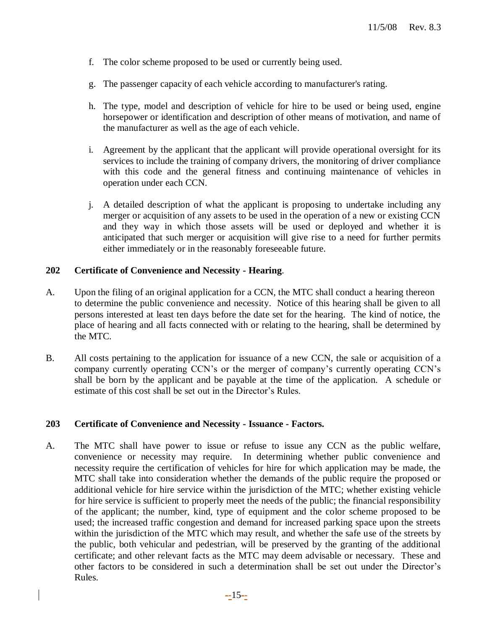- f. The color scheme proposed to be used or currently being used.
- g. The passenger capacity of each vehicle according to manufacturer's rating.
- h. The type, model and description of vehicle for hire to be used or being used, engine horsepower or identification and description of other means of motivation, and name of the manufacturer as well as the age of each vehicle.
- i.Agreement by the applicant that the applicant will provide operational oversight for its services to include the training of company drivers, the monitoring of driver compliance with this code and the general fitness and continuing maintenance of vehicles in operation under each CCN.
- j. A detailed description of what the applicant is proposing to undertake including any merger or acquisition of any assets to be used in the operation of a new or existing CCN and they way in which those assets will be used or deployed and whether it is anticipated that such merger or acquisition will give rise to a need for further permits either immediately or in the reasonably foreseeable future.

#### **202 Certificate of Convenience and Necessity - Hearing**.

- A. Upon the filing of an original application for a CCN, the MTC shall conduct a hearing thereon to determine the public convenience and necessity. Notice of this hearing shall be given to all persons interested at least ten days before the date set for the hearing. The kind of notice, the place of hearing and all facts connected with or relating to the hearing, shall be determined by the MTC.
- B. All costs pertaining to the application for issuance of a new CCN, the sale or acquisition of a company currently operating CCN's or the merger of company's currently operating CCN's shall be born by the applicant and be payable at the time of the application. A schedule or estimate of this cost shall be set out in the Director's Rules.

#### **203 Certificate of Convenience and Necessity - Issuance - Factors.**

A. The MTC shall have power to issue or refuse to issue any CCN as the public welfare, convenience or necessity may require. In determining whether public convenience and necessity require the certification of vehicles for hire for which application may be made, the MTC shall take into consideration whether the demands of the public require the proposed or additional vehicle for hire service within the jurisdiction of the MTC; whether existing vehicle for hire service is sufficient to properly meet the needs of the public; the financial responsibility of the applicant; the number, kind, type of equipment and the color scheme proposed to be used; the increased traffic congestion and demand for increased parking space upon the streets within the jurisdiction of the MTC which may result, and whether the safe use of the streets by the public, both vehicular and pedestrian, will be preserved by the granting of the additional certificate; and other relevant facts as the MTC may deem advisable or necessary. These and other factors to be considered in such a determination shall be set out under the Director's Rules.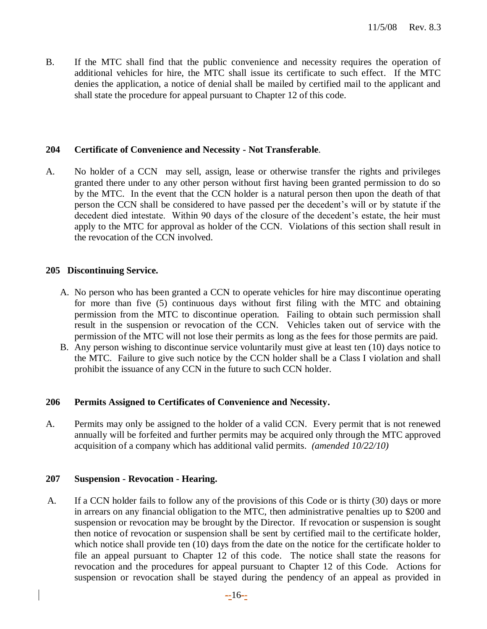B. If the MTC shall find that the public convenience and necessity requires the operation of additional vehicles for hire, the MTC shall issue its certificate to such effect. If the MTC denies the application, a notice of denial shall be mailed by certified mail to the applicant and shall state the procedure for appeal pursuant to Chapter 12 of this code.

## **204 Certificate of Convenience and Necessity - Not Transferable**.

A. No holder of a CCN may sell, assign, lease or otherwise transfer the rights and privileges granted there under to any other person without first having been granted permission to do so by the MTC. In the event that the CCN holder is a natural person then upon the death of that person the CCN shall be considered to have passed per the decedent's will or by statute if the decedent died intestate. Within 90 days of the closure of the decedent's estate, the heir must apply to the MTC for approval as holder of the CCN. Violations of this section shall result in the revocation of the CCN involved.

## **205 Discontinuing Service.**

- A. No person who has been granted a CCN to operate vehicles for hire may discontinue operating for more than five (5) continuous days without first filing with the MTC and obtaining permission from the MTC to discontinue operation. Failing to obtain such permission shall result in the suspension or revocation of the CCN. Vehicles taken out of service with the permission of the MTC will not lose their permits as long as the fees for those permits are paid.
- B. Any person wishing to discontinue service voluntarily must give at least ten (10) days notice to the MTC. Failure to give such notice by the CCN holder shall be a Class I violation and shall prohibit the issuance of any CCN in the future to such CCN holder.

## **206 Permits Assigned to Certificates of Convenience and Necessity.**

A. Permits may only be assigned to the holder of a valid CCN. Every permit that is not renewed annually will be forfeited and further permits may be acquired only through the MTC approved acquisition of a company which has additional valid permits. *(amended 10/22/10)*

## **207 Suspension - Revocation - Hearing.**

A. If a CCN holder fails to follow any of the provisions of this Code or is thirty (30) days or more in arrears on any financial obligation to the MTC, then administrative penalties up to \$200 and suspension or revocation may be brought by the Director. If revocation or suspension is sought then notice of revocation or suspension shall be sent by certified mail to the certificate holder, which notice shall provide ten (10) days from the date on the notice for the certificate holder to file an appeal pursuant to Chapter 12 of this code. The notice shall state the reasons for revocation and the procedures for appeal pursuant to Chapter 12 of this Code. Actions for suspension or revocation shall be stayed during the pendency of an appeal as provided in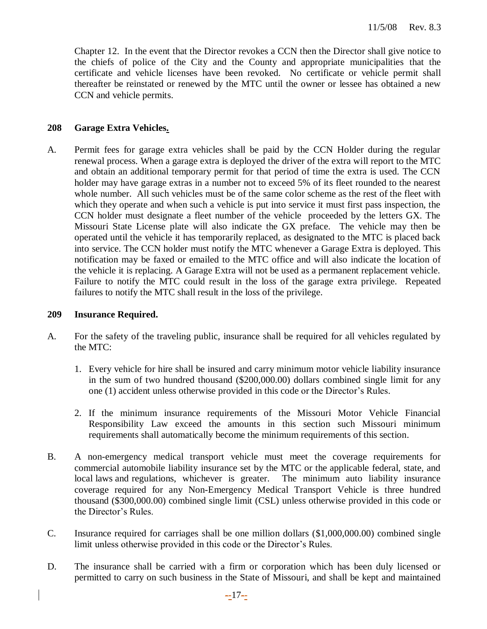Chapter 12. In the event that the Director revokes a CCN then the Director shall give notice to the chiefs of police of the City and the County and appropriate municipalities that the certificate and vehicle licenses have been revoked. No certificate or vehicle permit shall thereafter be reinstated or renewed by the MTC until the owner or lessee has obtained a new CCN and vehicle permits.

## **208 Garage Extra Vehicles.**

A. Permit fees for garage extra vehicles shall be paid by the CCN Holder during the regular renewal process. When a garage extra is deployed the driver of the extra will report to the MTC and obtain an additional temporary permit for that period of time the extra is used. The CCN holder may have garage extras in a number not to exceed 5% of its fleet rounded to the nearest whole number. All such vehicles must be of the same color scheme as the rest of the fleet with which they operate and when such a vehicle is put into service it must first pass inspection, the CCN holder must designate a fleet number of the vehicle proceeded by the letters GX. The Missouri State License plate will also indicate the GX preface. The vehicle may then be operated until the vehicle it has temporarily replaced, as designated to the MTC is placed back into service. The CCN holder must notify the MTC whenever a Garage Extra is deployed. This notification may be faxed or emailed to the MTC office and will also indicate the location of the vehicle it is replacing. A Garage Extra will not be used as a permanent replacement vehicle. Failure to notify the MTC could result in the loss of the garage extra privilege. Repeated failures to notify the MTC shall result in the loss of the privilege.

#### **209 Insurance Required.**

- A. For the safety of the traveling public, insurance shall be required for all vehicles regulated by the MTC:
	- 1. Every vehicle for hire shall be insured and carry minimum motor vehicle liability insurance in the sum of two hundred thousand (\$200,000.00) dollars combined single limit for any one (1) accident unless otherwise provided in this code or the Director's Rules.
	- 2. If the minimum insurance requirements of the Missouri Motor Vehicle Financial Responsibility Law exceed the amounts in this section such Missouri minimum requirements shall automatically become the minimum requirements of this section.
- B. A non-emergency medical transport vehicle must meet the coverage requirements for commercial automobile liability insurance set by the MTC or the applicable federal, state, and local laws and regulations, whichever is greater. The minimum auto liability insurance coverage required for any Non-Emergency Medical Transport Vehicle is three hundred thousand (\$300,000.00) combined single limit (CSL) unless otherwise provided in this code or the Director's Rules.
- C. Insurance required for carriages shall be one million dollars (\$1,000,000.00) combined single limit unless otherwise provided in this code or the Director's Rules.
- D. The insurance shall be carried with a firm or corporation which has been duly licensed or permitted to carry on such business in the State of Missouri, and shall be kept and maintained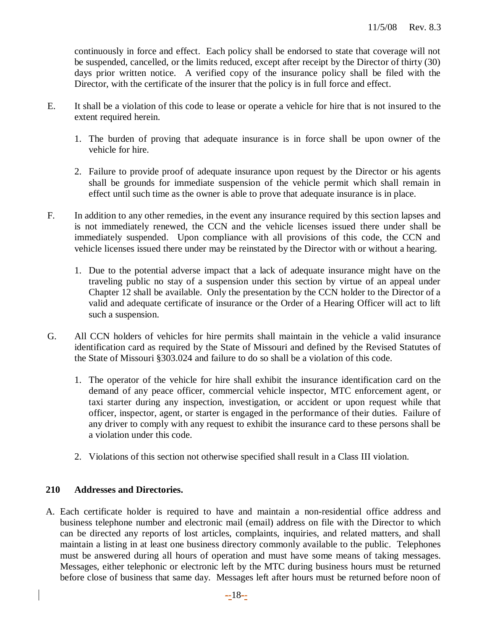continuously in force and effect. Each policy shall be endorsed to state that coverage will not be suspended, cancelled, or the limits reduced, except after receipt by the Director of thirty (30) days prior written notice. A verified copy of the insurance policy shall be filed with the Director, with the certificate of the insurer that the policy is in full force and effect.

- E. It shall be a violation of this code to lease or operate a vehicle for hire that is not insured to the extent required herein.
	- 1. The burden of proving that adequate insurance is in force shall be upon owner of the vehicle for hire.
	- 2. Failure to provide proof of adequate insurance upon request by the Director or his agents shall be grounds for immediate suspension of the vehicle permit which shall remain in effect until such time as the owner is able to prove that adequate insurance is in place.
- F. In addition to any other remedies, in the event any insurance required by this section lapses and is not immediately renewed, the CCN and the vehicle licenses issued there under shall be immediately suspended. Upon compliance with all provisions of this code, the CCN and vehicle licenses issued there under may be reinstated by the Director with or without a hearing.
	- 1. Due to the potential adverse impact that a lack of adequate insurance might have on the traveling public no stay of a suspension under this section by virtue of an appeal under Chapter 12 shall be available. Only the presentation by the CCN holder to the Director of a valid and adequate certificate of insurance or the Order of a Hearing Officer will act to lift such a suspension.
- G. All CCN holders of vehicles for hire permits shall maintain in the vehicle a valid insurance identification card as required by the State of Missouri and defined by the Revised Statutes of the State of Missouri §303.024 and failure to do so shall be a violation of this code.
	- 1. The operator of the vehicle for hire shall exhibit the insurance identification card on the demand of any peace officer, commercial vehicle inspector, MTC enforcement agent, or taxi starter during any inspection, investigation, or accident or upon request while that officer, inspector, agent, or starter is engaged in the performance of their duties. Failure of any driver to comply with any request to exhibit the insurance card to these persons shall be a violation under this code.
	- 2. Violations of this section not otherwise specified shall result in a Class III violation.

# **210 Addresses and Directories.**

A. Each certificate holder is required to have and maintain a non-residential office address and business telephone number and electronic mail (email) address on file with the Director to which can be directed any reports of lost articles, complaints, inquiries, and related matters, and shall maintain a listing in at least one business directory commonly available to the public. Telephones must be answered during all hours of operation and must have some means of taking messages. Messages, either telephonic or electronic left by the MTC during business hours must be returned before close of business that same day. Messages left after hours must be returned before noon of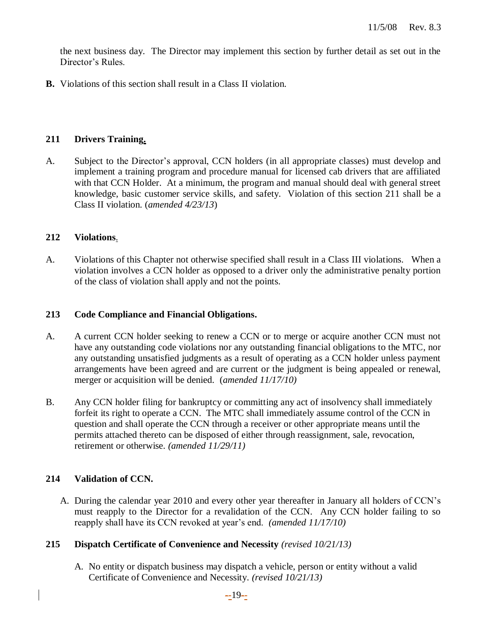the next business day. The Director may implement this section by further detail as set out in the Director's Rules.

**B.** Violations of this section shall result in a Class II violation.

## **211 Drivers Training.**

A. Subject to the Director's approval, CCN holders (in all appropriate classes) must develop and implement a training program and procedure manual for licensed cab drivers that are affiliated with that CCN Holder. At a minimum, the program and manual should deal with general street knowledge, basic customer service skills, and safety. Violation of this section 211 shall be a Class II violation. (*amended 4/23/13*)

#### **212 Violations**.

A. Violations of this Chapter not otherwise specified shall result in a Class III violations. When a violation involves a CCN holder as opposed to a driver only the administrative penalty portion of the class of violation shall apply and not the points.

#### **213 Code Compliance and Financial Obligations.**

- A. A current CCN holder seeking to renew a CCN or to merge or acquire another CCN must not have any outstanding code violations nor any outstanding financial obligations to the MTC, nor any outstanding unsatisfied judgments as a result of operating as a CCN holder unless payment arrangements have been agreed and are current or the judgment is being appealed or renewal, merger or acquisition will be denied. (*amended 11/17/10)*
- B. Any CCN holder filing for bankruptcy or committing any act of insolvency shall immediately forfeit its right to operate a CCN. The MTC shall immediately assume control of the CCN in question and shall operate the CCN through a receiver or other appropriate means until the permits attached thereto can be disposed of either through reassignment, sale, revocation, retirement or otherwise. *(amended 11/29/11)*

## **214 Validation of CCN.**

A. During the calendar year 2010 and every other year thereafter in January all holders of CCN's must reapply to the Director for a revalidation of the CCN. Any CCN holder failing to so reapply shall have its CCN revoked at year's end. *(amended 11/17/10)*

## **215 Dispatch Certificate of Convenience and Necessity** *(revised 10/21/13)*

A. No entity or dispatch business may dispatch a vehicle, person or entity without a valid Certificate of Convenience and Necessity. *(revised 10/21/13)*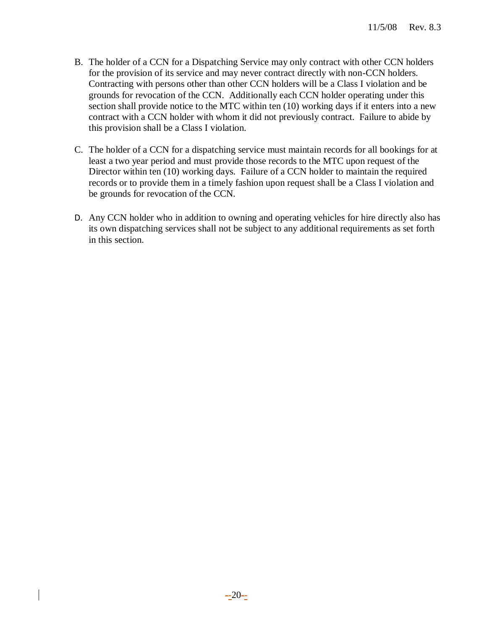- B. The holder of a CCN for a Dispatching Service may only contract with other CCN holders for the provision of its service and may never contract directly with non-CCN holders. Contracting with persons other than other CCN holders will be a Class I violation and be grounds for revocation of the CCN. Additionally each CCN holder operating under this section shall provide notice to the MTC within ten (10) working days if it enters into a new contract with a CCN holder with whom it did not previously contract. Failure to abide by this provision shall be a Class I violation.
- C. The holder of a CCN for a dispatching service must maintain records for all bookings for at least a two year period and must provide those records to the MTC upon request of the Director within ten (10) working days. Failure of a CCN holder to maintain the required records or to provide them in a timely fashion upon request shall be a Class I violation and be grounds for revocation of the CCN.
- D. Any CCN holder who in addition to owning and operating vehicles for hire directly also has its own dispatching services shall not be subject to any additional requirements as set forth in this section.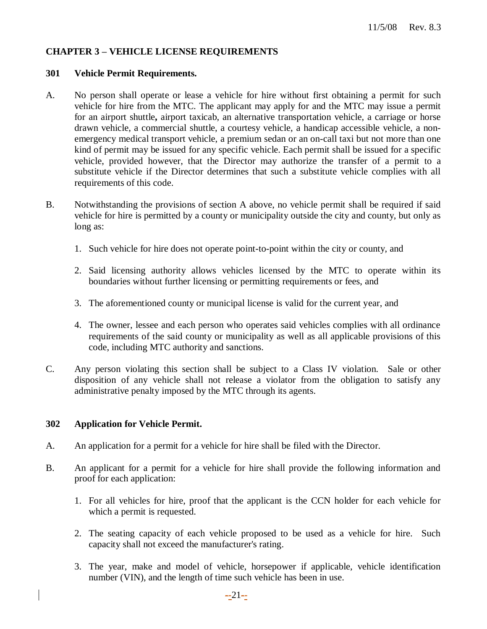## **CHAPTER 3 – VEHICLE LICENSE REQUIREMENTS**

#### **301 Vehicle Permit Requirements.**

- A. No person shall operate or lease a vehicle for hire without first obtaining a permit for such vehicle for hire from the MTC. The applicant may apply for and the MTC may issue a permit for an airport shuttle**,** airport taxicab, an alternative transportation vehicle, a carriage or horse drawn vehicle, a commercial shuttle, a courtesy vehicle, a handicap accessible vehicle, a nonemergency medical transport vehicle, a premium sedan or an on-call taxi but not more than one kind of permit may be issued for any specific vehicle. Each permit shall be issued for a specific vehicle, provided however, that the Director may authorize the transfer of a permit to a substitute vehicle if the Director determines that such a substitute vehicle complies with all requirements of this code.
- B. Notwithstanding the provisions of section A above, no vehicle permit shall be required if said vehicle for hire is permitted by a county or municipality outside the city and county, but only as long as:
	- 1. Such vehicle for hire does not operate point-to-point within the city or county, and
	- 2. Said licensing authority allows vehicles licensed by the MTC to operate within its boundaries without further licensing or permitting requirements or fees, and
	- 3. The aforementioned county or municipal license is valid for the current year, and
	- 4. The owner, lessee and each person who operates said vehicles complies with all ordinance requirements of the said county or municipality as well as all applicable provisions of this code, including MTC authority and sanctions.
- C. Any person violating this section shall be subject to a Class IV violation. Sale or other disposition of any vehicle shall not release a violator from the obligation to satisfy any administrative penalty imposed by the MTC through its agents.

## **302 Application for Vehicle Permit.**

- A. An application for a permit for a vehicle for hire shall be filed with the Director.
- B. An applicant for a permit for a vehicle for hire shall provide the following information and proof for each application:
	- 1. For all vehicles for hire, proof that the applicant is the CCN holder for each vehicle for which a permit is requested.
	- 2. The seating capacity of each vehicle proposed to be used as a vehicle for hire. Such capacity shall not exceed the manufacturer's rating.
	- 3. The year, make and model of vehicle, horsepower if applicable, vehicle identification number (VIN), and the length of time such vehicle has been in use.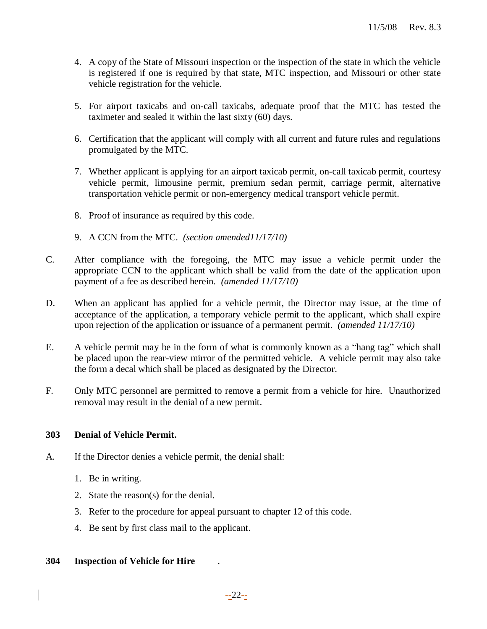- 4. A copy of the State of Missouri inspection or the inspection of the state in which the vehicle is registered if one is required by that state, MTC inspection, and Missouri or other state vehicle registration for the vehicle.
- 5. For airport taxicabs and on-call taxicabs, adequate proof that the MTC has tested the taximeter and sealed it within the last sixty (60) days.
- 6. Certification that the applicant will comply with all current and future rules and regulations promulgated by the MTC.
- 7. Whether applicant is applying for an airport taxicab permit, on-call taxicab permit, courtesy vehicle permit, limousine permit, premium sedan permit, carriage permit, alternative transportation vehicle permit or non-emergency medical transport vehicle permit.
- 8. Proof of insurance as required by this code.
- 9. A CCN from the MTC. *(section amended11/17/10)*
- C. After compliance with the foregoing, the MTC may issue a vehicle permit under the appropriate CCN to the applicant which shall be valid from the date of the application upon payment of a fee as described herein. *(amended 11/17/10)*
- D. When an applicant has applied for a vehicle permit, the Director may issue, at the time of acceptance of the application, a temporary vehicle permit to the applicant, which shall expire upon rejection of the application or issuance of a permanent permit. *(amended 11/17/10)*
- E. A vehicle permit may be in the form of what is commonly known as a "hang tag" which shall be placed upon the rear-view mirror of the permitted vehicle. A vehicle permit may also take the form a decal which shall be placed as designated by the Director.
- F. Only MTC personnel are permitted to remove a permit from a vehicle for hire. Unauthorized removal may result in the denial of a new permit.

## **303 Denial of Vehicle Permit.**

- A. If the Director denies a vehicle permit, the denial shall:
	- 1. Be in writing.
	- 2. State the reason(s) for the denial.
	- 3. Refer to the procedure for appeal pursuant to chapter 12 of this code.
	- 4. Be sent by first class mail to the applicant.

## **304 Inspection of Vehicle for Hire** .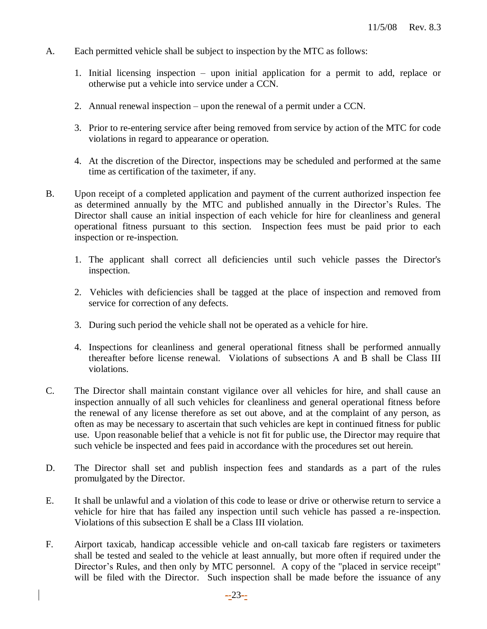- A. Each permitted vehicle shall be subject to inspection by the MTC as follows:
	- 1. Initial licensing inspection upon initial application for a permit to add, replace or otherwise put a vehicle into service under a CCN.
	- 2. Annual renewal inspection upon the renewal of a permit under a CCN.
	- 3. Prior to re-entering service after being removed from service by action of the MTC for code violations in regard to appearance or operation.
	- 4. At the discretion of the Director, inspections may be scheduled and performed at the same time as certification of the taximeter, if any.
- B. Upon receipt of a completed application and payment of the current authorized inspection fee as determined annually by the MTC and published annually in the Director's Rules. The Director shall cause an initial inspection of each vehicle for hire for cleanliness and general operational fitness pursuant to this section. Inspection fees must be paid prior to each inspection or re-inspection.
	- 1. The applicant shall correct all deficiencies until such vehicle passes the Director's inspection.
	- 2. Vehicles with deficiencies shall be tagged at the place of inspection and removed from service for correction of any defects.
	- 3. During such period the vehicle shall not be operated as a vehicle for hire.
	- 4. Inspections for cleanliness and general operational fitness shall be performed annually thereafter before license renewal. Violations of subsections A and B shall be Class III violations.
- C. The Director shall maintain constant vigilance over all vehicles for hire, and shall cause an inspection annually of all such vehicles for cleanliness and general operational fitness before the renewal of any license therefore as set out above, and at the complaint of any person, as often as may be necessary to ascertain that such vehicles are kept in continued fitness for public use. Upon reasonable belief that a vehicle is not fit for public use, the Director may require that such vehicle be inspected and fees paid in accordance with the procedures set out herein.
- D. The Director shall set and publish inspection fees and standards as a part of the rules promulgated by the Director.
- E. It shall be unlawful and a violation of this code to lease or drive or otherwise return to service a vehicle for hire that has failed any inspection until such vehicle has passed a re-inspection. Violations of this subsection E shall be a Class III violation.
- F. Airport taxicab, handicap accessible vehicle and on-call taxicab fare registers or taximeters shall be tested and sealed to the vehicle at least annually, but more often if required under the Director's Rules, and then only by MTC personnel. A copy of the "placed in service receipt" will be filed with the Director. Such inspection shall be made before the issuance of any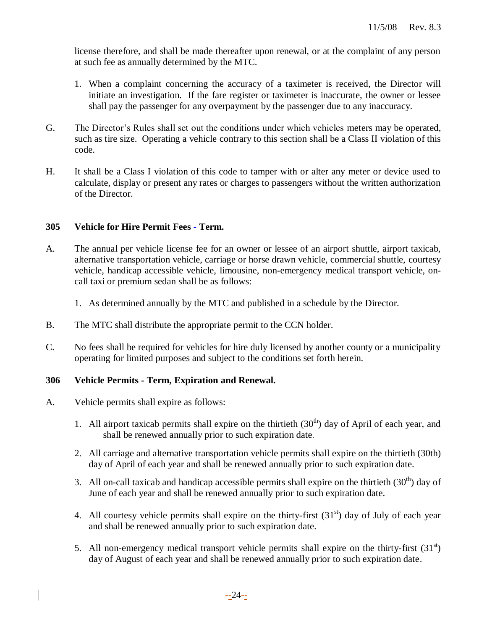license therefore, and shall be made thereafter upon renewal, or at the complaint of any person at such fee as annually determined by the MTC.

- 1. When a complaint concerning the accuracy of a taximeter is received, the Director will initiate an investigation. If the fare register or taximeter is inaccurate, the owner or lessee shall pay the passenger for any overpayment by the passenger due to any inaccuracy.
- G. The Director's Rules shall set out the conditions under which vehicles meters may be operated, such as tire size. Operating a vehicle contrary to this section shall be a Class II violation of this code.
- H. It shall be a Class I violation of this code to tamper with or alter any meter or device used to calculate, display or present any rates or charges to passengers without the written authorization of the Director.

## **305 Vehicle for Hire Permit Fees - Term.**

- A. The annual per vehicle license fee for an owner or lessee of an airport shuttle, airport taxicab, alternative transportation vehicle, carriage or horse drawn vehicle, commercial shuttle, courtesy vehicle, handicap accessible vehicle, limousine, non-emergency medical transport vehicle, oncall taxi or premium sedan shall be as follows:
	- 1. As determined annually by the MTC and published in a schedule by the Director.
- B. The MTC shall distribute the appropriate permit to the CCN holder.
- C. No fees shall be required for vehicles for hire duly licensed by another county or a municipality operating for limited purposes and subject to the conditions set forth herein.

## **306 Vehicle Permits - Term, Expiration and Renewal.**

- A. Vehicle permits shall expire as follows:
	- 1. All airport taxicab permits shall expire on the thirtieth  $(30<sup>th</sup>)$  day of April of each year, and shall be renewed annually prior to such expiration date.
	- 2. All carriage and alternative transportation vehicle permits shall expire on the thirtieth (30th) day of April of each year and shall be renewed annually prior to such expiration date.
	- 3. All on-call taxicab and handicap accessible permits shall expire on the thirtieth  $(30<sup>th</sup>)$  day of June of each year and shall be renewed annually prior to such expiration date.
	- 4. All courtesy vehicle permits shall expire on the thirty-first  $(31<sup>st</sup>)$  day of July of each year and shall be renewed annually prior to such expiration date.
	- 5. All non-emergency medical transport vehicle permits shall expire on the thirty-first  $(31<sup>st</sup>)$ day of August of each year and shall be renewed annually prior to such expiration date.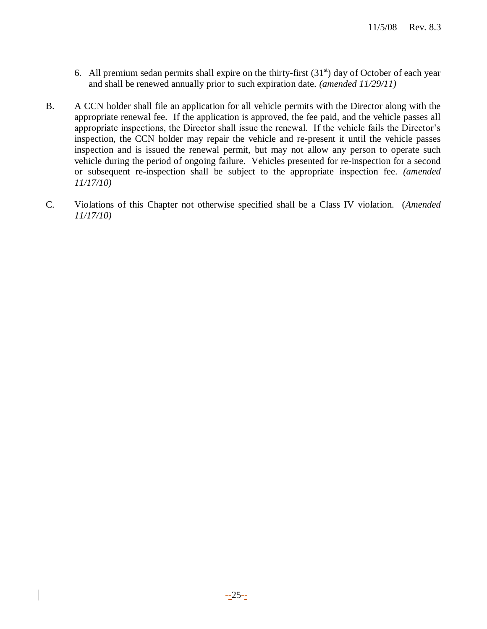- 6. All premium sedan permits shall expire on the thirty-first  $(31<sup>st</sup>)$  day of October of each year and shall be renewed annually prior to such expiration date. *(amended 11/29/11)*
- B. A CCN holder shall file an application for all vehicle permits with the Director along with the appropriate renewal fee. If the application is approved, the fee paid, and the vehicle passes all appropriate inspections, the Director shall issue the renewal. If the vehicle fails the Director's inspection, the CCN holder may repair the vehicle and re-present it until the vehicle passes inspection and is issued the renewal permit, but may not allow any person to operate such vehicle during the period of ongoing failure. Vehicles presented for re-inspection for a second or subsequent re-inspection shall be subject to the appropriate inspection fee. *(amended 11/17/10)*
- C. Violations of this Chapter not otherwise specified shall be a Class IV violation. (*Amended 11/17/10)*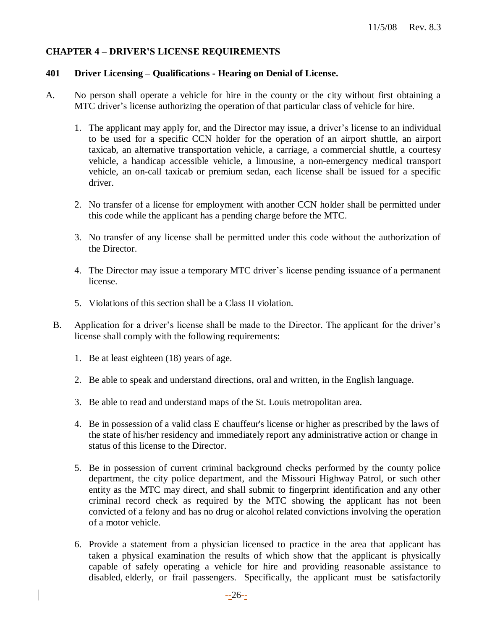## **CHAPTER 4 – DRIVER'S LICENSE REQUIREMENTS**

#### **401 Driver Licensing – Qualifications - Hearing on Denial of License.**

- A. No person shall operate a vehicle for hire in the county or the city without first obtaining a MTC driver's license authorizing the operation of that particular class of vehicle for hire.
	- 1. The applicant may apply for, and the Director may issue, a driver's license to an individual to be used for a specific CCN holder for the operation of an airport shuttle, an airport taxicab, an alternative transportation vehicle, a carriage, a commercial shuttle, a courtesy vehicle, a handicap accessible vehicle, a limousine, a non-emergency medical transport vehicle, an on-call taxicab or premium sedan, each license shall be issued for a specific driver.
	- 2. No transfer of a license for employment with another CCN holder shall be permitted under this code while the applicant has a pending charge before the MTC.
	- 3. No transfer of any license shall be permitted under this code without the authorization of the Director.
	- 4. The Director may issue a temporary MTC driver's license pending issuance of a permanent license.
	- 5. Violations of this section shall be a Class II violation.
	- B. Application for a driver's license shall be made to the Director. The applicant for the driver's license shall comply with the following requirements:
		- 1. Be at least eighteen (18) years of age.
		- 2. Be able to speak and understand directions, oral and written, in the English language.
		- 3. Be able to read and understand maps of the St. Louis metropolitan area.
		- 4. Be in possession of a valid class E chauffeur's license or higher as prescribed by the laws of the state of his/her residency and immediately report any administrative action or change in status of this license to the Director.
		- 5. Be in possession of current criminal background checks performed by the county police department, the city police department, and the Missouri Highway Patrol, or such other entity as the MTC may direct, and shall submit to fingerprint identification and any other criminal record check as required by the MTC showing the applicant has not been convicted of a felony and has no drug or alcohol related convictions involving the operation of a motor vehicle.
		- 6. Provide a statement from a physician licensed to practice in the area that applicant has taken a physical examination the results of which show that the applicant is physically capable of safely operating a vehicle for hire and providing reasonable assistance to disabled, elderly, or frail passengers. Specifically, the applicant must be satisfactorily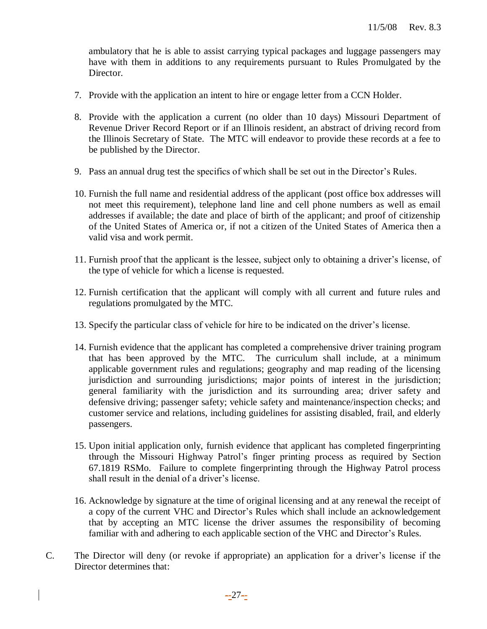ambulatory that he is able to assist carrying typical packages and luggage passengers may have with them in additions to any requirements pursuant to Rules Promulgated by the Director.

- 7. Provide with the application an intent to hire or engage letter from a CCN Holder.
- 8. Provide with the application a current (no older than 10 days) Missouri Department of Revenue Driver Record Report or if an Illinois resident, an abstract of driving record from the Illinois Secretary of State. The MTC will endeavor to provide these records at a fee to be published by the Director.
- 9. Pass an annual drug test the specifics of which shall be set out in the Director's Rules.
- 10. Furnish the full name and residential address of the applicant (post office box addresses will not meet this requirement), telephone land line and cell phone numbers as well as email addresses if available; the date and place of birth of the applicant; and proof of citizenship of the United States of America or, if not a citizen of the United States of America then a valid visa and work permit.
- 11. Furnish proof that the applicant is the lessee, subject only to obtaining a driver's license, of the type of vehicle for which a license is requested.
- 12. Furnish certification that the applicant will comply with all current and future rules and regulations promulgated by the MTC.
- 13. Specify the particular class of vehicle for hire to be indicated on the driver's license.
- 14. Furnish evidence that the applicant has completed a comprehensive driver training program that has been approved by the MTC. The curriculum shall include, at a minimum applicable government rules and regulations; geography and map reading of the licensing jurisdiction and surrounding jurisdictions; major points of interest in the jurisdiction; general familiarity with the jurisdiction and its surrounding area; driver safety and defensive driving; passenger safety; vehicle safety and maintenance/inspection checks; and customer service and relations, including guidelines for assisting disabled, frail, and elderly passengers.
- 15. Upon initial application only, furnish evidence that applicant has completed fingerprinting through the Missouri Highway Patrol's finger printing process as required by Section 67.1819 RSMo. Failure to complete fingerprinting through the Highway Patrol process shall result in the denial of a driver's license.
- 16. Acknowledge by signature at the time of original licensing and at any renewal the receipt of a copy of the current VHC and Director's Rules which shall include an acknowledgement that by accepting an MTC license the driver assumes the responsibility of becoming familiar with and adhering to each applicable section of the VHC and Director's Rules.
- C. The Director will deny (or revoke if appropriate) an application for a driver's license if the Director determines that: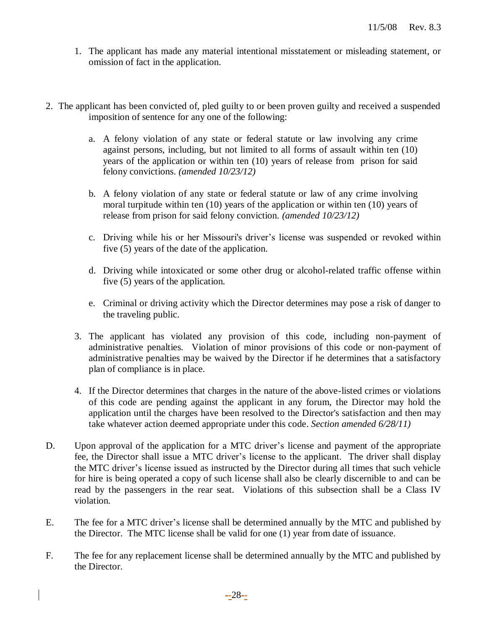- 1. The applicant has made any material intentional misstatement or misleading statement, or omission of fact in the application.
- 2. The applicant has been convicted of, pled guilty to or been proven guilty and received a suspended imposition of sentence for any one of the following:
	- a. A felony violation of any state or federal statute or law involving any crime against persons, including, but not limited to all forms of assault within ten (10) years of the application or within ten (10) years of release from prison for said felony convictions. *(amended 10/23/12)*
	- b. A felony violation of any state or federal statute or law of any crime involving moral turpitude within ten (10) years of the application or within ten (10) years of release from prison for said felony conviction. *(amended 10/23/12)*
	- c. Driving while his or her Missouri's driver's license was suspended or revoked within five (5) years of the date of the application.
	- d. Driving while intoxicated or some other drug or alcohol-related traffic offense within five (5) years of the application.
	- e. Criminal or driving activity which the Director determines may pose a risk of danger to the traveling public.
	- 3. The applicant has violated any provision of this code, including non-payment of administrative penalties. Violation of minor provisions of this code or non-payment of administrative penalties may be waived by the Director if he determines that a satisfactory plan of compliance is in place.
	- 4. If the Director determines that charges in the nature of the above-listed crimes or violations of this code are pending against the applicant in any forum, the Director may hold the application until the charges have been resolved to the Director's satisfaction and then may take whatever action deemed appropriate under this code. *Section amended 6/28/11)*
- D. Upon approval of the application for a MTC driver's license and payment of the appropriate fee, the Director shall issue a MTC driver's license to the applicant. The driver shall display the MTC driver's license issued as instructed by the Director during all times that such vehicle for hire is being operated a copy of such license shall also be clearly discernible to and can be read by the passengers in the rear seat. Violations of this subsection shall be a Class IV violation.
- E. The fee for a MTC driver's license shall be determined annually by the MTC and published by the Director. The MTC license shall be valid for one (1) year from date of issuance.
- F. The fee for any replacement license shall be determined annually by the MTC and published by the Director.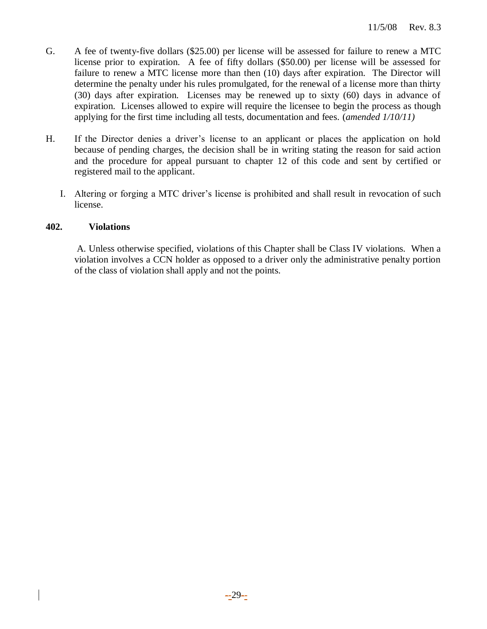- G. A fee of twenty-five dollars (\$25.00) per license will be assessed for failure to renew a MTC license prior to expiration. A fee of fifty dollars (\$50.00) per license will be assessed for failure to renew a MTC license more than then (10) days after expiration. The Director will determine the penalty under his rules promulgated, for the renewal of a license more than thirty (30) days after expiration. Licenses may be renewed up to sixty (60) days in advance of expiration. Licenses allowed to expire will require the licensee to begin the process as though applying for the first time including all tests, documentation and fees. (*amended 1/10/11)*
- H. If the Director denies a driver's license to an applicant or places the application on hold because of pending charges, the decision shall be in writing stating the reason for said action and the procedure for appeal pursuant to chapter 12 of this code and sent by certified or registered mail to the applicant.
	- I. Altering or forging a MTC driver's license is prohibited and shall result in revocation of such license.

## **402. Violations**

A. Unless otherwise specified, violations of this Chapter shall be Class IV violations. When a violation involves a CCN holder as opposed to a driver only the administrative penalty portion of the class of violation shall apply and not the points.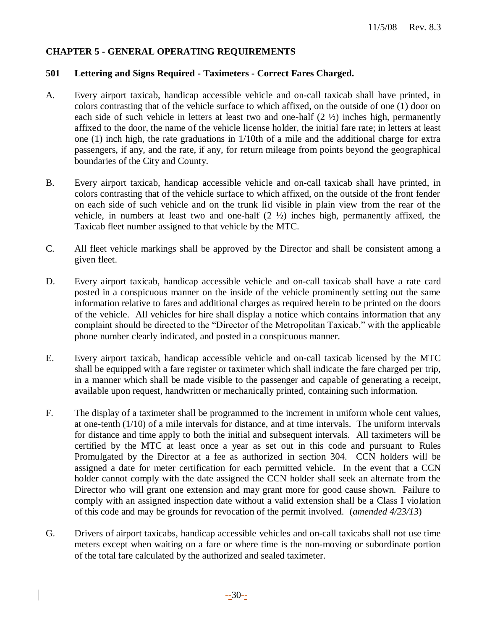## **CHAPTER 5 - GENERAL OPERATING REQUIREMENTS**

#### **501 Lettering and Signs Required - Taximeters - Correct Fares Charged.**

- A. Every airport taxicab, handicap accessible vehicle and on-call taxicab shall have printed, in colors contrasting that of the vehicle surface to which affixed, on the outside of one (1) door on each side of such vehicle in letters at least two and one-half  $(2 \frac{1}{2})$  inches high, permanently affixed to the door, the name of the vehicle license holder, the initial fare rate; in letters at least one (1) inch high, the rate graduations in 1/10th of a mile and the additional charge for extra passengers, if any, and the rate, if any, for return mileage from points beyond the geographical boundaries of the City and County.
- B. Every airport taxicab, handicap accessible vehicle and on-call taxicab shall have printed, in colors contrasting that of the vehicle surface to which affixed, on the outside of the front fender on each side of such vehicle and on the trunk lid visible in plain view from the rear of the vehicle, in numbers at least two and one-half (2 ½) inches high, permanently affixed, the Taxicab fleet number assigned to that vehicle by the MTC.
- C. All fleet vehicle markings shall be approved by the Director and shall be consistent among a given fleet.
- D. Every airport taxicab, handicap accessible vehicle and on-call taxicab shall have a rate card posted in a conspicuous manner on the inside of the vehicle prominently setting out the same information relative to fares and additional charges as required herein to be printed on the doors of the vehicle. All vehicles for hire shall display a notice which contains information that any complaint should be directed to the "Director of the Metropolitan Taxicab," with the applicable phone number clearly indicated, and posted in a conspicuous manner.
- E. Every airport taxicab, handicap accessible vehicle and on-call taxicab licensed by the MTC shall be equipped with a fare register or taximeter which shall indicate the fare charged per trip, in a manner which shall be made visible to the passenger and capable of generating a receipt, available upon request, handwritten or mechanically printed, containing such information.
- F. The display of a taximeter shall be programmed to the increment in uniform whole cent values, at one-tenth (1/10) of a mile intervals for distance, and at time intervals. The uniform intervals for distance and time apply to both the initial and subsequent intervals. All taximeters will be certified by the MTC at least once a year as set out in this code and pursuant to Rules Promulgated by the Director at a fee as authorized in section 304. CCN holders will be assigned a date for meter certification for each permitted vehicle. In the event that a CCN holder cannot comply with the date assigned the CCN holder shall seek an alternate from the Director who will grant one extension and may grant more for good cause shown. Failure to comply with an assigned inspection date without a valid extension shall be a Class I violation of this code and may be grounds for revocation of the permit involved. (*amended 4/23/13*)
- G. Drivers of airport taxicabs, handicap accessible vehicles and on-call taxicabs shall not use time meters except when waiting on a fare or where time is the non-moving or subordinate portion of the total fare calculated by the authorized and sealed taximeter.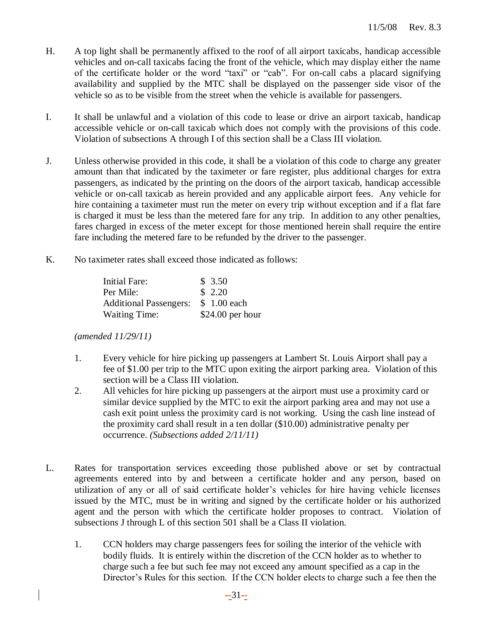- H. A top light shall be permanently affixed to the roof of all airport taxicabs, handicap accessible vehicles and on-call taxicabs facing the front of the vehicle, which may display either the name of the certificate holder or the word "taxi" or "cab". For on-call cabs a placard signifying availability and supplied by the MTC shall be displayed on the passenger side visor of the vehicle so as to be visible from the street when the vehicle is available for passengers.
- I. It shall be unlawful and a violation of this code to lease or drive an airport taxicab, handicap accessible vehicle or on-call taxicab which does not comply with the provisions of this code. Violation of subsections A through I of this section shall be a Class III violation.
- J. Unless otherwise provided in this code, it shall be a violation of this code to charge any greater amount than that indicated by the taximeter or fare register, plus additional charges for extra passengers, as indicated by the printing on the doors of the airport taxicab, handicap accessible vehicle or on-call taxicab as herein provided and any applicable airport fees. Any vehicle for hire containing a taximeter must run the meter on every trip without exception and if a flat fare is charged it must be less than the metered fare for any trip. In addition to any other penalties, fares charged in excess of the meter except for those mentioned herein shall require the entire fare including the metered fare to be refunded by the driver to the passenger.
- K. No taximeter rates shall exceed those indicated as follows:

| Initial Fare:                 | \$3.50            |
|-------------------------------|-------------------|
| Per Mile:                     | \$2.20            |
| <b>Additional Passengers:</b> | \$1.00 each       |
| <b>Waiting Time:</b>          | $$24.00$ per hour |

*(amended 11/29/11)*

- 1. Every vehicle for hire picking up passengers at Lambert St. Louis Airport shall pay a fee of \$1.00 per trip to the MTC upon exiting the airport parking area. Violation of this section will be a Class III violation.
- 2. All vehicles for hire picking up passengers at the airport must use a proximity card or similar device supplied by the MTC to exit the airport parking area and may not use a cash exit point unless the proximity card is not working. Using the cash line instead of the proximity card shall result in a ten dollar (\$10.00) administrative penalty per occurrence. *(Subsections added 2/11/11)*
- L. Rates for transportation services exceeding those published above or set by contractual agreements entered into by and between a certificate holder and any person, based on utilization of any or all of said certificate holder's vehicles for hire having vehicle licenses issued by the MTC, must be in writing and signed by the certificate holder or his authorized agent and the person with which the certificate holder proposes to contract. Violation of subsections J through L of this section 501 shall be a Class II violation.
	- 1. CCN holders may charge passengers fees for soiling the interior of the vehicle with bodily fluids. It is entirely within the discretion of the CCN holder as to whether to charge such a fee but such fee may not exceed any amount specified as a cap in the Director's Rules for this section. If the CCN holder elects to charge such a fee then the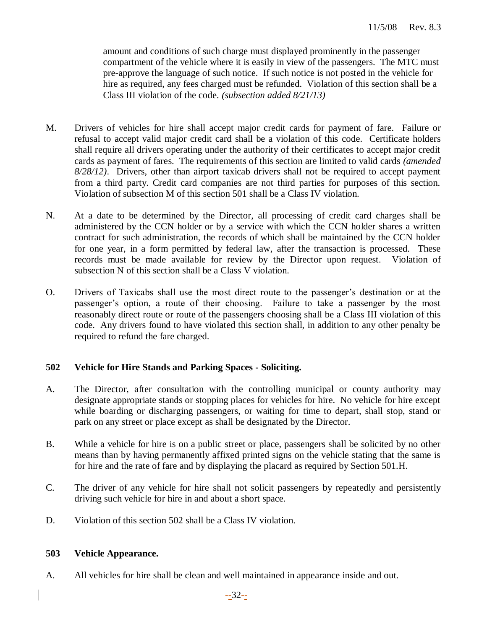amount and conditions of such charge must displayed prominently in the passenger compartment of the vehicle where it is easily in view of the passengers. The MTC must pre-approve the language of such notice. If such notice is not posted in the vehicle for hire as required, any fees charged must be refunded. Violation of this section shall be a Class III violation of the code. *(subsection added 8/21/13)*

- M. Drivers of vehicles for hire shall accept major credit cards for payment of fare. Failure or refusal to accept valid major credit card shall be a violation of this code. Certificate holders shall require all drivers operating under the authority of their certificates to accept major credit cards as payment of fares. The requirements of this section are limited to valid cards *(amended 8/28/12)*. Drivers, other than airport taxicab drivers shall not be required to accept payment from a third party. Credit card companies are not third parties for purposes of this section. Violation of subsection M of this section 501 shall be a Class IV violation.
- N. At a date to be determined by the Director, all processing of credit card charges shall be administered by the CCN holder or by a service with which the CCN holder shares a written contract for such administration, the records of which shall be maintained by the CCN holder for one year, in a form permitted by federal law, after the transaction is processed. These records must be made available for review by the Director upon request. Violation of subsection N of this section shall be a Class V violation.
- O. Drivers of Taxicabs shall use the most direct route to the passenger's destination or at the passenger's option, a route of their choosing. Failure to take a passenger by the most reasonably direct route or route of the passengers choosing shall be a Class III violation of this code. Any drivers found to have violated this section shall, in addition to any other penalty be required to refund the fare charged.

## **502 Vehicle for Hire Stands and Parking Spaces - Soliciting.**

- A. The Director, after consultation with the controlling municipal or county authority may designate appropriate stands or stopping places for vehicles for hire. No vehicle for hire except while boarding or discharging passengers, or waiting for time to depart, shall stop, stand or park on any street or place except as shall be designated by the Director.
- B. While a vehicle for hire is on a public street or place, passengers shall be solicited by no other means than by having permanently affixed printed signs on the vehicle stating that the same is for hire and the rate of fare and by displaying the placard as required by Section 501.H.
- C. The driver of any vehicle for hire shall not solicit passengers by repeatedly and persistently driving such vehicle for hire in and about a short space.
- D. Violation of this section 502 shall be a Class IV violation.

## **503 Vehicle Appearance.**

A. All vehicles for hire shall be clean and well maintained in appearance inside and out.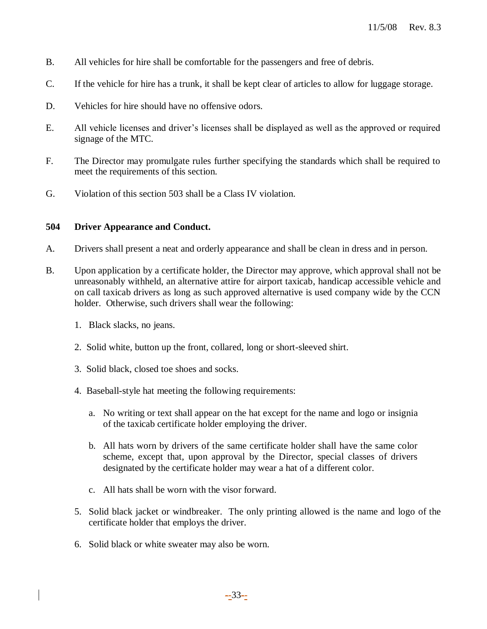- B. All vehicles for hire shall be comfortable for the passengers and free of debris.
- C. If the vehicle for hire has a trunk, it shall be kept clear of articles to allow for luggage storage.
- D. Vehicles for hire should have no offensive odors.
- E. All vehicle licenses and driver's licenses shall be displayed as well as the approved or required signage of the MTC.
- F. The Director may promulgate rules further specifying the standards which shall be required to meet the requirements of this section.
- G. Violation of this section 503 shall be a Class IV violation.

## **504 Driver Appearance and Conduct.**

- A. Drivers shall present a neat and orderly appearance and shall be clean in dress and in person.
- B. Upon application by a certificate holder, the Director may approve, which approval shall not be unreasonably withheld, an alternative attire for airport taxicab, handicap accessible vehicle and on call taxicab drivers as long as such approved alternative is used company wide by the CCN holder. Otherwise, such drivers shall wear the following:
	- 1. Black slacks, no jeans.
	- 2. Solid white, button up the front, collared, long or short-sleeved shirt.
	- 3. Solid black, closed toe shoes and socks.
	- 4. Baseball-style hat meeting the following requirements:
		- a. No writing or text shall appear on the hat except for the name and logo or insignia of the taxicab certificate holder employing the driver.
		- b. All hats worn by drivers of the same certificate holder shall have the same color scheme, except that, upon approval by the Director, special classes of drivers designated by the certificate holder may wear a hat of a different color.
		- c. All hats shall be worn with the visor forward.
	- 5. Solid black jacket or windbreaker. The only printing allowed is the name and logo of the certificate holder that employs the driver.
	- 6. Solid black or white sweater may also be worn.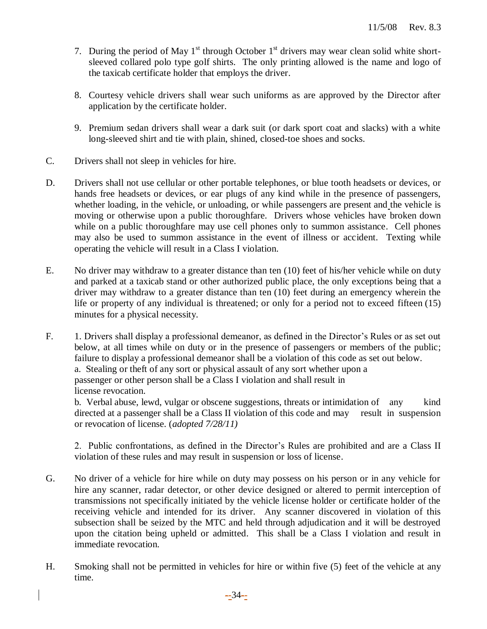- 7. During the period of May  $1<sup>st</sup>$  through October  $1<sup>st</sup>$  drivers may wear clean solid white shortsleeved collared polo type golf shirts. The only printing allowed is the name and logo of the taxicab certificate holder that employs the driver.
- 8. Courtesy vehicle drivers shall wear such uniforms as are approved by the Director after application by the certificate holder.
- 9. Premium sedan drivers shall wear a dark suit (or dark sport coat and slacks) with a white long-sleeved shirt and tie with plain, shined, closed-toe shoes and socks.
- C. Drivers shall not sleep in vehicles for hire.
- D. Drivers shall not use cellular or other portable telephones, or blue tooth headsets or devices, or hands free headsets or devices, or ear plugs of any kind while in the presence of passengers, whether loading, in the vehicle, or unloading, or while passengers are present and the vehicle is moving or otherwise upon a public thoroughfare. Drivers whose vehicles have broken down while on a public thoroughfare may use cell phones only to summon assistance. Cell phones may also be used to summon assistance in the event of illness or accident. Texting while operating the vehicle will result in a Class I violation.
- E. No driver may withdraw to a greater distance than ten (10) feet of his/her vehicle while on duty and parked at a taxicab stand or other authorized public place, the only exceptions being that a driver may withdraw to a greater distance than ten (10) feet during an emergency wherein the life or property of any individual is threatened; or only for a period not to exceed fifteen (15) minutes for a physical necessity.
- F. 1. Drivers shall display a professional demeanor, as defined in the Director's Rules or as set out below, at all times while on duty or in the presence of passengers or members of the public; failure to display a professional demeanor shall be a violation of this code as set out below. a. Stealing or theft of any sort or physical assault of any sort whether upon a passenger or other person shall be a Class I violation and shall result in license revocation. b. Verbal abuse, lewd, vulgar or obscene suggestions, threats or intimidation of any kind

directed at a passenger shall be a Class II violation of this code and may result in suspension or revocation of license. (*adopted 7/28/11)*

2. Public confrontations, as defined in the Director's Rules are prohibited and are a Class II violation of these rules and may result in suspension or loss of license.

- G. No driver of a vehicle for hire while on duty may possess on his person or in any vehicle for hire any scanner, radar detector, or other device designed or altered to permit interception of transmissions not specifically initiated by the vehicle license holder or certificate holder of the receiving vehicle and intended for its driver.Any scanner discovered in violation of this subsection shall be seized by the MTC and held through adjudication and it will be destroyed upon the citation being upheld or admitted. This shall be a Class I violation and result in immediate revocation.
- H. Smoking shall not be permitted in vehicles for hire or within five (5) feet of the vehicle at any time.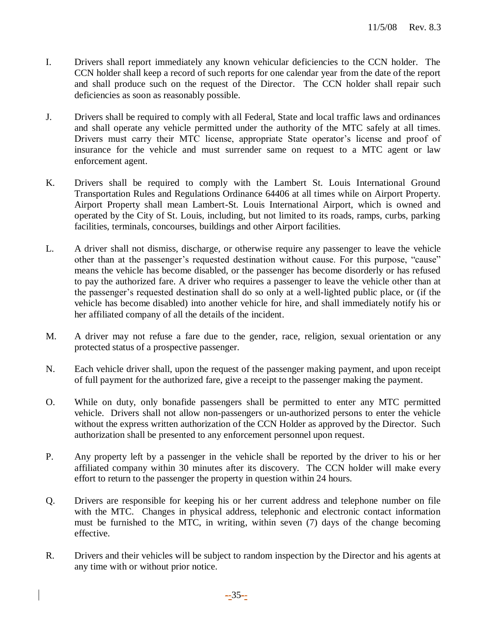- I. Drivers shall report immediately any known vehicular deficiencies to the CCN holder. The CCN holder shall keep a record of such reports for one calendar year from the date of the report and shall produce such on the request of the Director. The CCN holder shall repair such deficiencies as soon as reasonably possible.
- J. Drivers shall be required to comply with all Federal, State and local traffic laws and ordinances and shall operate any vehicle permitted under the authority of the MTC safely at all times. Drivers must carry their MTC license, appropriate State operator's license and proof of insurance for the vehicle and must surrender same on request to a MTC agent or law enforcement agent.
- K. Drivers shall be required to comply with the Lambert St. Louis International Ground Transportation Rules and Regulations Ordinance 64406 at all times while on Airport Property. Airport Property shall mean Lambert-St. Louis International Airport, which is owned and operated by the City of St. Louis, including, but not limited to its roads, ramps, curbs, parking facilities, terminals, concourses, buildings and other Airport facilities.
- L. A driver shall not dismiss, discharge, or otherwise require any passenger to leave the vehicle other than at the passenger's requested destination without cause. For this purpose, "cause" means the vehicle has become disabled, or the passenger has become disorderly or has refused to pay the authorized fare. A driver who requires a passenger to leave the vehicle other than at the passenger's requested destination shall do so only at a well-lighted public place, or (if the vehicle has become disabled) into another vehicle for hire, and shall immediately notify his or her affiliated company of all the details of the incident.
- M. A driver may not refuse a fare due to the gender, race, religion, sexual orientation or any protected status of a prospective passenger.
- N. Each vehicle driver shall, upon the request of the passenger making payment, and upon receipt of full payment for the authorized fare, give a receipt to the passenger making the payment.
- O. While on duty, only bonafide passengers shall be permitted to enter any MTC permitted vehicle. Drivers shall not allow non-passengers or un-authorized persons to enter the vehicle without the express written authorization of the CCN Holder as approved by the Director. Such authorization shall be presented to any enforcement personnel upon request.
- P. Any property left by a passenger in the vehicle shall be reported by the driver to his or her affiliated company within 30 minutes after its discovery. The CCN holder will make every effort to return to the passenger the property in question within 24 hours.
- Q. Drivers are responsible for keeping his or her current address and telephone number on file with the MTC. Changes in physical address, telephonic and electronic contact information must be furnished to the MTC, in writing, within seven (7) days of the change becoming effective.
- R. Drivers and their vehicles will be subject to random inspection by the Director and his agents at any time with or without prior notice.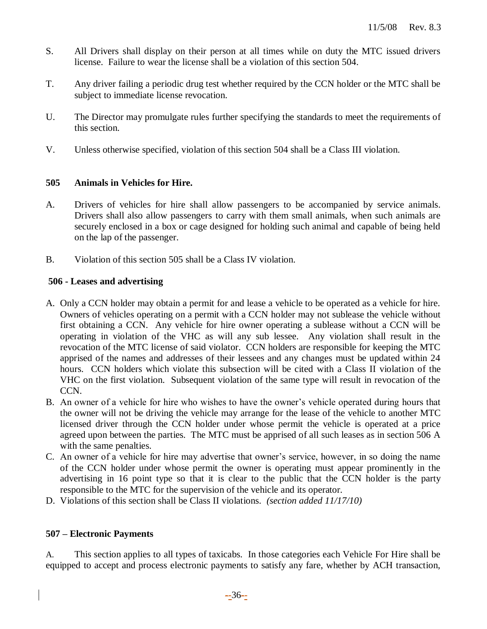- S. All Drivers shall display on their person at all times while on duty the MTC issued drivers license. Failure to wear the license shall be a violation of this section 504.
- T. Any driver failing a periodic drug test whether required by the CCN holder or the MTC shall be subject to immediate license revocation.
- U. The Director may promulgate rules further specifying the standards to meet the requirements of this section.
- V. Unless otherwise specified, violation of this section 504 shall be a Class III violation.

# **505 Animals in Vehicles for Hire.**

- A. Drivers of vehicles for hire shall allow passengers to be accompanied by service animals. Drivers shall also allow passengers to carry with them small animals, when such animals are securely enclosed in a box or cage designed for holding such animal and capable of being held on the lap of the passenger.
- B. Violation of this section 505 shall be a Class IV violation.

# **506 - Leases and advertising**

- A. Only a CCN holder may obtain a permit for and lease a vehicle to be operated as a vehicle for hire. Owners of vehicles operating on a permit with a CCN holder may not sublease the vehicle without first obtaining a CCN. Any vehicle for hire owner operating a sublease without a CCN will be operating in violation of the VHC as will any sub lessee. Any violation shall result in the revocation of the MTC license of said violator. CCN holders are responsible for keeping the MTC apprised of the names and addresses of their lessees and any changes must be updated within 24 hours. CCN holders which violate this subsection will be cited with a Class II violation of the VHC on the first violation. Subsequent violation of the same type will result in revocation of the CCN.
- B. An owner of a vehicle for hire who wishes to have the owner's vehicle operated during hours that the owner will not be driving the vehicle may arrange for the lease of the vehicle to another MTC licensed driver through the CCN holder under whose permit the vehicle is operated at a price agreed upon between the parties. The MTC must be apprised of all such leases as in section 506 A with the same penalties.
- C. An owner of a vehicle for hire may advertise that owner's service, however, in so doing the name of the CCN holder under whose permit the owner is operating must appear prominently in the advertising in 16 point type so that it is clear to the public that the CCN holder is the party responsible to the MTC for the supervision of the vehicle and its operator.
- D. Violations of this section shall be Class II violations. *(section added 11/17/10)*

# **507 – Electronic Payments**

A. This section applies to all types of taxicabs. In those categories each Vehicle For Hire shall be equipped to accept and process electronic payments to satisfy any fare, whether by ACH transaction,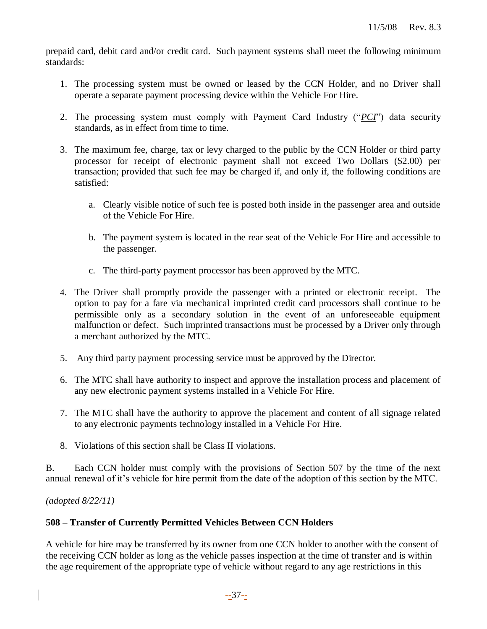prepaid card, debit card and/or credit card. Such payment systems shall meet the following minimum standards:

- 1. The processing system must be owned or leased by the CCN Holder, and no Driver shall operate a separate payment processing device within the Vehicle For Hire.
- 2. The processing system must comply with Payment Card Industry ("*PCI*") data security standards, as in effect from time to time.
- 3. The maximum fee, charge, tax or levy charged to the public by the CCN Holder or third party processor for receipt of electronic payment shall not exceed Two Dollars (\$2.00) per transaction; provided that such fee may be charged if, and only if, the following conditions are satisfied:
	- a. Clearly visible notice of such fee is posted both inside in the passenger area and outside of the Vehicle For Hire.
	- b. The payment system is located in the rear seat of the Vehicle For Hire and accessible to the passenger.
	- c. The third-party payment processor has been approved by the MTC.
- 4. The Driver shall promptly provide the passenger with a printed or electronic receipt. The option to pay for a fare via mechanical imprinted credit card processors shall continue to be permissible only as a secondary solution in the event of an unforeseeable equipment malfunction or defect. Such imprinted transactions must be processed by a Driver only through a merchant authorized by the MTC.
- 5. Any third party payment processing service must be approved by the Director.
- 6. The MTC shall have authority to inspect and approve the installation process and placement of any new electronic payment systems installed in a Vehicle For Hire.
- 7. The MTC shall have the authority to approve the placement and content of all signage related to any electronic payments technology installed in a Vehicle For Hire.
- 8. Violations of this section shall be Class II violations.

B. Each CCN holder must comply with the provisions of Section 507 by the time of the next annual renewal of it's vehicle for hire permit from the date of the adoption of this section by the MTC.

*(adopted 8/22/11)*

## **508 – Transfer of Currently Permitted Vehicles Between CCN Holders**

A vehicle for hire may be transferred by its owner from one CCN holder to another with the consent of the receiving CCN holder as long as the vehicle passes inspection at the time of transfer and is within the age requirement of the appropriate type of vehicle without regard to any age restrictions in this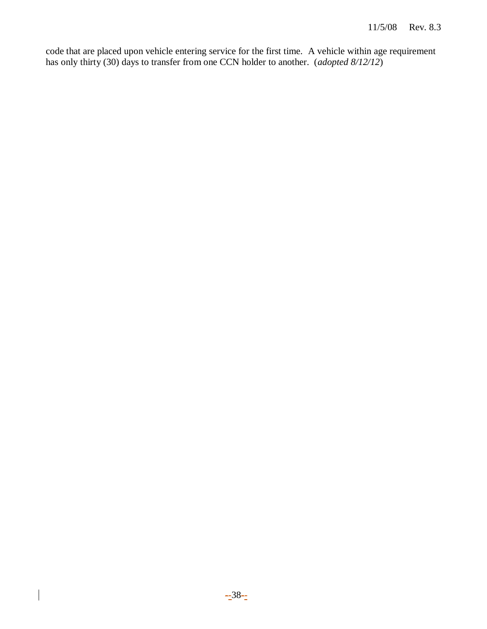code that are placed upon vehicle entering service for the first time. A vehicle within age requirement has only thirty (30) days to transfer from one CCN holder to another. (*adopted 8/12/12*)

 $\overline{\phantom{a}}$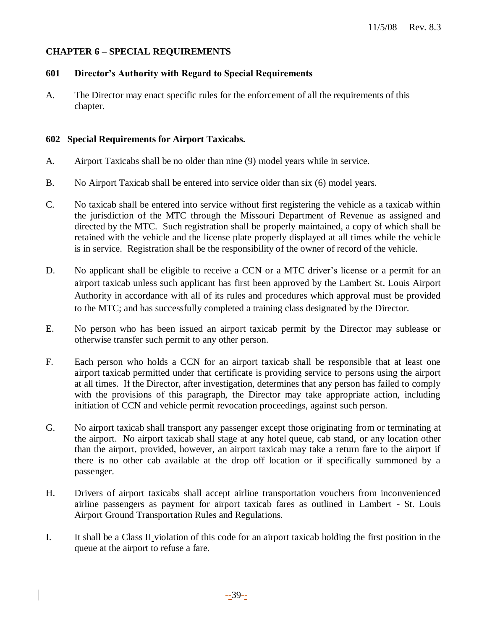## **CHAPTER 6 – SPECIAL REQUIREMENTS**

## **601 Director's Authority with Regard to Special Requirements**

A. The Director may enact specific rules for the enforcement of all the requirements of this chapter.

## **602 Special Requirements for Airport Taxicabs.**

- A. Airport Taxicabs shall be no older than nine (9) model years while in service.
- B. No Airport Taxicab shall be entered into service older than six (6) model years.
- C. No taxicab shall be entered into service without first registering the vehicle as a taxicab within the jurisdiction of the MTC through the Missouri Department of Revenue as assigned and directed by the MTC. Such registration shall be properly maintained, a copy of which shall be retained with the vehicle and the license plate properly displayed at all times while the vehicle is in service. Registration shall be the responsibility of the owner of record of the vehicle.
- D. No applicant shall be eligible to receive a CCN or a MTC driver's license or a permit for an airport taxicab unless such applicant has first been approved by the Lambert St. Louis Airport Authority in accordance with all of its rules and procedures which approval must be provided to the MTC; and has successfully completed a training class designated by the Director.
- E. No person who has been issued an airport taxicab permit by the Director may sublease or otherwise transfer such permit to any other person.
- F. Each person who holds a CCN for an airport taxicab shall be responsible that at least one airport taxicab permitted under that certificate is providing service to persons using the airport at all times. If the Director, after investigation, determines that any person has failed to comply with the provisions of this paragraph, the Director may take appropriate action, including initiation of CCN and vehicle permit revocation proceedings, against such person.
- G. No airport taxicab shall transport any passenger except those originating from or terminating at the airport. No airport taxicab shall stage at any hotel queue, cab stand, or any location other than the airport, provided, however, an airport taxicab may take a return fare to the airport if there is no other cab available at the drop off location or if specifically summoned by a passenger.
- H. Drivers of airport taxicabs shall accept airline transportation vouchers from inconvenienced airline passengers as payment for airport taxicab fares as outlined in Lambert - St. Louis Airport Ground Transportation Rules and Regulations.
- I. It shall be a Class II violation of this code for an airport taxicab holding the first position in the queue at the airport to refuse a fare.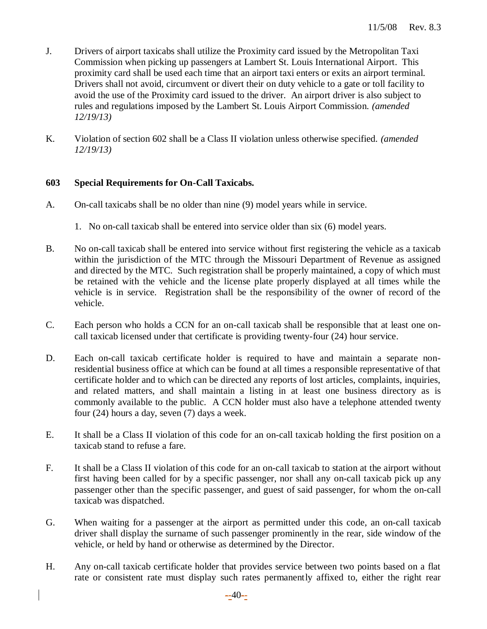- J. Drivers of airport taxicabs shall utilize the Proximity card issued by the Metropolitan Taxi Commission when picking up passengers at Lambert St. Louis International Airport. This proximity card shall be used each time that an airport taxi enters or exits an airport terminal. Drivers shall not avoid, circumvent or divert their on duty vehicle to a gate or toll facility to avoid the use of the Proximity card issued to the driver. An airport driver is also subject to rules and regulations imposed by the Lambert St. Louis Airport Commission. *(amended 12/19/13)*
- K. Violation of section 602 shall be a Class II violation unless otherwise specified. *(amended 12/19/13)*

# **603 Special Requirements for On-Call Taxicabs.**

- A. On-call taxicabs shall be no older than nine (9) model years while in service.
	- 1. No on-call taxicab shall be entered into service older than six (6) model years.
- B. No on-call taxicab shall be entered into service without first registering the vehicle as a taxicab within the jurisdiction of the MTC through the Missouri Department of Revenue as assigned and directed by the MTC. Such registration shall be properly maintained, a copy of which must be retained with the vehicle and the license plate properly displayed at all times while the vehicle is in service. Registration shall be the responsibility of the owner of record of the vehicle.
- C. Each person who holds a CCN for an on-call taxicab shall be responsible that at least one oncall taxicab licensed under that certificate is providing twenty-four (24) hour service.
- D. Each on-call taxicab certificate holder is required to have and maintain a separate nonresidential business office at which can be found at all times a responsible representative of that certificate holder and to which can be directed any reports of lost articles, complaints, inquiries, and related matters, and shall maintain a listing in at least one business directory as is commonly available to the public. A CCN holder must also have a telephone attended twenty four (24) hours a day, seven (7) days a week.
- E. It shall be a Class II violation of this code for an on-call taxicab holding the first position on a taxicab stand to refuse a fare.
- F. It shall be a Class II violation of this code for an on-call taxicab to station at the airport without first having been called for by a specific passenger, nor shall any on-call taxicab pick up any passenger other than the specific passenger, and guest of said passenger, for whom the on-call taxicab was dispatched.
- G. When waiting for a passenger at the airport as permitted under this code, an on-call taxicab driver shall display the surname of such passenger prominently in the rear, side window of the vehicle, or held by hand or otherwise as determined by the Director.
- H. Any on-call taxicab certificate holder that provides service between two points based on a flat rate or consistent rate must display such rates permanently affixed to, either the right rear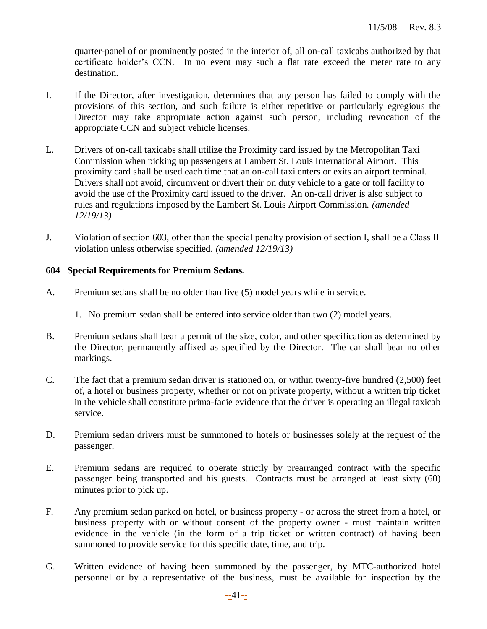quarter-panel of or prominently posted in the interior of, all on-call taxicabs authorized by that certificate holder's CCN. In no event may such a flat rate exceed the meter rate to any destination.

- I. If the Director, after investigation, determines that any person has failed to comply with the provisions of this section, and such failure is either repetitive or particularly egregious the Director may take appropriate action against such person, including revocation of the appropriate CCN and subject vehicle licenses.
- L. Drivers of on-call taxicabs shall utilize the Proximity card issued by the Metropolitan Taxi Commission when picking up passengers at Lambert St. Louis International Airport. This proximity card shall be used each time that an on-call taxi enters or exits an airport terminal. Drivers shall not avoid, circumvent or divert their on duty vehicle to a gate or toll facility to avoid the use of the Proximity card issued to the driver. An on-call driver is also subject to rules and regulations imposed by the Lambert St. Louis Airport Commission. *(amended 12/19/13)*
- J. Violation of section 603, other than the special penalty provision of section I, shall be a Class II violation unless otherwise specified. *(amended 12/19/13)*

## **604 Special Requirements for Premium Sedans.**

- A. Premium sedans shall be no older than five (5) model years while in service.
	- 1. No premium sedan shall be entered into service older than two (2) model years.
- B. Premium sedans shall bear a permit of the size, color, and other specification as determined by the Director, permanently affixed as specified by the Director. The car shall bear no other markings.
- C. The fact that a premium sedan driver is stationed on, or within twenty-five hundred (2,500) feet of, a hotel or business property, whether or not on private property, without a written trip ticket in the vehicle shall constitute prima-facie evidence that the driver is operating an illegal taxicab service.
- D. Premium sedan drivers must be summoned to hotels or businesses solely at the request of the passenger.
- E. Premium sedans are required to operate strictly by prearranged contract with the specific passenger being transported and his guests. Contracts must be arranged at least sixty (60) minutes prior to pick up.
- F. Any premium sedan parked on hotel, or business property or across the street from a hotel, or business property with or without consent of the property owner - must maintain written evidence in the vehicle (in the form of a trip ticket or written contract) of having been summoned to provide service for this specific date, time, and trip.
- G. Written evidence of having been summoned by the passenger, by MTC-authorized hotel personnel or by a representative of the business, must be available for inspection by the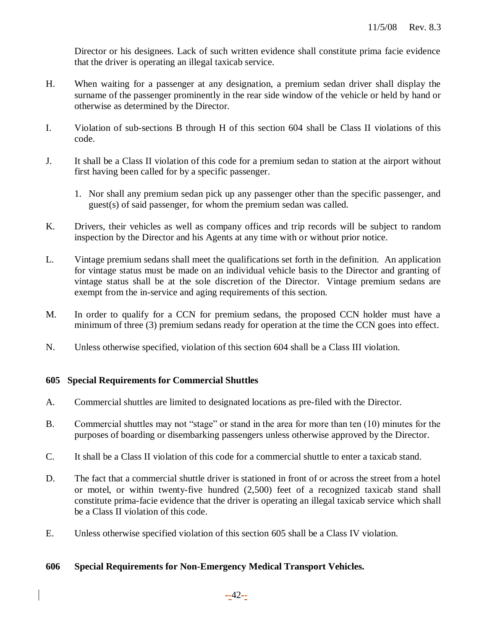Director or his designees. Lack of such written evidence shall constitute prima facie evidence that the driver is operating an illegal taxicab service.

- H. When waiting for a passenger at any designation, a premium sedan driver shall display the surname of the passenger prominently in the rear side window of the vehicle or held by hand or otherwise as determined by the Director.
- I. Violation of sub-sections B through H of this section 604 shall be Class II violations of this code.
- J. It shall be a Class II violation of this code for a premium sedan to station at the airport without first having been called for by a specific passenger.
	- 1. Nor shall any premium sedan pick up any passenger other than the specific passenger, and guest(s) of said passenger, for whom the premium sedan was called.
- K. Drivers, their vehicles as well as company offices and trip records will be subject to random inspection by the Director and his Agents at any time with or without prior notice.
- L. Vintage premium sedans shall meet the qualifications set forth in the definition. An application for vintage status must be made on an individual vehicle basis to the Director and granting of vintage status shall be at the sole discretion of the Director. Vintage premium sedans are exempt from the in-service and aging requirements of this section.
- M. In order to qualify for a CCN for premium sedans, the proposed CCN holder must have a minimum of three (3) premium sedans ready for operation at the time the CCN goes into effect.
- N. Unless otherwise specified, violation of this section 604 shall be a Class III violation.

## **605 Special Requirements for Commercial Shuttles**

- A. Commercial shuttles are limited to designated locations as pre-filed with the Director.
- B. Commercial shuttles may not "stage" or stand in the area for more than ten (10) minutes for the purposes of boarding or disembarking passengers unless otherwise approved by the Director.
- C. It shall be a Class II violation of this code for a commercial shuttle to enter a taxicab stand.
- D. The fact that a commercial shuttle driver is stationed in front of or across the street from a hotel or motel, or within twenty-five hundred (2,500) feet of a recognized taxicab stand shall constitute prima-facie evidence that the driver is operating an illegal taxicab service which shall be a Class II violation of this code.
- E. Unless otherwise specified violation of this section 605 shall be a Class IV violation.

## **606 Special Requirements for Non-Emergency Medical Transport Vehicles.**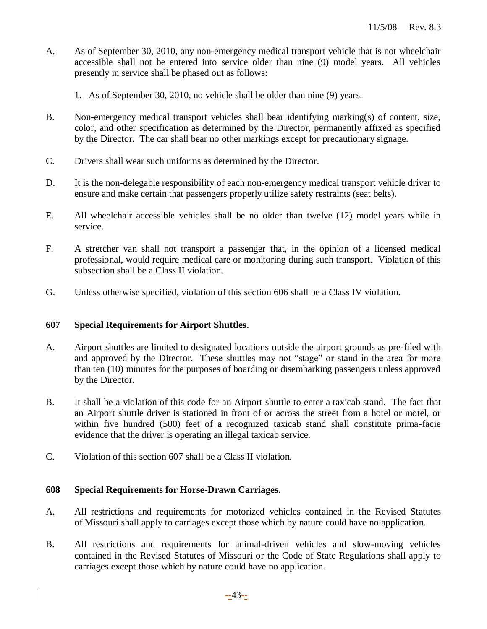- A. As of September 30, 2010, any non-emergency medical transport vehicle that is not wheelchair accessible shall not be entered into service older than nine (9) model years. All vehicles presently in service shall be phased out as follows:
	- 1. As of September 30, 2010, no vehicle shall be older than nine (9) years.
- B. Non-emergency medical transport vehicles shall bear identifying marking(s) of content, size, color, and other specification as determined by the Director, permanently affixed as specified by the Director. The car shall bear no other markings except for precautionary signage.
- C. Drivers shall wear such uniforms as determined by the Director.
- D. It is the non-delegable responsibility of each non-emergency medical transport vehicle driver to ensure and make certain that passengers properly utilize safety restraints (seat belts).
- E. All wheelchair accessible vehicles shall be no older than twelve (12) model years while in service.
- F. A stretcher van shall not transport a passenger that, in the opinion of a licensed medical professional, would require medical care or monitoring during such transport. Violation of this subsection shall be a Class II violation.
- G. Unless otherwise specified, violation of this section 606 shall be a Class IV violation.

## **607 Special Requirements for Airport Shuttles**.

- A. Airport shuttles are limited to designated locations outside the airport grounds as pre-filed with and approved by the Director. These shuttles may not "stage" or stand in the area for more than ten (10) minutes for the purposes of boarding or disembarking passengers unless approved by the Director.
- B. It shall be a violation of this code for an Airport shuttle to enter a taxicab stand. The fact that an Airport shuttle driver is stationed in front of or across the street from a hotel or motel, or within five hundred (500) feet of a recognized taxicab stand shall constitute prima-facie evidence that the driver is operating an illegal taxicab service.
- C. Violation of this section 607 shall be a Class II violation.

# **608 Special Requirements for Horse-Drawn Carriages**.

- A. All restrictions and requirements for motorized vehicles contained in the Revised Statutes of Missouri shall apply to carriages except those which by nature could have no application.
- B. All restrictions and requirements for animal-driven vehicles and slow-moving vehicles contained in the Revised Statutes of Missouri or the Code of State Regulations shall apply to carriages except those which by nature could have no application.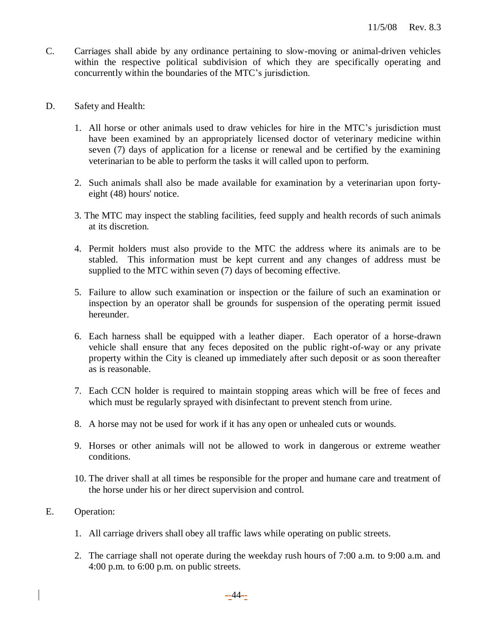- C. Carriages shall abide by any ordinance pertaining to slow-moving or animal-driven vehicles within the respective political subdivision of which they are specifically operating and concurrently within the boundaries of the MTC's jurisdiction.
- D. Safety and Health:
	- 1. All horse or other animals used to draw vehicles for hire in the MTC's jurisdiction must have been examined by an appropriately licensed doctor of veterinary medicine within seven (7) days of application for a license or renewal and be certified by the examining veterinarian to be able to perform the tasks it will called upon to perform.
	- 2. Such animals shall also be made available for examination by a veterinarian upon fortyeight (48) hours' notice.
	- 3. The MTC may inspect the stabling facilities, feed supply and health records of such animals at its discretion.
	- 4. Permit holders must also provide to the MTC the address where its animals are to be stabled. This information must be kept current and any changes of address must be supplied to the MTC within seven (7) days of becoming effective.
	- 5. Failure to allow such examination or inspection or the failure of such an examination or inspection by an operator shall be grounds for suspension of the operating permit issued hereunder.
	- 6. Each harness shall be equipped with a leather diaper. Each operator of a horse-drawn vehicle shall ensure that any feces deposited on the public right-of-way or any private property within the City is cleaned up immediately after such deposit or as soon thereafter as is reasonable.
	- 7. Each CCN holder is required to maintain stopping areas which will be free of feces and which must be regularly sprayed with disinfectant to prevent stench from urine.
	- 8. A horse may not be used for work if it has any open or unhealed cuts or wounds.
	- 9. Horses or other animals will not be allowed to work in dangerous or extreme weather conditions.
	- 10. The driver shall at all times be responsible for the proper and humane care and treatment of the horse under his or her direct supervision and control.
- E. Operation:
	- 1. All carriage drivers shall obey all traffic laws while operating on public streets.
	- 2. The carriage shall not operate during the weekday rush hours of 7:00 a.m. to 9:00 a.m. and 4:00 p.m. to 6:00 p.m. on public streets.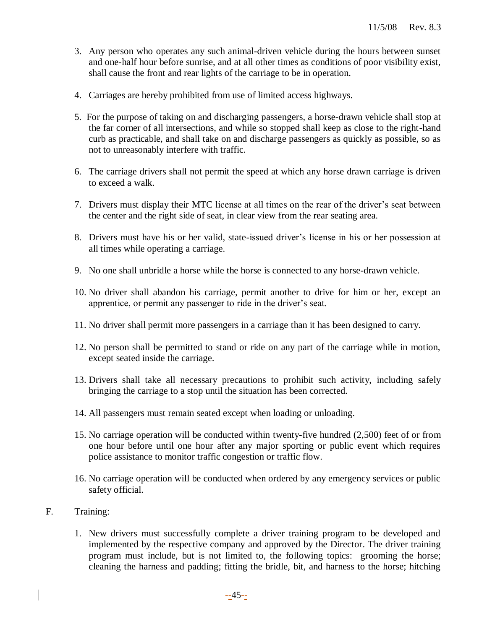- 3. Any person who operates any such animal-driven vehicle during the hours between sunset and one-half hour before sunrise, and at all other times as conditions of poor visibility exist, shall cause the front and rear lights of the carriage to be in operation.
- 4. Carriages are hereby prohibited from use of limited access highways.
- 5. For the purpose of taking on and discharging passengers, a horse-drawn vehicle shall stop at the far corner of all intersections, and while so stopped shall keep as close to the right-hand curb as practicable, and shall take on and discharge passengers as quickly as possible, so as not to unreasonably interfere with traffic.
- 6. The carriage drivers shall not permit the speed at which any horse drawn carriage is driven to exceed a walk.
- 7. Drivers must display their MTC license at all times on the rear of the driver's seat between the center and the right side of seat, in clear view from the rear seating area.
- 8. Drivers must have his or her valid, state-issued driver's license in his or her possession at all times while operating a carriage.
- 9. No one shall unbridle a horse while the horse is connected to any horse-drawn vehicle.
- 10. No driver shall abandon his carriage, permit another to drive for him or her, except an apprentice, or permit any passenger to ride in the driver's seat.
- 11. No driver shall permit more passengers in a carriage than it has been designed to carry.
- 12. No person shall be permitted to stand or ride on any part of the carriage while in motion, except seated inside the carriage.
- 13. Drivers shall take all necessary precautions to prohibit such activity, including safely bringing the carriage to a stop until the situation has been corrected.
- 14. All passengers must remain seated except when loading or unloading.
- 15. No carriage operation will be conducted within twenty-five hundred (2,500) feet of or from one hour before until one hour after any major sporting or public event which requires police assistance to monitor traffic congestion or traffic flow.
- 16. No carriage operation will be conducted when ordered by any emergency services or public safety official.
- F. Training:
	- 1. New drivers must successfully complete a driver training program to be developed and implemented by the respective company and approved by the Director. The driver training program must include, but is not limited to, the following topics: grooming the horse; cleaning the harness and padding; fitting the bridle, bit, and harness to the horse; hitching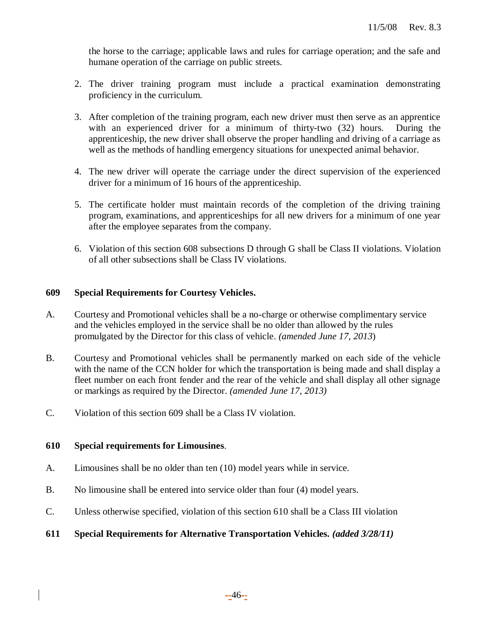the horse to the carriage; applicable laws and rules for carriage operation; and the safe and humane operation of the carriage on public streets.

- 2. The driver training program must include a practical examination demonstrating proficiency in the curriculum.
- 3. After completion of the training program, each new driver must then serve as an apprentice with an experienced driver for a minimum of thirty-two (32) hours. During the apprenticeship, the new driver shall observe the proper handling and driving of a carriage as well as the methods of handling emergency situations for unexpected animal behavior.
- 4. The new driver will operate the carriage under the direct supervision of the experienced driver for a minimum of 16 hours of the apprenticeship.
- 5. The certificate holder must maintain records of the completion of the driving training program, examinations, and apprenticeships for all new drivers for a minimum of one year after the employee separates from the company.
- 6. Violation of this section 608 subsections D through G shall be Class II violations. Violation of all other subsections shall be Class IV violations.

## **609 Special Requirements for Courtesy Vehicles.**

- A. Courtesy and Promotional vehicles shall be a no-charge or otherwise complimentary service and the vehicles employed in the service shall be no older than allowed by the rules promulgated by the Director for this class of vehicle. *(amended June 17, 2013*)
- B. Courtesy and Promotional vehicles shall be permanently marked on each side of the vehicle with the name of the CCN holder for which the transportation is being made and shall display a fleet number on each front fender and the rear of the vehicle and shall display all other signage or markings as required by the Director. *(amended June 17, 2013)*
- C. Violation of this section 609 shall be a Class IV violation.

## **610 Special requirements for Limousines**.

- A. Limousines shall be no older than ten (10) model years while in service.
- B. No limousine shall be entered into service older than four (4) model years.
- C. Unless otherwise specified, violation of this section 610 shall be a Class III violation
- **611 Special Requirements for Alternative Transportation Vehicles.** *(added 3/28/11)*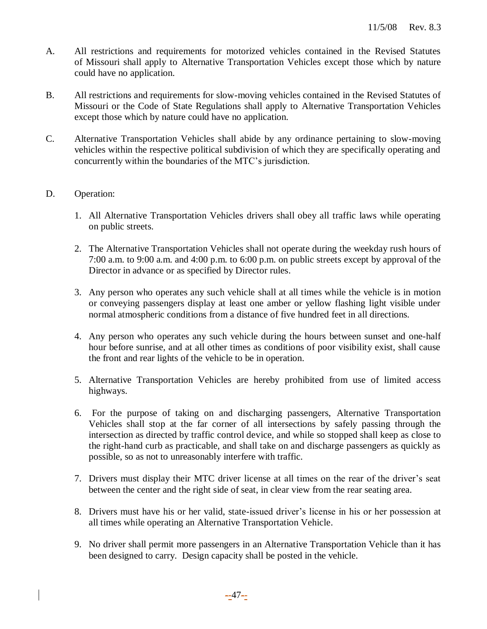- A. All restrictions and requirements for motorized vehicles contained in the Revised Statutes of Missouri shall apply to Alternative Transportation Vehicles except those which by nature could have no application.
- B. All restrictions and requirements for slow-moving vehicles contained in the Revised Statutes of Missouri or the Code of State Regulations shall apply to Alternative Transportation Vehicles except those which by nature could have no application.
- C. Alternative Transportation Vehicles shall abide by any ordinance pertaining to slow-moving vehicles within the respective political subdivision of which they are specifically operating and concurrently within the boundaries of the MTC's jurisdiction.

## D. Operation:

- 1. All Alternative Transportation Vehicles drivers shall obey all traffic laws while operating on public streets.
- 2. The Alternative Transportation Vehicles shall not operate during the weekday rush hours of 7:00 a.m. to 9:00 a.m. and 4:00 p.m. to 6:00 p.m. on public streets except by approval of the Director in advance or as specified by Director rules.
- 3. Any person who operates any such vehicle shall at all times while the vehicle is in motion or conveying passengers display at least one amber or yellow flashing light visible under normal atmospheric conditions from a distance of five hundred feet in all directions.
- 4. Any person who operates any such vehicle during the hours between sunset and one-half hour before sunrise, and at all other times as conditions of poor visibility exist, shall cause the front and rear lights of the vehicle to be in operation.
- 5. Alternative Transportation Vehicles are hereby prohibited from use of limited access highways.
- 6. For the purpose of taking on and discharging passengers, Alternative Transportation Vehicles shall stop at the far corner of all intersections by safely passing through the intersection as directed by traffic control device, and while so stopped shall keep as close to the right-hand curb as practicable, and shall take on and discharge passengers as quickly as possible, so as not to unreasonably interfere with traffic.
- 7. Drivers must display their MTC driver license at all times on the rear of the driver's seat between the center and the right side of seat, in clear view from the rear seating area.
- 8. Drivers must have his or her valid, state-issued driver's license in his or her possession at all times while operating an Alternative Transportation Vehicle.
- 9. No driver shall permit more passengers in an Alternative Transportation Vehicle than it has been designed to carry. Design capacity shall be posted in the vehicle.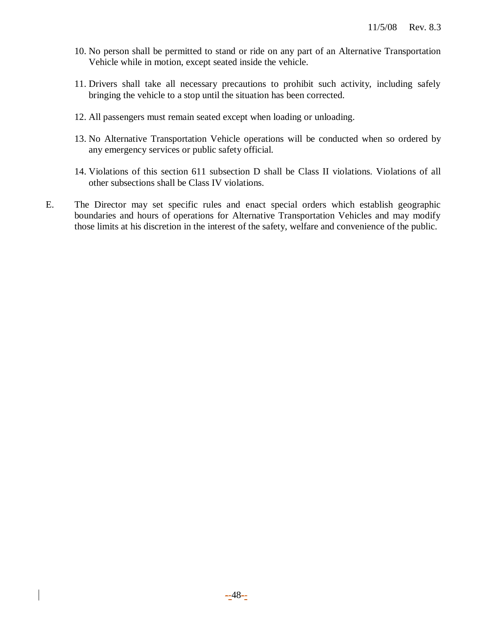- 10. No person shall be permitted to stand or ride on any part of an Alternative Transportation Vehicle while in motion, except seated inside the vehicle.
- 11. Drivers shall take all necessary precautions to prohibit such activity, including safely bringing the vehicle to a stop until the situation has been corrected.
- 12. All passengers must remain seated except when loading or unloading.
- 13. No Alternative Transportation Vehicle operations will be conducted when so ordered by any emergency services or public safety official.
- 14. Violations of this section 611 subsection D shall be Class II violations. Violations of all other subsections shall be Class IV violations.
- E. The Director may set specific rules and enact special orders which establish geographic boundaries and hours of operations for Alternative Transportation Vehicles and may modify those limits at his discretion in the interest of the safety, welfare and convenience of the public.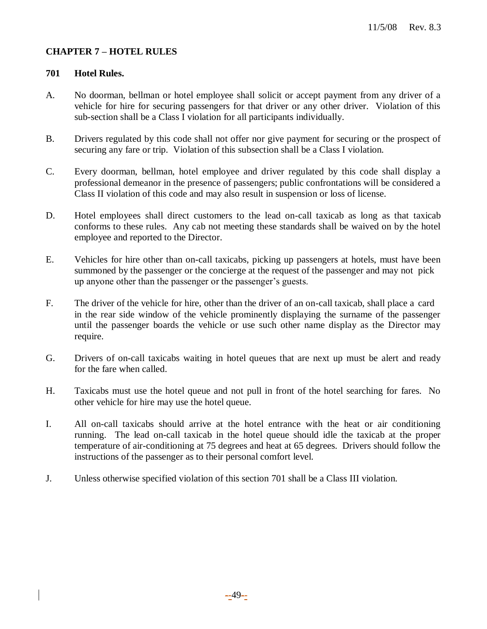## **CHAPTER 7 – HOTEL RULES**

## **701 Hotel Rules.**

- A. No doorman, bellman or hotel employee shall solicit or accept payment from any driver of a vehicle for hire for securing passengers for that driver or any other driver. Violation of this sub-section shall be a Class I violation for all participants individually.
- B. Drivers regulated by this code shall not offer nor give payment for securing or the prospect of securing any fare or trip. Violation of this subsection shall be a Class I violation.
- C. Every doorman, bellman, hotel employee and driver regulated by this code shall display a professional demeanor in the presence of passengers; public confrontations will be considered a Class II violation of this code and may also result in suspension or loss of license.
- D. Hotel employees shall direct customers to the lead on-call taxicab as long as that taxicab conforms to these rules. Any cab not meeting these standards shall be waived on by the hotel employee and reported to the Director.
- E. Vehicles for hire other than on-call taxicabs, picking up passengers at hotels, must have been summoned by the passenger or the concierge at the request of the passenger and may not pick up anyone other than the passenger or the passenger's guests.
- F. The driver of the vehicle for hire, other than the driver of an on-call taxicab, shall place a card in the rear side window of the vehicle prominently displaying the surname of the passenger until the passenger boards the vehicle or use such other name display as the Director may require.
- G. Drivers of on-call taxicabs waiting in hotel queues that are next up must be alert and ready for the fare when called.
- H. Taxicabs must use the hotel queue and not pull in front of the hotel searching for fares. No other vehicle for hire may use the hotel queue.
- I. All on-call taxicabs should arrive at the hotel entrance with the heat or air conditioning running. The lead on-call taxicab in the hotel queue should idle the taxicab at the proper temperature of air-conditioning at 75 degrees and heat at 65 degrees. Drivers should follow the instructions of the passenger as to their personal comfort level.
- J. Unless otherwise specified violation of this section 701 shall be a Class III violation.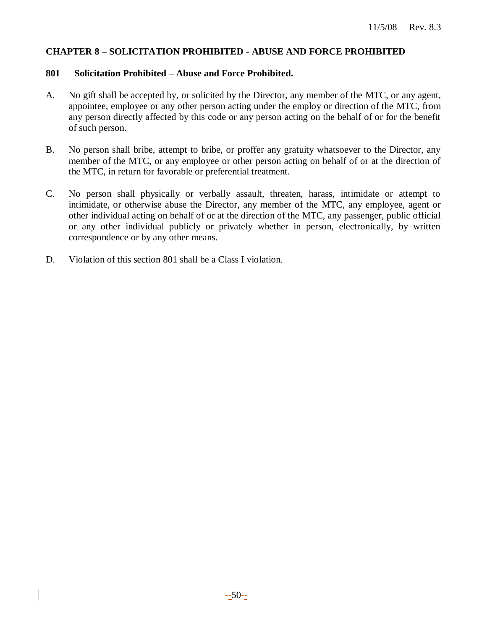#### **CHAPTER 8 – SOLICITATION PROHIBITED - ABUSE AND FORCE PROHIBITED**

#### **801 Solicitation Prohibited – Abuse and Force Prohibited.**

- A. No gift shall be accepted by, or solicited by the Director, any member of the MTC, or any agent, appointee, employee or any other person acting under the employ or direction of the MTC, from any person directly affected by this code or any person acting on the behalf of or for the benefit of such person.
- B. No person shall bribe, attempt to bribe, or proffer any gratuity whatsoever to the Director, any member of the MTC, or any employee or other person acting on behalf of or at the direction of the MTC, in return for favorable or preferential treatment.
- C. No person shall physically or verbally assault, threaten, harass, intimidate or attempt to intimidate, or otherwise abuse the Director, any member of the MTC, any employee, agent or other individual acting on behalf of or at the direction of the MTC, any passenger, public official or any other individual publicly or privately whether in person, electronically, by written correspondence or by any other means.
- D. Violation of this section 801 shall be a Class I violation.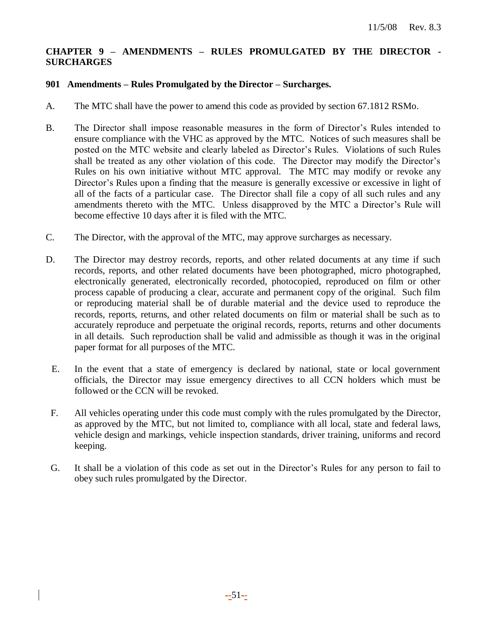## **CHAPTER 9 – AMENDMENTS – RULES PROMULGATED BY THE DIRECTOR - SURCHARGES**

#### **901 Amendments – Rules Promulgated by the Director – Surcharges.**

- A. The MTC shall have the power to amend this code as provided by section 67.1812 RSMo.
- B. The Director shall impose reasonable measures in the form of Director's Rules intended to ensure compliance with the VHC as approved by the MTC. Notices of such measures shall be posted on the MTC website and clearly labeled as Director's Rules. Violations of such Rules shall be treated as any other violation of this code. The Director may modify the Director's Rules on his own initiative without MTC approval. The MTC may modify or revoke any Director's Rules upon a finding that the measure is generally excessive or excessive in light of all of the facts of a particular case. The Director shall file a copy of all such rules and any amendments thereto with the MTC. Unless disapproved by the MTC a Director's Rule will become effective 10 days after it is filed with the MTC.
- C. The Director, with the approval of the MTC, may approve surcharges as necessary.
- D. The Director may destroy records, reports, and other related documents at any time if such records, reports, and other related documents have been photographed, micro photographed, electronically generated, electronically recorded, photocopied, reproduced on film or other process capable of producing a clear, accurate and permanent copy of the original. Such film or reproducing material shall be of durable material and the device used to reproduce the records, reports, returns, and other related documents on film or material shall be such as to accurately reproduce and perpetuate the original records, reports, returns and other documents in all details. Such reproduction shall be valid and admissible as though it was in the original paper format for all purposes of the MTC.
	- E. In the event that a state of emergency is declared by national, state or local government officials, the Director may issue emergency directives to all CCN holders which must be followed or the CCN will be revoked.
- F. All vehicles operating under this code must comply with the rules promulgated by the Director, as approved by the MTC, but not limited to, compliance with all local, state and federal laws, vehicle design and markings, vehicle inspection standards, driver training, uniforms and record keeping.
- G. It shall be a violation of this code as set out in the Director's Rules for any person to fail to obey such rules promulgated by the Director.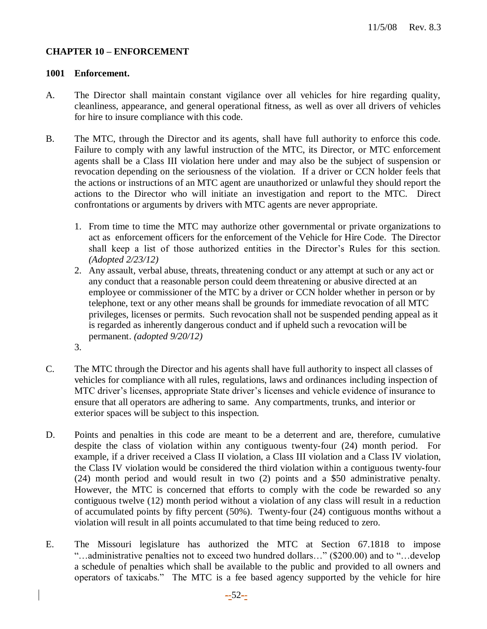#### **CHAPTER 10 – ENFORCEMENT**

#### **1001 Enforcement.**

- A. The Director shall maintain constant vigilance over all vehicles for hire regarding quality, cleanliness, appearance, and general operational fitness, as well as over all drivers of vehicles for hire to insure compliance with this code.
- B. The MTC, through the Director and its agents, shall have full authority to enforce this code. Failure to comply with any lawful instruction of the MTC, its Director, or MTC enforcement agents shall be a Class III violation here under and may also be the subject of suspension or revocation depending on the seriousness of the violation. If a driver or CCN holder feels that the actions or instructions of an MTC agent are unauthorized or unlawful they should report the actions to the Director who will initiate an investigation and report to the MTC. Direct confrontations or arguments by drivers with MTC agents are never appropriate.
	- 1. From time to time the MTC may authorize other governmental or private organizations to act as enforcement officers for the enforcement of the Vehicle for Hire Code. The Director shall keep a list of those authorized entities in the Director's Rules for this section. *(Adopted 2/23/12)*
	- 2. Any assault, verbal abuse, threats, threatening conduct or any attempt at such or any act or any conduct that a reasonable person could deem threatening or abusive directed at an employee or commissioner of the MTC by a driver or CCN holder whether in person or by telephone, text or any other means shall be grounds for immediate revocation of all MTC privileges, licenses or permits. Such revocation shall not be suspended pending appeal as it is regarded as inherently dangerous conduct and if upheld such a revocation will be permanent. *(adopted 9/20/12)*
	- 3.
- C. The MTC through the Director and his agents shall have full authority to inspect all classes of vehicles for compliance with all rules, regulations, laws and ordinances including inspection of MTC driver's licenses, appropriate State driver's licenses and vehicle evidence of insurance to ensure that all operators are adhering to same. Any compartments, trunks, and interior or exterior spaces will be subject to this inspection.
- D. Points and penalties in this code are meant to be a deterrent and are, therefore, cumulative despite the class of violation within any contiguous twenty-four (24) month period. For example, if a driver received a Class II violation, a Class III violation and a Class IV violation, the Class IV violation would be considered the third violation within a contiguous twenty-four (24) month period and would result in two (2) points and a \$50 administrative penalty. However, the MTC is concerned that efforts to comply with the code be rewarded so any contiguous twelve (12) month period without a violation of any class will result in a reduction of accumulated points by fifty percent (50%). Twenty-four (24) contiguous months without a violation will result in all points accumulated to that time being reduced to zero.
- E. The Missouri legislature has authorized the MTC at Section 67.1818 to impose "…administrative penalties not to exceed two hundred dollars…" (\$200.00) and to "…develop a schedule of penalties which shall be available to the public and provided to all owners and operators of taxicabs." The MTC is a fee based agency supported by the vehicle for hire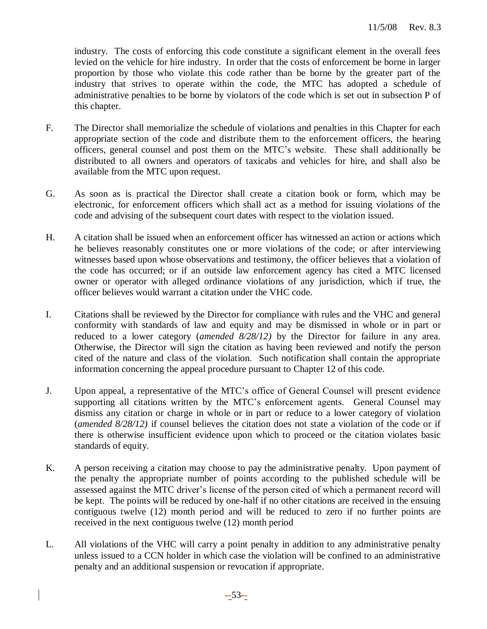industry. The costs of enforcing this code constitute a significant element in the overall fees levied on the vehicle for hire industry. In order that the costs of enforcement be borne in larger proportion by those who violate this code rather than be borne by the greater part of the industry that strives to operate within the code, the MTC has adopted a schedule of administrative penalties to be borne by violators of the code which is set out in subsection P of this chapter.

- F. The Director shall memorialize the schedule of violations and penalties in this Chapter for each appropriate section of the code and distribute them to the enforcement officers, the hearing officers, general counsel and post them on the MTC's website. These shall additionally be distributed to all owners and operators of taxicabs and vehicles for hire, and shall also be available from the MTC upon request.
- G. As soon as is practical the Director shall create a citation book or form, which may be electronic, for enforcement officers which shall act as a method for issuing violations of the code and advising of the subsequent court dates with respect to the violation issued.
- H. A citation shall be issued when an enforcement officer has witnessed an action or actions which he believes reasonably constitutes one or more violations of the code; or after interviewing witnesses based upon whose observations and testimony, the officer believes that a violation of the code has occurred; or if an outside law enforcement agency has cited a MTC licensed owner or operator with alleged ordinance violations of any jurisdiction, which if true, the officer believes would warrant a citation under the VHC code.
- I. Citations shall be reviewed by the Director for compliance with rules and the VHC and general conformity with standards of law and equity and may be dismissed in whole or in part or reduced to a lower category (*amended 8/28/12)* by the Director for failure in any area. Otherwise, the Director will sign the citation as having been reviewed and notify the person cited of the nature and class of the violation. Such notification shall contain the appropriate information concerning the appeal procedure pursuant to Chapter 12 of this code.
- J. Upon appeal, a representative of the MTC's office of General Counsel will present evidence supporting all citations written by the MTC's enforcement agents. General Counsel may dismiss any citation or charge in whole or in part or reduce to a lower category of violation (*amended 8/28/12)* if counsel believes the citation does not state a violation of the code or if there is otherwise insufficient evidence upon which to proceed or the citation violates basic standards of equity.
- K. A person receiving a citation may choose to pay the administrative penalty. Upon payment of the penalty the appropriate number of points according to the published schedule will be assessed against the MTC driver's license of the person cited of which a permanent record will be kept. The points will be reduced by one-half if no other citations are received in the ensuing contiguous twelve (12) month period and will be reduced to zero if no further points are received in the next contiguous twelve (12) month period
- L. All violations of the VHC will carry a point penalty in addition to any administrative penalty unless issued to a CCN holder in which case the violation will be confined to an administrative penalty and an additional suspension or revocation if appropriate.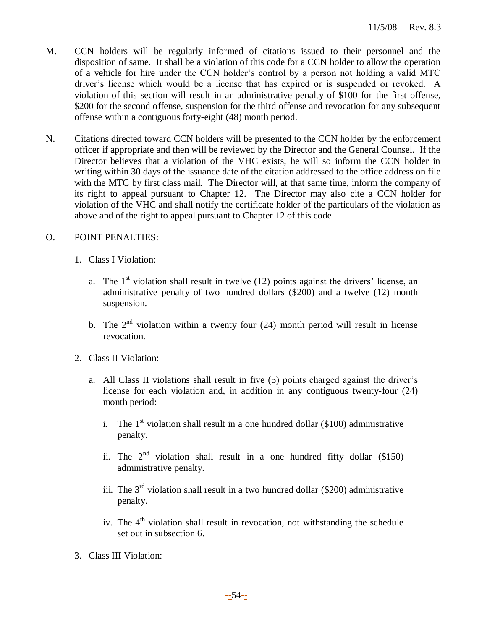- M. CCN holders will be regularly informed of citations issued to their personnel and the disposition of same. It shall be a violation of this code for a CCN holder to allow the operation of a vehicle for hire under the CCN holder's control by a person not holding a valid MTC driver's license which would be a license that has expired or is suspended or revoked. A violation of this section will result in an administrative penalty of \$100 for the first offense, \$200 for the second offense, suspension for the third offense and revocation for any subsequent offense within a contiguous forty-eight (48) month period.
- N. Citations directed toward CCN holders will be presented to the CCN holder by the enforcement officer if appropriate and then will be reviewed by the Director and the General Counsel. If the Director believes that a violation of the VHC exists, he will so inform the CCN holder in writing within 30 days of the issuance date of the citation addressed to the office address on file with the MTC by first class mail. The Director will, at that same time, inform the company of its right to appeal pursuant to Chapter 12. The Director may also cite a CCN holder for violation of the VHC and shall notify the certificate holder of the particulars of the violation as above and of the right to appeal pursuant to Chapter 12 of this code.

## O. POINT PENALTIES:

- 1. Class I Violation:
	- a. The  $1<sup>st</sup>$  violation shall result in twelve (12) points against the drivers' license, an administrative penalty of two hundred dollars (\$200) and a twelve (12) month suspension.
	- b. The  $2<sup>nd</sup>$  violation within a twenty four (24) month period will result in license revocation.
- 2. Class II Violation:
	- a. All Class II violations shall result in five (5) points charged against the driver's license for each violation and, in addition in any contiguous twenty-four (24) month period:
		- i. The  $1<sup>st</sup>$  violation shall result in a one hundred dollar (\$100) administrative penalty.
		- ii. The  $2^{nd}$  violation shall result in a one hundred fifty dollar (\$150) administrative penalty.
		- iii. The  $3<sup>rd</sup>$  violation shall result in a two hundred dollar (\$200) administrative penalty.
		- iv. The  $4<sup>th</sup>$  violation shall result in revocation, not withstanding the schedule set out in subsection 6.
- 3. Class III Violation: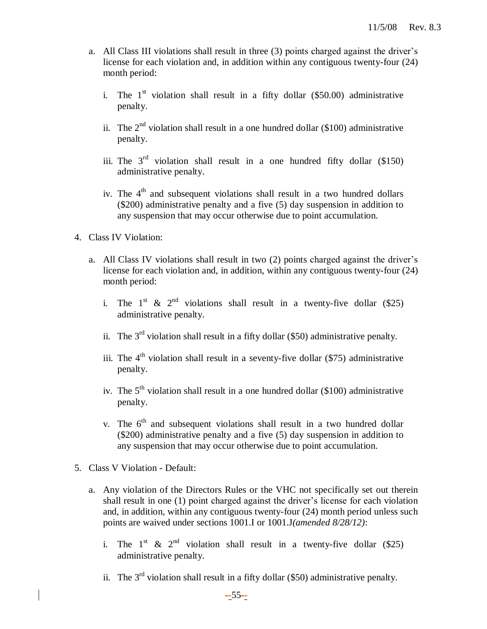- a. All Class III violations shall result in three (3) points charged against the driver's license for each violation and, in addition within any contiguous twenty-four (24) month period:
	- i. The  $1<sup>st</sup>$  violation shall result in a fifty dollar (\$50.00) administrative penalty.
	- ii. The  $2<sup>nd</sup>$  violation shall result in a one hundred dollar (\$100) administrative penalty.
	- iii. The  $3<sup>rd</sup>$  violation shall result in a one hundred fifty dollar (\$150) administrative penalty.
	- iv. The  $4<sup>th</sup>$  and subsequent violations shall result in a two hundred dollars (\$200) administrative penalty and a five (5) day suspension in addition to any suspension that may occur otherwise due to point accumulation.
- 4. Class IV Violation:
	- a. All Class IV violations shall result in two (2) points charged against the driver's license for each violation and, in addition, within any contiguous twenty-four (24) month period:
		- i. The  $1^{st}$  &  $2^{nd}$  violations shall result in a twenty-five dollar (\$25) administrative penalty.
		- ii. The  $3<sup>rd</sup>$  violation shall result in a fifty dollar (\$50) administrative penalty.
		- iii. The  $4<sup>th</sup>$  violation shall result in a seventy-five dollar (\$75) administrative penalty.
		- iv. The  $5<sup>th</sup>$  violation shall result in a one hundred dollar (\$100) administrative penalty.
		- v. The  $6<sup>th</sup>$  and subsequent violations shall result in a two hundred dollar (\$200) administrative penalty and a five (5) day suspension in addition to any suspension that may occur otherwise due to point accumulation.
- 5. Class V Violation Default:
	- a. Any violation of the Directors Rules or the VHC not specifically set out therein shall result in one (1) point charged against the driver's license for each violation and, in addition, within any contiguous twenty-four (24) month period unless such points are waived under sections 1001.I or 1001.J*(amended 8/28/12)*:
		- i. The 1<sup>st</sup> & 2<sup>nd</sup> violation shall result in a twenty-five dollar (\$25) administrative penalty.
		- ii. The  $3<sup>rd</sup>$  violation shall result in a fifty dollar (\$50) administrative penalty.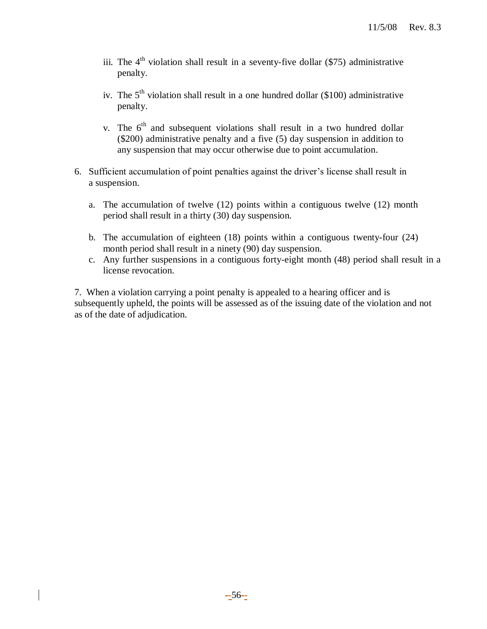- iii. The  $4<sup>th</sup>$  violation shall result in a seventy-five dollar (\$75) administrative penalty.
- iv. The  $5<sup>th</sup>$  violation shall result in a one hundred dollar (\$100) administrative penalty.
- v. The  $6<sup>th</sup>$  and subsequent violations shall result in a two hundred dollar (\$200) administrative penalty and a five (5) day suspension in addition to any suspension that may occur otherwise due to point accumulation.
- 6. Sufficient accumulation of point penalties against the driver's license shall result in a suspension.
	- a. The accumulation of twelve (12) points within a contiguous twelve (12) month period shall result in a thirty (30) day suspension.
	- b. The accumulation of eighteen (18) points within a contiguous twenty-four (24) month period shall result in a ninety (90) day suspension.
	- c. Any further suspensions in a contiguous forty-eight month (48) period shall result in a license revocation.

7. When a violation carrying a point penalty is appealed to a hearing officer and is subsequently upheld, the points will be assessed as of the issuing date of the violation and not as of the date of adjudication.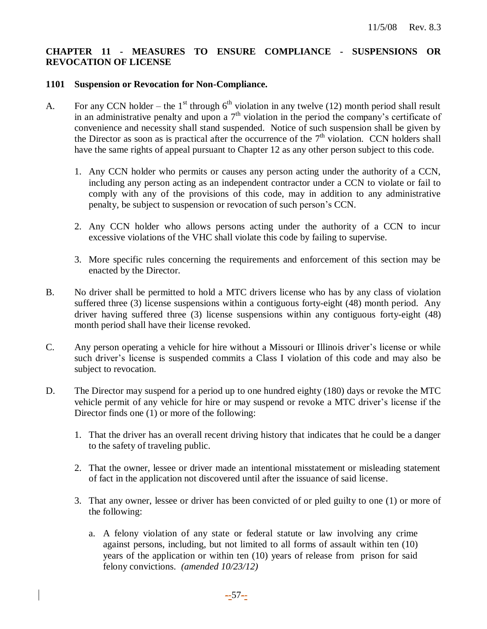## **CHAPTER 11 - MEASURES TO ENSURE COMPLIANCE - SUSPENSIONS OR REVOCATION OF LICENSE**

#### **1101 Suspension or Revocation for Non-Compliance.**

- A. For any CCN holder the 1<sup>st</sup> through  $6<sup>th</sup>$  violation in any twelve (12) month period shall result in an administrative penalty and upon a  $7<sup>th</sup>$  violation in the period the company's certificate of convenience and necessity shall stand suspended. Notice of such suspension shall be given by the Director as soon as is practical after the occurrence of the  $7<sup>th</sup>$  violation. CCN holders shall have the same rights of appeal pursuant to Chapter 12 as any other person subject to this code.
	- 1. Any CCN holder who permits or causes any person acting under the authority of a CCN, including any person acting as an independent contractor under a CCN to violate or fail to comply with any of the provisions of this code, may in addition to any administrative penalty, be subject to suspension or revocation of such person's CCN.
	- 2. Any CCN holder who allows persons acting under the authority of a CCN to incur excessive violations of the VHC shall violate this code by failing to supervise.
	- 3. More specific rules concerning the requirements and enforcement of this section may be enacted by the Director.
- B. No driver shall be permitted to hold a MTC drivers license who has by any class of violation suffered three (3) license suspensions within a contiguous forty-eight (48) month period. Any driver having suffered three (3) license suspensions within any contiguous forty-eight (48) month period shall have their license revoked.
- C. Any person operating a vehicle for hire without a Missouri or Illinois driver's license or while such driver's license is suspended commits a Class I violation of this code and may also be subject to revocation.
- D. The Director may suspend for a period up to one hundred eighty (180) days or revoke the MTC vehicle permit of any vehicle for hire or may suspend or revoke a MTC driver's license if the Director finds one (1) or more of the following:
	- 1. That the driver has an overall recent driving history that indicates that he could be a danger to the safety of traveling public.
	- 2. That the owner, lessee or driver made an intentional misstatement or misleading statement of fact in the application not discovered until after the issuance of said license.
	- 3. That any owner, lessee or driver has been convicted of or pled guilty to one (1) or more of the following:
		- a. A felony violation of any state or federal statute or law involving any crime against persons, including, but not limited to all forms of assault within ten (10) years of the application or within ten (10) years of release from prison for said felony convictions. *(amended 10/23/12)*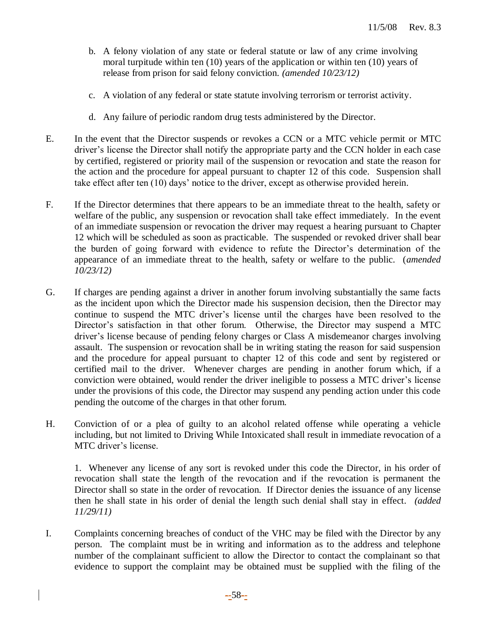- b. A felony violation of any state or federal statute or law of any crime involving moral turpitude within ten (10) years of the application or within ten (10) years of release from prison for said felony conviction. *(amended 10/23/12)*
- c. A violation of any federal or state statute involving terrorism or terrorist activity.
- d. Any failure of periodic random drug tests administered by the Director.
- E. In the event that the Director suspends or revokes a CCN or a MTC vehicle permit or MTC driver's license the Director shall notify the appropriate party and the CCN holder in each case by certified, registered or priority mail of the suspension or revocation and state the reason for the action and the procedure for appeal pursuant to chapter 12 of this code. Suspension shall take effect after ten (10) days' notice to the driver, except as otherwise provided herein.
- F. If the Director determines that there appears to be an immediate threat to the health, safety or welfare of the public, any suspension or revocation shall take effect immediately. In the event of an immediate suspension or revocation the driver may request a hearing pursuant to Chapter 12 which will be scheduled as soon as practicable. The suspended or revoked driver shall bear the burden of going forward with evidence to refute the Director's determination of the appearance of an immediate threat to the health, safety or welfare to the public. (*amended 10/23/12)*
- G. If charges are pending against a driver in another forum involving substantially the same facts as the incident upon which the Director made his suspension decision, then the Director may continue to suspend the MTC driver's license until the charges have been resolved to the Director's satisfaction in that other forum. Otherwise, the Director may suspend a MTC driver's license because of pending felony charges or Class A misdemeanor charges involving assault. The suspension or revocation shall be in writing stating the reason for said suspension and the procedure for appeal pursuant to chapter 12 of this code and sent by registered or certified mail to the driver. Whenever charges are pending in another forum which, if a conviction were obtained, would render the driver ineligible to possess a MTC driver's license under the provisions of this code, the Director may suspend any pending action under this code pending the outcome of the charges in that other forum.
- H. Conviction of or a plea of guilty to an alcohol related offense while operating a vehicle including, but not limited to Driving While Intoxicated shall result in immediate revocation of a MTC driver's license.

1. Whenever any license of any sort is revoked under this code the Director, in his order of revocation shall state the length of the revocation and if the revocation is permanent the Director shall so state in the order of revocation. If Director denies the issuance of any license then he shall state in his order of denial the length such denial shall stay in effect. *(added 11/29/11)*

I. Complaints concerning breaches of conduct of the VHC may be filed with the Director by any person. The complaint must be in writing and information as to the address and telephone number of the complainant sufficient to allow the Director to contact the complainant so that evidence to support the complaint may be obtained must be supplied with the filing of the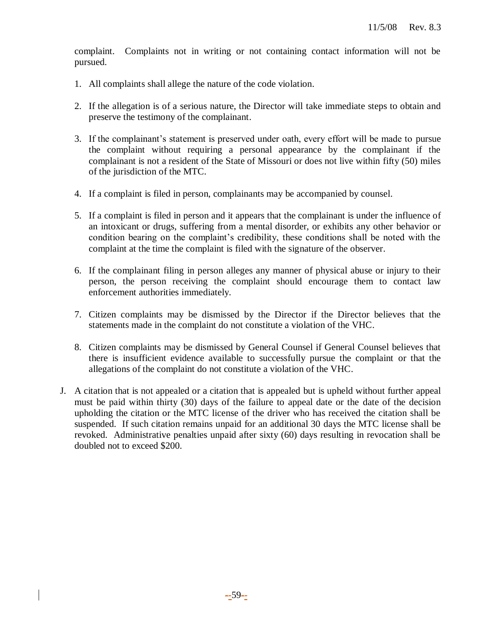complaint. Complaints not in writing or not containing contact information will not be pursued.

- 1. All complaints shall allege the nature of the code violation.
- 2. If the allegation is of a serious nature, the Director will take immediate steps to obtain and preserve the testimony of the complainant.
- 3. If the complainant's statement is preserved under oath, every effort will be made to pursue the complaint without requiring a personal appearance by the complainant if the complainant is not a resident of the State of Missouri or does not live within fifty (50) miles of the jurisdiction of the MTC.
- 4. If a complaint is filed in person, complainants may be accompanied by counsel.
- 5. If a complaint is filed in person and it appears that the complainant is under the influence of an intoxicant or drugs, suffering from a mental disorder, or exhibits any other behavior or condition bearing on the complaint's credibility, these conditions shall be noted with the complaint at the time the complaint is filed with the signature of the observer.
- 6. If the complainant filing in person alleges any manner of physical abuse or injury to their person, the person receiving the complaint should encourage them to contact law enforcement authorities immediately.
- 7. Citizen complaints may be dismissed by the Director if the Director believes that the statements made in the complaint do not constitute a violation of the VHC.
- 8. Citizen complaints may be dismissed by General Counsel if General Counsel believes that there is insufficient evidence available to successfully pursue the complaint or that the allegations of the complaint do not constitute a violation of the VHC.
- J. A citation that is not appealed or a citation that is appealed but is upheld without further appeal must be paid within thirty (30) days of the failure to appeal date or the date of the decision upholding the citation or the MTC license of the driver who has received the citation shall be suspended. If such citation remains unpaid for an additional 30 days the MTC license shall be revoked. Administrative penalties unpaid after sixty (60) days resulting in revocation shall be doubled not to exceed \$200.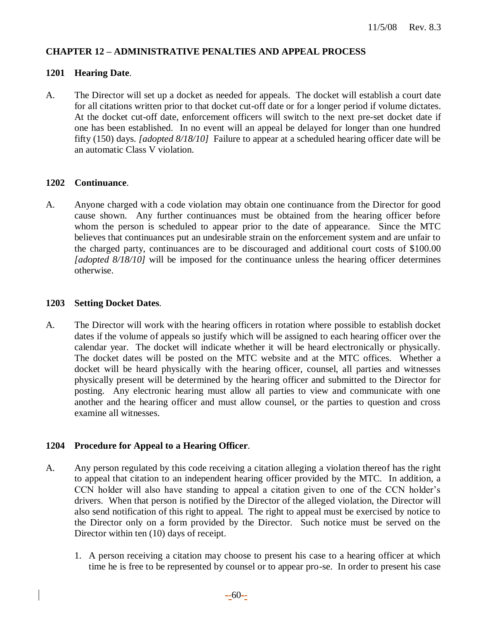## **CHAPTER 12 – ADMINISTRATIVE PENALTIES AND APPEAL PROCESS**

#### **1201 Hearing Date**.

A. The Director will set up a docket as needed for appeals. The docket will establish a court date for all citations written prior to that docket cut-off date or for a longer period if volume dictates. At the docket cut-off date, enforcement officers will switch to the next pre-set docket date if one has been established. In no event will an appeal be delayed for longer than one hundred fifty (150) days. *[adopted 8/18/10]* Failure to appear at a scheduled hearing officer date will be an automatic Class V violation.

#### **1202 Continuance**.

A. Anyone charged with a code violation may obtain one continuance from the Director for good cause shown. Any further continuances must be obtained from the hearing officer before whom the person is scheduled to appear prior to the date of appearance. Since the MTC believes that continuances put an undesirable strain on the enforcement system and are unfair to the charged party, continuances are to be discouraged and additional court costs of \$100.00 *[adopted 8/18/10]* will be imposed for the continuance unless the hearing officer determines otherwise.

#### **1203 Setting Docket Dates**.

A. The Director will work with the hearing officers in rotation where possible to establish docket dates if the volume of appeals so justify which will be assigned to each hearing officer over the calendar year. The docket will indicate whether it will be heard electronically or physically. The docket dates will be posted on the MTC website and at the MTC offices. Whether a docket will be heard physically with the hearing officer, counsel, all parties and witnesses physically present will be determined by the hearing officer and submitted to the Director for posting. Any electronic hearing must allow all parties to view and communicate with one another and the hearing officer and must allow counsel, or the parties to question and cross examine all witnesses.

## **1204 Procedure for Appeal to a Hearing Officer**.

- A. Any person regulated by this code receiving a citation alleging a violation thereof has the right to appeal that citation to an independent hearing officer provided by the MTC. In addition, a CCN holder will also have standing to appeal a citation given to one of the CCN holder's drivers. When that person is notified by the Director of the alleged violation, the Director will also send notification of this right to appeal. The right to appeal must be exercised by notice to the Director only on a form provided by the Director. Such notice must be served on the Director within ten (10) days of receipt.
	- 1. A person receiving a citation may choose to present his case to a hearing officer at which time he is free to be represented by counsel or to appear pro-se. In order to present his case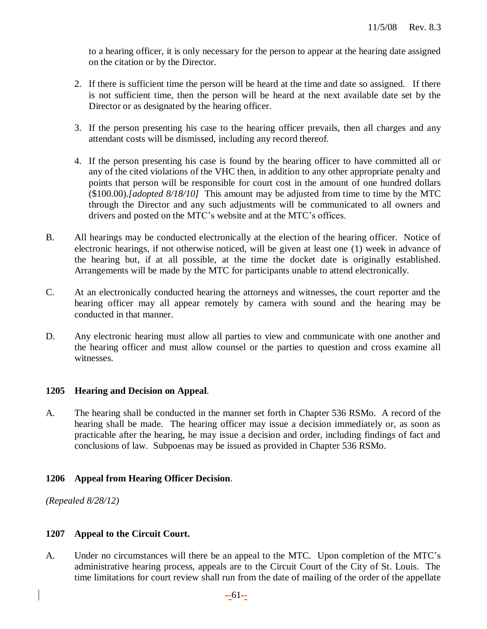to a hearing officer, it is only necessary for the person to appear at the hearing date assigned on the citation or by the Director.

- 2. If there is sufficient time the person will be heard at the time and date so assigned. If there is not sufficient time, then the person will be heard at the next available date set by the Director or as designated by the hearing officer.
- 3. If the person presenting his case to the hearing officer prevails, then all charges and any attendant costs will be dismissed, including any record thereof.
- 4. If the person presenting his case is found by the hearing officer to have committed all or any of the cited violations of the VHC then, in addition to any other appropriate penalty and points that person will be responsible for court cost in the amount of one hundred dollars (\$100.00).*[adopted 8/18/10]* This amount may be adjusted from time to time by the MTC through the Director and any such adjustments will be communicated to all owners and drivers and posted on the MTC's website and at the MTC's offices.
- B. All hearings may be conducted electronically at the election of the hearing officer. Notice of electronic hearings, if not otherwise noticed, will be given at least one (1) week in advance of the hearing but, if at all possible, at the time the docket date is originally established. Arrangements will be made by the MTC for participants unable to attend electronically.
- C. At an electronically conducted hearing the attorneys and witnesses, the court reporter and the hearing officer may all appear remotely by camera with sound and the hearing may be conducted in that manner.
- D. Any electronic hearing must allow all parties to view and communicate with one another and the hearing officer and must allow counsel or the parties to question and cross examine all witnesses.

## **1205 Hearing and Decision on Appeal**.

A. The hearing shall be conducted in the manner set forth in Chapter 536 RSMo. A record of the hearing shall be made. The hearing officer may issue a decision immediately or, as soon as practicable after the hearing, he may issue a decision and order, including findings of fact and conclusions of law. Subpoenas may be issued as provided in Chapter 536 RSMo.

## **1206 Appeal from Hearing Officer Decision**.

*(Repealed 8/28/12)*

# **1207 Appeal to the Circuit Court.**

A. Under no circumstances will there be an appeal to the MTC. Upon completion of the MTC's administrative hearing process, appeals are to the Circuit Court of the City of St. Louis. The time limitations for court review shall run from the date of mailing of the order of the appellate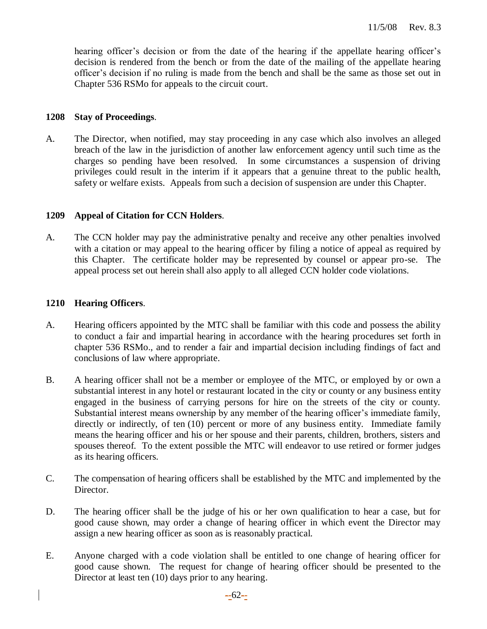hearing officer's decision or from the date of the hearing if the appellate hearing officer's decision is rendered from the bench or from the date of the mailing of the appellate hearing officer's decision if no ruling is made from the bench and shall be the same as those set out in Chapter 536 RSMo for appeals to the circuit court.

#### **1208 Stay of Proceedings**.

A. The Director, when notified, may stay proceeding in any case which also involves an alleged breach of the law in the jurisdiction of another law enforcement agency until such time as the charges so pending have been resolved. In some circumstances a suspension of driving privileges could result in the interim if it appears that a genuine threat to the public health, safety or welfare exists. Appeals from such a decision of suspension are under this Chapter.

#### **1209 Appeal of Citation for CCN Holders**.

A. The CCN holder may pay the administrative penalty and receive any other penalties involved with a citation or may appeal to the hearing officer by filing a notice of appeal as required by this Chapter. The certificate holder may be represented by counsel or appear pro-se. The appeal process set out herein shall also apply to all alleged CCN holder code violations.

#### **1210 Hearing Officers**.

- A. Hearing officers appointed by the MTC shall be familiar with this code and possess the ability to conduct a fair and impartial hearing in accordance with the hearing procedures set forth in chapter 536 RSMo., and to render a fair and impartial decision including findings of fact and conclusions of law where appropriate.
- B. A hearing officer shall not be a member or employee of the MTC, or employed by or own a substantial interest in any hotel or restaurant located in the city or county or any business entity engaged in the business of carrying persons for hire on the streets of the city or county. Substantial interest means ownership by any member of the hearing officer's immediate family, directly or indirectly, of ten (10) percent or more of any business entity. Immediate family means the hearing officer and his or her spouse and their parents, children, brothers, sisters and spouses thereof. To the extent possible the MTC will endeavor to use retired or former judges as its hearing officers.
- C. The compensation of hearing officers shall be established by the MTC and implemented by the Director.
- D. The hearing officer shall be the judge of his or her own qualification to hear a case, but for good cause shown, may order a change of hearing officer in which event the Director may assign a new hearing officer as soon as is reasonably practical.
- E. Anyone charged with a code violation shall be entitled to one change of hearing officer for good cause shown. The request for change of hearing officer should be presented to the Director at least ten (10) days prior to any hearing.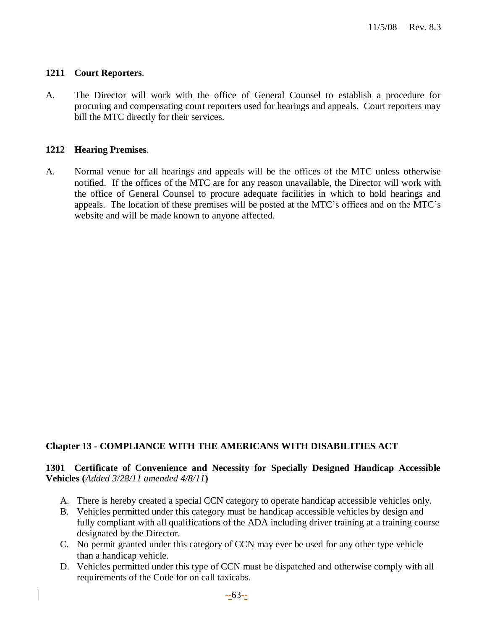#### **1211 Court Reporters**.

A. The Director will work with the office of General Counsel to establish a procedure for procuring and compensating court reporters used for hearings and appeals. Court reporters may bill the MTC directly for their services.

#### **1212 Hearing Premises**.

A. Normal venue for all hearings and appeals will be the offices of the MTC unless otherwise notified. If the offices of the MTC are for any reason unavailable, the Director will work with the office of General Counsel to procure adequate facilities in which to hold hearings and appeals. The location of these premises will be posted at the MTC's offices and on the MTC's website and will be made known to anyone affected.

## **Chapter 13 - COMPLIANCE WITH THE AMERICANS WITH DISABILITIES ACT**

## **1301 Certificate of Convenience and Necessity for Specially Designed Handicap Accessible Vehicles (***Added 3/28/11 amended 4/8/11***)**

- A. There is hereby created a special CCN category to operate handicap accessible vehicles only.
- B. Vehicles permitted under this category must be handicap accessible vehicles by design and fully compliant with all qualifications of the ADA including driver training at a training course designated by the Director.
- C. No permit granted under this category of CCN may ever be used for any other type vehicle than a handicap vehicle.
- D. Vehicles permitted under this type of CCN must be dispatched and otherwise comply with all requirements of the Code for on call taxicabs.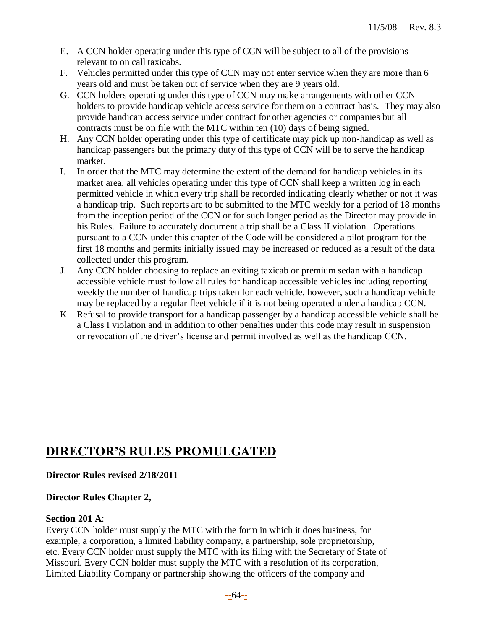- E. A CCN holder operating under this type of CCN will be subject to all of the provisions relevant to on call taxicabs.
- F. Vehicles permitted under this type of CCN may not enter service when they are more than 6 years old and must be taken out of service when they are 9 years old.
- G. CCN holders operating under this type of CCN may make arrangements with other CCN holders to provide handicap vehicle access service for them on a contract basis. They may also provide handicap access service under contract for other agencies or companies but all contracts must be on file with the MTC within ten (10) days of being signed.
- H. Any CCN holder operating under this type of certificate may pick up non-handicap as well as handicap passengers but the primary duty of this type of CCN will be to serve the handicap market.
- I. In order that the MTC may determine the extent of the demand for handicap vehicles in its market area, all vehicles operating under this type of CCN shall keep a written log in each permitted vehicle in which every trip shall be recorded indicating clearly whether or not it was a handicap trip. Such reports are to be submitted to the MTC weekly for a period of 18 months from the inception period of the CCN or for such longer period as the Director may provide in his Rules. Failure to accurately document a trip shall be a Class II violation. Operations pursuant to a CCN under this chapter of the Code will be considered a pilot program for the first 18 months and permits initially issued may be increased or reduced as a result of the data collected under this program.
- J. Any CCN holder choosing to replace an exiting taxicab or premium sedan with a handicap accessible vehicle must follow all rules for handicap accessible vehicles including reporting weekly the number of handicap trips taken for each vehicle, however, such a handicap vehicle may be replaced by a regular fleet vehicle if it is not being operated under a handicap CCN.
- K. Refusal to provide transport for a handicap passenger by a handicap accessible vehicle shall be a Class I violation and in addition to other penalties under this code may result in suspension or revocation of the driver's license and permit involved as well as the handicap CCN.

# **DIRECTOR'S RULES PROMULGATED**

# **Director Rules revised 2/18/2011**

# **Director Rules Chapter 2,**

# **Section 201 A**:

Every CCN holder must supply the MTC with the form in which it does business, for example, a corporation, a limited liability company, a partnership, sole proprietorship, etc. Every CCN holder must supply the MTC with its filing with the Secretary of State of Missouri. Every CCN holder must supply the MTC with a resolution of its corporation, Limited Liability Company or partnership showing the officers of the company and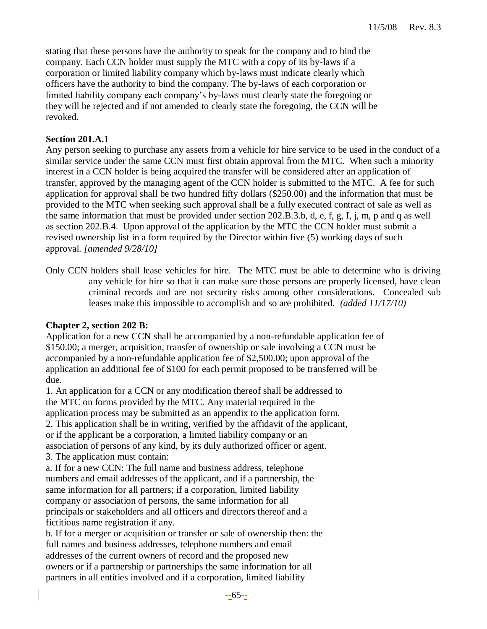stating that these persons have the authority to speak for the company and to bind the company. Each CCN holder must supply the MTC with a copy of its by-laws if a corporation or limited liability company which by-laws must indicate clearly which officers have the authority to bind the company. The by-laws of each corporation or limited liability company each company's by-laws must clearly state the foregoing or they will be rejected and if not amended to clearly state the foregoing, the CCN will be revoked.

## **Section 201.A.1**

Any person seeking to purchase any assets from a vehicle for hire service to be used in the conduct of a similar service under the same CCN must first obtain approval from the MTC. When such a minority interest in a CCN holder is being acquired the transfer will be considered after an application of transfer, approved by the managing agent of the CCN holder is submitted to the MTC. A fee for such application for approval shall be two hundred fifty dollars (\$250.00) and the information that must be provided to the MTC when seeking such approval shall be a fully executed contract of sale as well as the same information that must be provided under section 202.B.3.b, d, e, f, g, I, j, m, p and q as well as section 202.B.4. Upon approval of the application by the MTC the CCN holder must submit a revised ownership list in a form required by the Director within five (5) working days of such approval. *[amended 9/28/10]* 

Only CCN holders shall lease vehicles for hire. The MTC must be able to determine who is driving any vehicle for hire so that it can make sure those persons are properly licensed, have clean criminal records and are not security risks among other considerations. Concealed sub leases make this impossible to accomplish and so are prohibited. *(added 11/17/10)*

#### **Chapter 2, section 202 B:**

Application for a new CCN shall be accompanied by a non-refundable application fee of \$150.00; a merger, acquisition, transfer of ownership or sale involving a CCN must be accompanied by a non-refundable application fee of \$2,500.00; upon approval of the application an additional fee of \$100 for each permit proposed to be transferred will be due.

1. An application for a CCN or any modification thereof shall be addressed to the MTC on forms provided by the MTC. Any material required in the application process may be submitted as an appendix to the application form. 2. This application shall be in writing, verified by the affidavit of the applicant, or if the applicant be a corporation, a limited liability company or an association of persons of any kind, by its duly authorized officer or agent. 3. The application must contain:

a. If for a new CCN: The full name and business address, telephone numbers and email addresses of the applicant, and if a partnership, the same information for all partners; if a corporation, limited liability company or association of persons, the same information for all principals or stakeholders and all officers and directors thereof and a fictitious name registration if any.

b. If for a merger or acquisition or transfer or sale of ownership then: the full names and business addresses, telephone numbers and email addresses of the current owners of record and the proposed new owners or if a partnership or partnerships the same information for all partners in all entities involved and if a corporation, limited liability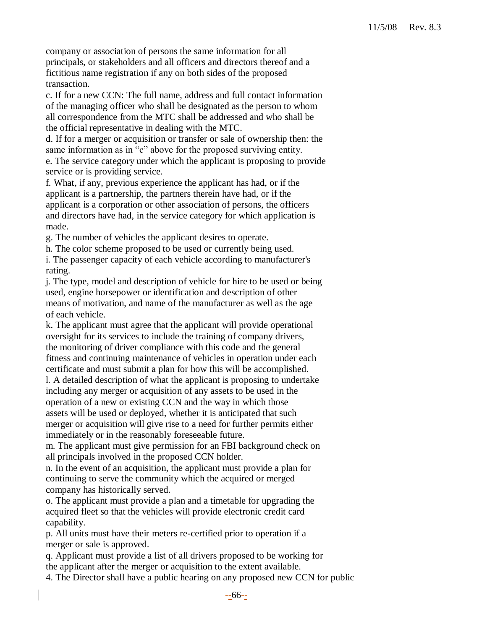company or association of persons the same information for all principals, or stakeholders and all officers and directors thereof and a fictitious name registration if any on both sides of the proposed transaction.

c. If for a new CCN: The full name, address and full contact information of the managing officer who shall be designated as the person to whom all correspondence from the MTC shall be addressed and who shall be the official representative in dealing with the MTC.

d. If for a merger or acquisition or transfer or sale of ownership then: the same information as in "c" above for the proposed surviving entity.

e. The service category under which the applicant is proposing to provide service or is providing service.

f. What, if any, previous experience the applicant has had, or if the applicant is a partnership, the partners therein have had, or if the applicant is a corporation or other association of persons, the officers and directors have had, in the service category for which application is made.

g. The number of vehicles the applicant desires to operate.

h. The color scheme proposed to be used or currently being used.

i. The passenger capacity of each vehicle according to manufacturer's rating.

j. The type, model and description of vehicle for hire to be used or being used, engine horsepower or identification and description of other means of motivation, and name of the manufacturer as well as the age of each vehicle.

k. The applicant must agree that the applicant will provide operational oversight for its services to include the training of company drivers, the monitoring of driver compliance with this code and the general fitness and continuing maintenance of vehicles in operation under each certificate and must submit a plan for how this will be accomplished.

l. A detailed description of what the applicant is proposing to undertake including any merger or acquisition of any assets to be used in the operation of a new or existing CCN and the way in which those assets will be used or deployed, whether it is anticipated that such merger or acquisition will give rise to a need for further permits either immediately or in the reasonably foreseeable future.

m. The applicant must give permission for an FBI background check on all principals involved in the proposed CCN holder.

n. In the event of an acquisition, the applicant must provide a plan for continuing to serve the community which the acquired or merged company has historically served.

o. The applicant must provide a plan and a timetable for upgrading the acquired fleet so that the vehicles will provide electronic credit card capability.

p. All units must have their meters re-certified prior to operation if a merger or sale is approved.

q. Applicant must provide a list of all drivers proposed to be working for the applicant after the merger or acquisition to the extent available.

4. The Director shall have a public hearing on any proposed new CCN for public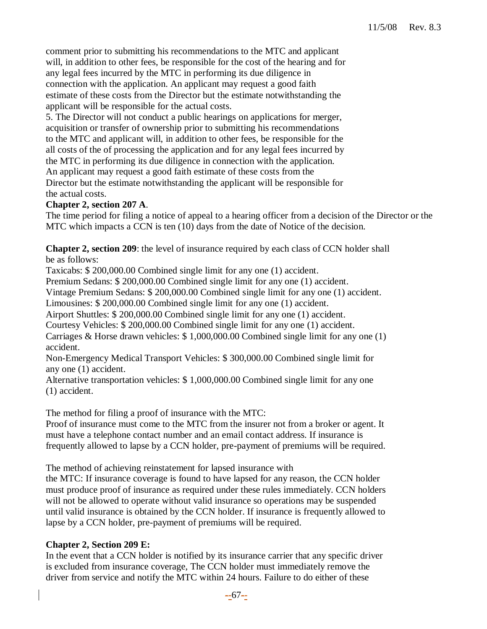comment prior to submitting his recommendations to the MTC and applicant will, in addition to other fees, be responsible for the cost of the hearing and for any legal fees incurred by the MTC in performing its due diligence in connection with the application. An applicant may request a good faith estimate of these costs from the Director but the estimate notwithstanding the applicant will be responsible for the actual costs.

5. The Director will not conduct a public hearings on applications for merger, acquisition or transfer of ownership prior to submitting his recommendations to the MTC and applicant will, in addition to other fees, be responsible for the all costs of the of processing the application and for any legal fees incurred by the MTC in performing its due diligence in connection with the application. An applicant may request a good faith estimate of these costs from the Director but the estimate notwithstanding the applicant will be responsible for the actual costs.

## **Chapter 2, section 207 A**.

The time period for filing a notice of appeal to a hearing officer from a decision of the Director or the MTC which impacts a CCN is ten (10) days from the date of Notice of the decision.

**Chapter 2, section 209**: the level of insurance required by each class of CCN holder shall be as follows:

Taxicabs: \$ 200,000.00 Combined single limit for any one (1) accident.

Premium Sedans: \$ 200,000.00 Combined single limit for any one (1) accident.

Vintage Premium Sedans: \$ 200,000.00 Combined single limit for any one (1) accident.

Limousines: \$ 200,000.00 Combined single limit for any one (1) accident.

Airport Shuttles: \$ 200,000.00 Combined single limit for any one (1) accident.

Courtesy Vehicles: \$ 200,000.00 Combined single limit for any one (1) accident.

Carriages & Horse drawn vehicles: \$ 1,000,000.00 Combined single limit for any one (1) accident.

Non-Emergency Medical Transport Vehicles: \$ 300,000.00 Combined single limit for any one (1) accident.

Alternative transportation vehicles: \$ 1,000,000.00 Combined single limit for any one (1) accident.

The method for filing a proof of insurance with the MTC:

Proof of insurance must come to the MTC from the insurer not from a broker or agent. It must have a telephone contact number and an email contact address. If insurance is frequently allowed to lapse by a CCN holder, pre-payment of premiums will be required.

The method of achieving reinstatement for lapsed insurance with

the MTC: If insurance coverage is found to have lapsed for any reason, the CCN holder must produce proof of insurance as required under these rules immediately. CCN holders will not be allowed to operate without valid insurance so operations may be suspended until valid insurance is obtained by the CCN holder. If insurance is frequently allowed to lapse by a CCN holder, pre-payment of premiums will be required.

## **Chapter 2, Section 209 E:**

In the event that a CCN holder is notified by its insurance carrier that any specific driver is excluded from insurance coverage, The CCN holder must immediately remove the driver from service and notify the MTC within 24 hours. Failure to do either of these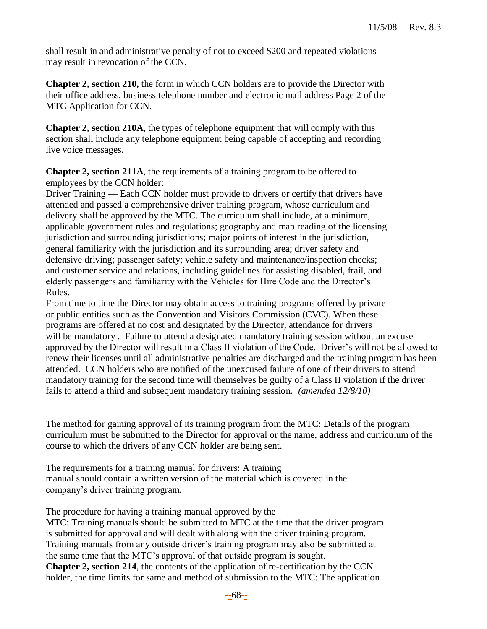shall result in and administrative penalty of not to exceed \$200 and repeated violations may result in revocation of the CCN.

**Chapter 2, section 210,** the form in which CCN holders are to provide the Director with their office address, business telephone number and electronic mail address Page 2 of the MTC Application for CCN.

**Chapter 2, section 210A**, the types of telephone equipment that will comply with this section shall include any telephone equipment being capable of accepting and recording live voice messages.

**Chapter 2, section 211A**, the requirements of a training program to be offered to employees by the CCN holder:

Driver Training — Each CCN holder must provide to drivers or certify that drivers have attended and passed a comprehensive driver training program, whose curriculum and delivery shall be approved by the MTC. The curriculum shall include, at a minimum, applicable government rules and regulations; geography and map reading of the licensing jurisdiction and surrounding jurisdictions; major points of interest in the jurisdiction, general familiarity with the jurisdiction and its surrounding area; driver safety and defensive driving; passenger safety; vehicle safety and maintenance/inspection checks; and customer service and relations, including guidelines for assisting disabled, frail, and elderly passengers and familiarity with the Vehicles for Hire Code and the Director's Rules.

From time to time the Director may obtain access to training programs offered by private or public entities such as the Convention and Visitors Commission (CVC). When these programs are offered at no cost and designated by the Director, attendance for drivers will be mandatory. Failure to attend a designated mandatory training session without an excuse approved by the Director will result in a Class II violation of the Code. Driver's will not be allowed to renew their licenses until all administrative penalties are discharged and the training program has been attended. CCN holders who are notified of the unexcused failure of one of their drivers to attend mandatory training for the second time will themselves be guilty of a Class II violation if the driver fails to attend a third and subsequent mandatory training session. *(amended 12/8/10)*

The method for gaining approval of its training program from the MTC: Details of the program curriculum must be submitted to the Director for approval or the name, address and curriculum of the course to which the drivers of any CCN holder are being sent.

The requirements for a training manual for drivers: A training manual should contain a written version of the material which is covered in the company's driver training program.

The procedure for having a training manual approved by the MTC: Training manuals should be submitted to MTC at the time that the driver program is submitted for approval and will dealt with along with the driver training program. Training manuals from any outside driver's training program may also be submitted at the same time that the MTC's approval of that outside program is sought. **Chapter 2, section 214**, the contents of the application of re-certification by the CCN holder, the time limits for same and method of submission to the MTC: The application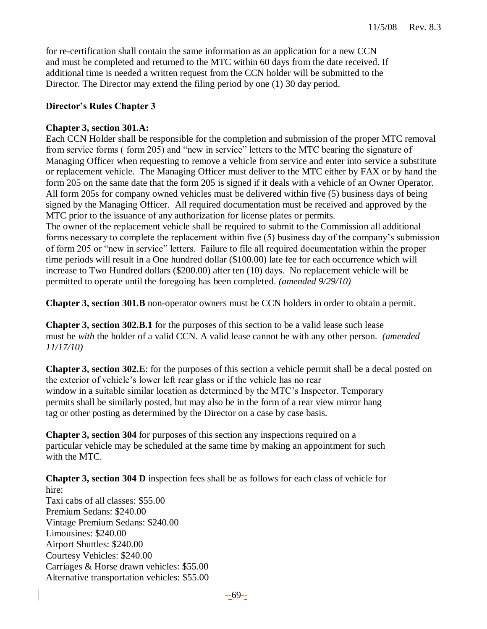for re-certification shall contain the same information as an application for a new CCN and must be completed and returned to the MTC within 60 days from the date received. If additional time is needed a written request from the CCN holder will be submitted to the Director. The Director may extend the filing period by one (1) 30 day period.

## **Director's Rules Chapter 3**

## **Chapter 3, section 301.A:**

Each CCN Holder shall be responsible for the completion and submission of the proper MTC removal from service forms ( form 205) and "new in service" letters to the MTC bearing the signature of Managing Officer when requesting to remove a vehicle from service and enter into service a substitute or replacement vehicle. The Managing Officer must deliver to the MTC either by FAX or by hand the form 205 on the same date that the form 205 is signed if it deals with a vehicle of an Owner Operator. All form 205s for company owned vehicles must be delivered within five (5) business days of being signed by the Managing Officer. All required documentation must be received and approved by the MTC prior to the issuance of any authorization for license plates or permits.

The owner of the replacement vehicle shall be required to submit to the Commission all additional forms necessary to complete the replacement within five (5) business day of the company's submission of form 205 or "new in service" letters. Failure to file all required documentation within the proper time periods will result in a One hundred dollar (\$100.00) late fee for each occurrence which will increase to Two Hundred dollars (\$200.00) after ten (10) days. No replacement vehicle will be permitted to operate until the foregoing has been completed. *(amended 9/29/10)*

**Chapter 3, section 301.B** non-operator owners must be CCN holders in order to obtain a permit.

**Chapter 3, section 302.B.1** for the purposes of this section to be a valid lease such lease must be *with* the holder of a valid CCN. A valid lease cannot be with any other person. *(amended 11/17/10)*

**Chapter 3, section 302.E**: for the purposes of this section a vehicle permit shall be a decal posted on the exterior of vehicle's lower left rear glass or if the vehicle has no rear window in a suitable similar location as determined by the MTC's Inspector. Temporary permits shall be similarly posted, but may also be in the form of a rear view mirror hang tag or other posting as determined by the Director on a case by case basis.

**Chapter 3, section 304** for purposes of this section any inspections required on a particular vehicle may be scheduled at the same time by making an appointment for such with the MTC.

**Chapter 3, section 304 D** inspection fees shall be as follows for each class of vehicle for hire: Taxi cabs of all classes: \$55.00 Premium Sedans: \$240.00 Vintage Premium Sedans: \$240.00 Limousines: \$240.00 Airport Shuttles: \$240.00 Courtesy Vehicles: \$240.00 Carriages & Horse drawn vehicles: \$55.00 Alternative transportation vehicles: \$55.00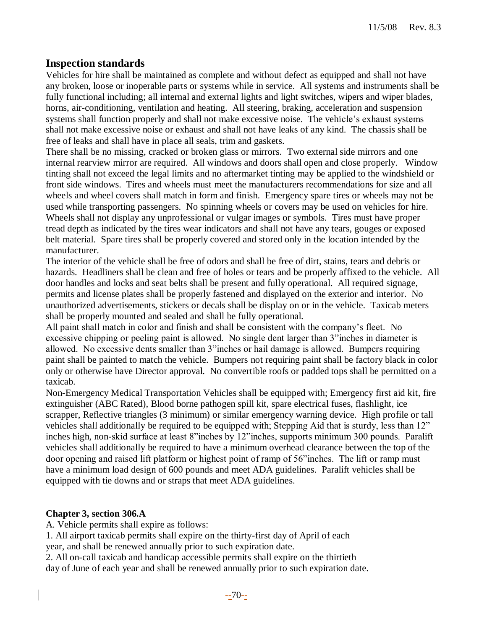# **Inspection standards**

Vehicles for hire shall be maintained as complete and without defect as equipped and shall not have any broken, loose or inoperable parts or systems while in service. All systems and instruments shall be fully functional including; all internal and external lights and light switches, wipers and wiper blades, horns, air-conditioning, ventilation and heating. All steering, braking, acceleration and suspension systems shall function properly and shall not make excessive noise. The vehicle's exhaust systems shall not make excessive noise or exhaust and shall not have leaks of any kind. The chassis shall be free of leaks and shall have in place all seals, trim and gaskets.

There shall be no missing, cracked or broken glass or mirrors. Two external side mirrors and one internal rearview mirror are required. All windows and doors shall open and close properly. Window tinting shall not exceed the legal limits and no aftermarket tinting may be applied to the windshield or front side windows. Tires and wheels must meet the manufacturers recommendations for size and all wheels and wheel covers shall match in form and finish. Emergency spare tires or wheels may not be used while transporting passengers. No spinning wheels or covers may be used on vehicles for hire. Wheels shall not display any unprofessional or vulgar images or symbols. Tires must have proper tread depth as indicated by the tires wear indicators and shall not have any tears, gouges or exposed belt material. Spare tires shall be properly covered and stored only in the location intended by the manufacturer.

The interior of the vehicle shall be free of odors and shall be free of dirt, stains, tears and debris or hazards. Headliners shall be clean and free of holes or tears and be properly affixed to the vehicle. All door handles and locks and seat belts shall be present and fully operational. All required signage, permits and license plates shall be properly fastened and displayed on the exterior and interior. No unauthorized advertisements, stickers or decals shall be display on or in the vehicle. Taxicab meters shall be properly mounted and sealed and shall be fully operational.

All paint shall match in color and finish and shall be consistent with the company's fleet. No excessive chipping or peeling paint is allowed. No single dent larger than 3"inches in diameter is allowed. No excessive dents smaller than 3"inches or hail damage is allowed. Bumpers requiring paint shall be painted to match the vehicle. Bumpers not requiring paint shall be factory black in color only or otherwise have Director approval. No convertible roofs or padded tops shall be permitted on a taxicab.

Non-Emergency Medical Transportation Vehicles shall be equipped with; Emergency first aid kit, fire extinguisher (ABC Rated), Blood borne pathogen spill kit, spare electrical fuses, flashlight, ice scrapper, Reflective triangles (3 minimum) or similar emergency warning device. High profile or tall vehicles shall additionally be required to be equipped with; Stepping Aid that is sturdy, less than 12" inches high, non-skid surface at least 8"inches by 12"inches, supports minimum 300 pounds. Paralift vehicles shall additionally be required to have a minimum overhead clearance between the top of the door opening and raised lift platform or highest point of ramp of 56"inches. The lift or ramp must have a minimum load design of 600 pounds and meet ADA guidelines. Paralift vehicles shall be equipped with tie downs and or straps that meet ADA guidelines.

## **Chapter 3, section 306.A**

A. Vehicle permits shall expire as follows:

1. All airport taxicab permits shall expire on the thirty-first day of April of each year, and shall be renewed annually prior to such expiration date.

2. All on-call taxicab and handicap accessible permits shall expire on the thirtieth day of June of each year and shall be renewed annually prior to such expiration date.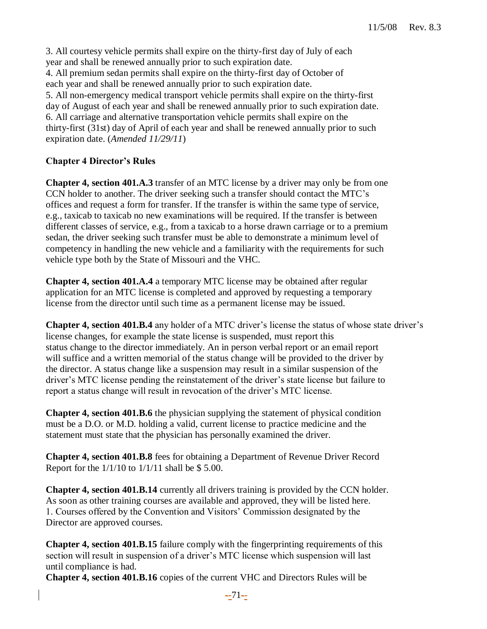3. All courtesy vehicle permits shall expire on the thirty-first day of July of each year and shall be renewed annually prior to such expiration date. 4. All premium sedan permits shall expire on the thirty-first day of October of each year and shall be renewed annually prior to such expiration date. 5. All non-emergency medical transport vehicle permits shall expire on the thirty-first day of August of each year and shall be renewed annually prior to such expiration date. 6. All carriage and alternative transportation vehicle permits shall expire on the thirty-first (31st) day of April of each year and shall be renewed annually prior to such expiration date. (*Amended 11/29/11*)

## **Chapter 4 Director's Rules**

**Chapter 4, section 401.A.3** transfer of an MTC license by a driver may only be from one CCN holder to another. The driver seeking such a transfer should contact the MTC's offices and request a form for transfer. If the transfer is within the same type of service, e.g., taxicab to taxicab no new examinations will be required. If the transfer is between different classes of service, e.g., from a taxicab to a horse drawn carriage or to a premium sedan, the driver seeking such transfer must be able to demonstrate a minimum level of competency in handling the new vehicle and a familiarity with the requirements for such vehicle type both by the State of Missouri and the VHC.

**Chapter 4, section 401.A.4** a temporary MTC license may be obtained after regular application for an MTC license is completed and approved by requesting a temporary license from the director until such time as a permanent license may be issued.

**Chapter 4, section 401.B.4** any holder of a MTC driver's license the status of whose state driver's license changes, for example the state license is suspended, must report this status change to the director immediately. An in person verbal report or an email report will suffice and a written memorial of the status change will be provided to the driver by the director. A status change like a suspension may result in a similar suspension of the driver's MTC license pending the reinstatement of the driver's state license but failure to report a status change will result in revocation of the driver's MTC license.

**Chapter 4, section 401.B.6** the physician supplying the statement of physical condition must be a D.O. or M.D. holding a valid, current license to practice medicine and the statement must state that the physician has personally examined the driver.

**Chapter 4, section 401.B.8** fees for obtaining a Department of Revenue Driver Record Report for the  $1/1/10$  to  $1/1/11$  shall be \$ 5.00.

**Chapter 4, section 401.B.14** currently all drivers training is provided by the CCN holder. As soon as other training courses are available and approved, they will be listed here. 1. Courses offered by the Convention and Visitors' Commission designated by the Director are approved courses.

**Chapter 4, section 401.B.15** failure comply with the fingerprinting requirements of this section will result in suspension of a driver's MTC license which suspension will last until compliance is had.

**Chapter 4, section 401.B.16** copies of the current VHC and Directors Rules will be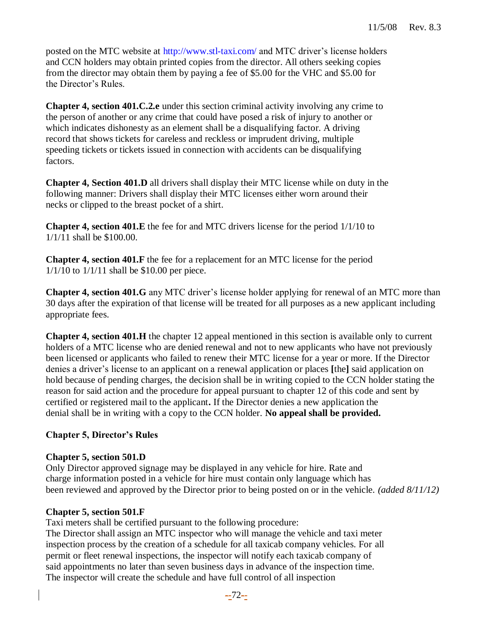posted on the MTC website at http://www.stl-taxi.com/ and MTC driver's license holders and CCN holders may obtain printed copies from the director. All others seeking copies from the director may obtain them by paying a fee of \$5.00 for the VHC and \$5.00 for the Director's Rules.

**Chapter 4, section 401.C.2.e** under this section criminal activity involving any crime to the person of another or any crime that could have posed a risk of injury to another or which indicates dishonesty as an element shall be a disqualifying factor. A driving record that shows tickets for careless and reckless or imprudent driving, multiple speeding tickets or tickets issued in connection with accidents can be disqualifying factors.

**Chapter 4, Section 401.D** all drivers shall display their MTC license while on duty in the following manner: Drivers shall display their MTC licenses either worn around their necks or clipped to the breast pocket of a shirt.

**Chapter 4, section 401.E** the fee for and MTC drivers license for the period 1/1/10 to 1/1/11 shall be \$100.00.

**Chapter 4, section 401.F** the fee for a replacement for an MTC license for the period 1/1/10 to 1/1/11 shall be \$10.00 per piece.

**Chapter 4, section 401.G** any MTC driver's license holder applying for renewal of an MTC more than 30 days after the expiration of that license will be treated for all purposes as a new applicant including appropriate fees.

**Chapter 4, section 401.H** the chapter 12 appeal mentioned in this section is available only to current holders of a MTC license who are denied renewal and not to new applicants who have not previously been licensed or applicants who failed to renew their MTC license for a year or more. If the Director denies a driver's license to an applicant on a renewal application or places **[**the**]** said application on hold because of pending charges, the decision shall be in writing copied to the CCN holder stating the reason for said action and the procedure for appeal pursuant to chapter 12 of this code and sent by certified or registered mail to the applicant**.** If the Director denies a new application the denial shall be in writing with a copy to the CCN holder. **No appeal shall be provided.**

# **Chapter 5, Director's Rules**

# **Chapter 5, section 501.D**

Only Director approved signage may be displayed in any vehicle for hire. Rate and charge information posted in a vehicle for hire must contain only language which has been reviewed and approved by the Director prior to being posted on or in the vehicle. *(added 8/11/12)*

## **Chapter 5, section 501.F**

Taxi meters shall be certified pursuant to the following procedure: The Director shall assign an MTC inspector who will manage the vehicle and taxi meter inspection process by the creation of a schedule for all taxicab company vehicles. For all permit or fleet renewal inspections, the inspector will notify each taxicab company of said appointments no later than seven business days in advance of the inspection time. The inspector will create the schedule and have full control of all inspection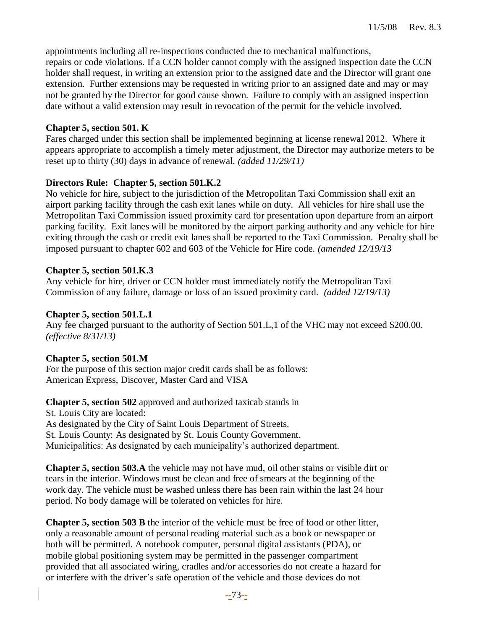appointments including all re-inspections conducted due to mechanical malfunctions, repairs or code violations. If a CCN holder cannot comply with the assigned inspection date the CCN holder shall request, in writing an extension prior to the assigned date and the Director will grant one extension. Further extensions may be requested in writing prior to an assigned date and may or may not be granted by the Director for good cause shown. Failure to comply with an assigned inspection date without a valid extension may result in revocation of the permit for the vehicle involved.

#### **Chapter 5, section 501. K**

Fares charged under this section shall be implemented beginning at license renewal 2012. Where it appears appropriate to accomplish a timely meter adjustment, the Director may authorize meters to be reset up to thirty (30) days in advance of renewal. *(added 11/29/11)*

#### **Directors Rule: Chapter 5, section 501.K.2**

No vehicle for hire, subject to the jurisdiction of the Metropolitan Taxi Commission shall exit an airport parking facility through the cash exit lanes while on duty. All vehicles for hire shall use the Metropolitan Taxi Commission issued proximity card for presentation upon departure from an airport parking facility. Exit lanes will be monitored by the airport parking authority and any vehicle for hire exiting through the cash or credit exit lanes shall be reported to the Taxi Commission. Penalty shall be imposed pursuant to chapter 602 and 603 of the Vehicle for Hire code. *(amended 12/19/13*

#### **Chapter 5, section 501.K.3**

Any vehicle for hire, driver or CCN holder must immediately notify the Metropolitan Taxi Commission of any failure, damage or loss of an issued proximity card. *(added 12/19/13)*

#### **Chapter 5, section 501.L.1**

Any fee charged pursuant to the authority of Section 501.L,1 of the VHC may not exceed \$200.00. *(effective 8/31/13)*

## **Chapter 5, section 501.M**

For the purpose of this section major credit cards shall be as follows: American Express, Discover, Master Card and VISA

**Chapter 5, section 502** approved and authorized taxicab stands in St. Louis City are located: As designated by the City of Saint Louis Department of Streets. St. Louis County: As designated by St. Louis County Government. Municipalities: As designated by each municipality's authorized department.

**Chapter 5, section 503.A** the vehicle may not have mud, oil other stains or visible dirt or tears in the interior. Windows must be clean and free of smears at the beginning of the work day. The vehicle must be washed unless there has been rain within the last 24 hour period. No body damage will be tolerated on vehicles for hire.

**Chapter 5, section 503 B** the interior of the vehicle must be free of food or other litter, only a reasonable amount of personal reading material such as a book or newspaper or both will be permitted. A notebook computer, personal digital assistants (PDA), or mobile global positioning system may be permitted in the passenger compartment provided that all associated wiring, cradles and/or accessories do not create a hazard for or interfere with the driver's safe operation of the vehicle and those devices do not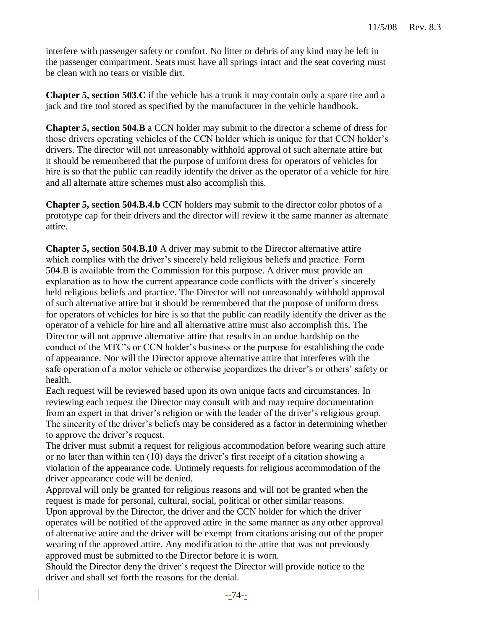interfere with passenger safety or comfort. No litter or debris of any kind may be left in the passenger compartment. Seats must have all springs intact and the seat covering must be clean with no tears or visible dirt.

**Chapter 5, section 503.C** if the vehicle has a trunk it may contain only a spare tire and a jack and tire tool stored as specified by the manufacturer in the vehicle handbook.

**Chapter 5, section 504.B** a CCN holder may submit to the director a scheme of dress for those drivers operating vehicles of the CCN holder which is unique for that CCN holder's drivers. The director will not unreasonably withhold approval of such alternate attire but it should be remembered that the purpose of uniform dress for operators of vehicles for hire is so that the public can readily identify the driver as the operator of a vehicle for hire and all alternate attire schemes must also accomplish this.

**Chapter 5, section 504.B.4.b** CCN holders may submit to the director color photos of a prototype cap for their drivers and the director will review it the same manner as alternate attire.

**Chapter 5, section 504.B.10** A driver may submit to the Director alternative attire which complies with the driver's sincerely held religious beliefs and practice. Form 504.B is available from the Commission for this purpose. A driver must provide an explanation as to how the current appearance code conflicts with the driver's sincerely held religious beliefs and practice. The Director will not unreasonably withhold approval of such alternative attire but it should be remembered that the purpose of uniform dress for operators of vehicles for hire is so that the public can readily identify the driver as the operator of a vehicle for hire and all alternative attire must also accomplish this. The Director will not approve alternative attire that results in an undue hardship on the conduct of the MTC's or CCN holder's business or the purpose for establishing the code of appearance. Nor will the Director approve alternative attire that interferes with the safe operation of a motor vehicle or otherwise jeopardizes the driver's or others' safety or health.

Each request will be reviewed based upon its own unique facts and circumstances. In reviewing each request the Director may consult with and may require documentation from an expert in that driver's religion or with the leader of the driver's religious group. The sincerity of the driver's beliefs may be considered as a factor in determining whether to approve the driver's request.

The driver must submit a request for religious accommodation before wearing such attire or no later than within ten (10) days the driver's first receipt of a citation showing a violation of the appearance code. Untimely requests for religious accommodation of the driver appearance code will be denied.

Approval will only be granted for religious reasons and will not be granted when the request is made for personal, cultural, social, political or other similar reasons.

Upon approval by the Director, the driver and the CCN holder for which the driver operates will be notified of the approved attire in the same manner as any other approval of alternative attire and the driver will be exempt from citations arising out of the proper wearing of the approved attire. Any modification to the attire that was not previously approved must be submitted to the Director before it is worn.

Should the Director deny the driver's request the Director will provide notice to the driver and shall set forth the reasons for the denial.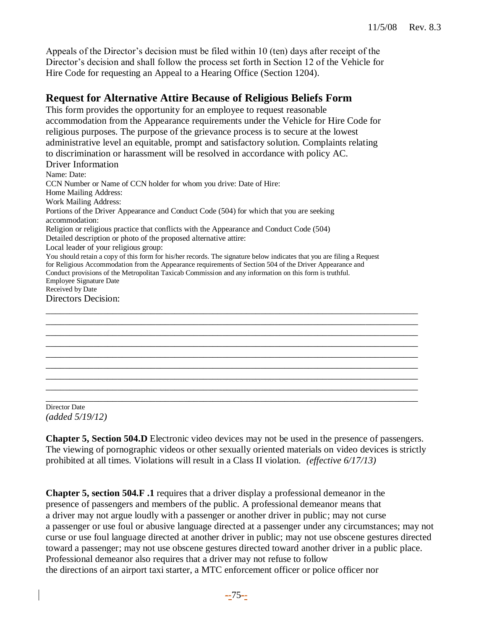Appeals of the Director's decision must be filed within 10 (ten) days after receipt of the Director's decision and shall follow the process set forth in Section 12 of the Vehicle for Hire Code for requesting an Appeal to a Hearing Office (Section 1204).

# **Request for Alternative Attire Because of Religious Beliefs Form**

This form provides the opportunity for an employee to request reasonable accommodation from the Appearance requirements under the Vehicle for Hire Code for religious purposes. The purpose of the grievance process is to secure at the lowest administrative level an equitable, prompt and satisfactory solution. Complaints relating to discrimination or harassment will be resolved in accordance with policy AC. Driver Information Name: Date: CCN Number or Name of CCN holder for whom you drive: Date of Hire: Home Mailing Address: Work Mailing Address: Portions of the Driver Appearance and Conduct Code (504) for which that you are seeking accommodation: Religion or religious practice that conflicts with the Appearance and Conduct Code (504) Detailed description or photo of the proposed alternative attire: Local leader of your religious group: You should retain a copy of this form for his/her records. The signature below indicates that you are filing a Request for Religious Accommodation from the Appearance requirements of Section 504 of the Driver Appearance and Conduct provisions of the Metropolitan Taxicab Commission and any information on this form is truthful. Employee Signature Date Received by Date Directors Decision: \_\_\_\_\_\_\_\_\_\_\_\_\_\_\_\_\_\_\_\_\_\_\_\_\_\_\_\_\_\_\_\_\_\_\_\_\_\_\_\_\_\_\_\_\_\_\_\_\_\_\_\_\_\_\_\_\_\_\_\_\_\_\_\_\_\_\_\_\_\_\_\_\_\_\_\_\_\_ \_\_\_\_\_\_\_\_\_\_\_\_\_\_\_\_\_\_\_\_\_\_\_\_\_\_\_\_\_\_\_\_\_\_\_\_\_\_\_\_\_\_\_\_\_\_\_\_\_\_\_\_\_\_\_\_\_\_\_\_\_\_\_\_\_\_\_\_\_\_\_\_\_\_\_\_\_\_

Director Date *(added 5/19/12)*

**Chapter 5, Section 504.D** Electronic video devices may not be used in the presence of passengers. The viewing of pornographic videos or other sexually oriented materials on video devices is strictly prohibited at all times. Violations will result in a Class II violation. *(effective 6/17/13)*

\_\_\_\_\_\_\_\_\_\_\_\_\_\_\_\_\_\_\_\_\_\_\_\_\_\_\_\_\_\_\_\_\_\_\_\_\_\_\_\_\_\_\_\_\_\_\_\_\_\_\_\_\_\_\_\_\_\_\_\_\_\_\_\_\_\_\_\_\_\_\_\_\_\_\_\_\_\_ \_\_\_\_\_\_\_\_\_\_\_\_\_\_\_\_\_\_\_\_\_\_\_\_\_\_\_\_\_\_\_\_\_\_\_\_\_\_\_\_\_\_\_\_\_\_\_\_\_\_\_\_\_\_\_\_\_\_\_\_\_\_\_\_\_\_\_\_\_\_\_\_\_\_\_\_\_\_ \_\_\_\_\_\_\_\_\_\_\_\_\_\_\_\_\_\_\_\_\_\_\_\_\_\_\_\_\_\_\_\_\_\_\_\_\_\_\_\_\_\_\_\_\_\_\_\_\_\_\_\_\_\_\_\_\_\_\_\_\_\_\_\_\_\_\_\_\_\_\_\_\_\_\_\_\_\_ \_\_\_\_\_\_\_\_\_\_\_\_\_\_\_\_\_\_\_\_\_\_\_\_\_\_\_\_\_\_\_\_\_\_\_\_\_\_\_\_\_\_\_\_\_\_\_\_\_\_\_\_\_\_\_\_\_\_\_\_\_\_\_\_\_\_\_\_\_\_\_\_\_\_\_\_\_\_ \_\_\_\_\_\_\_\_\_\_\_\_\_\_\_\_\_\_\_\_\_\_\_\_\_\_\_\_\_\_\_\_\_\_\_\_\_\_\_\_\_\_\_\_\_\_\_\_\_\_\_\_\_\_\_\_\_\_\_\_\_\_\_\_\_\_\_\_\_\_\_\_\_\_\_\_\_\_ \_\_\_\_\_\_\_\_\_\_\_\_\_\_\_\_\_\_\_\_\_\_\_\_\_\_\_\_\_\_\_\_\_\_\_\_\_\_\_\_\_\_\_\_\_\_\_\_\_\_\_\_\_\_\_\_\_\_\_\_\_\_\_\_\_\_\_\_\_\_\_\_\_\_\_\_\_\_ \_\_\_\_\_\_\_\_\_\_\_\_\_\_\_\_\_\_\_\_\_\_\_\_\_\_\_\_\_\_\_\_\_\_\_\_\_\_\_\_\_\_\_\_\_\_\_\_\_\_\_\_\_\_\_\_\_\_\_\_\_\_\_\_\_\_\_\_\_\_\_\_\_\_\_\_\_\_

**Chapter 5, section 504.F .1** requires that a driver display a professional demeanor in the presence of passengers and members of the public. A professional demeanor means that a driver may not argue loudly with a passenger or another driver in public; may not curse a passenger or use foul or abusive language directed at a passenger under any circumstances; may not curse or use foul language directed at another driver in public; may not use obscene gestures directed toward a passenger; may not use obscene gestures directed toward another driver in a public place. Professional demeanor also requires that a driver may not refuse to follow the directions of an airport taxi starter, a MTC enforcement officer or police officer nor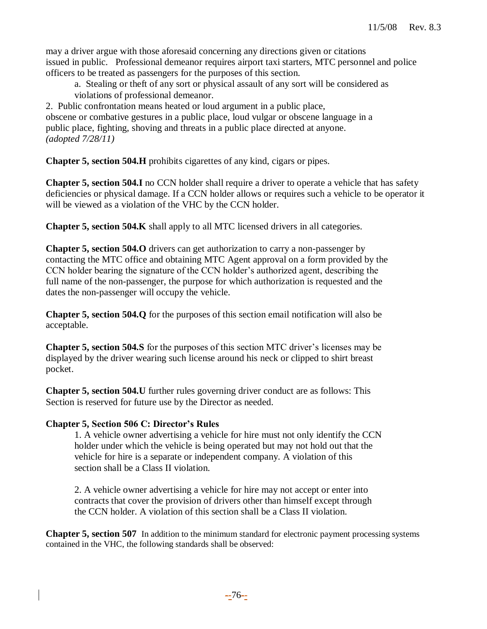may a driver argue with those aforesaid concerning any directions given or citations issued in public. Professional demeanor requires airport taxi starters, MTC personnel and police officers to be treated as passengers for the purposes of this section.

a. Stealing or theft of any sort or physical assault of any sort will be considered as violations of professional demeanor.

2. Public confrontation means heated or loud argument in a public place, obscene or combative gestures in a public place, loud vulgar or obscene language in a public place, fighting, shoving and threats in a public place directed at anyone. *(adopted 7/28/11)*

**Chapter 5, section 504.H** prohibits cigarettes of any kind, cigars or pipes.

**Chapter 5, section 504.I** no CCN holder shall require a driver to operate a vehicle that has safety deficiencies or physical damage. If a CCN holder allows or requires such a vehicle to be operator it will be viewed as a violation of the VHC by the CCN holder.

**Chapter 5, section 504.K** shall apply to all MTC licensed drivers in all categories.

**Chapter 5, section 504.O** drivers can get authorization to carry a non-passenger by contacting the MTC office and obtaining MTC Agent approval on a form provided by the CCN holder bearing the signature of the CCN holder's authorized agent, describing the full name of the non-passenger, the purpose for which authorization is requested and the dates the non-passenger will occupy the vehicle.

**Chapter 5, section 504.Q** for the purposes of this section email notification will also be acceptable.

**Chapter 5, section 504.S** for the purposes of this section MTC driver's licenses may be displayed by the driver wearing such license around his neck or clipped to shirt breast pocket.

**Chapter 5, section 504.U** further rules governing driver conduct are as follows: This Section is reserved for future use by the Director as needed.

## **Chapter 5, Section 506 C: Director's Rules**

1. A vehicle owner advertising a vehicle for hire must not only identify the CCN holder under which the vehicle is being operated but may not hold out that the vehicle for hire is a separate or independent company. A violation of this section shall be a Class II violation.

2. A vehicle owner advertising a vehicle for hire may not accept or enter into contracts that cover the provision of drivers other than himself except through the CCN holder. A violation of this section shall be a Class II violation.

**Chapter 5, section 507** In addition to the minimum standard for electronic payment processing systems contained in the VHC, the following standards shall be observed: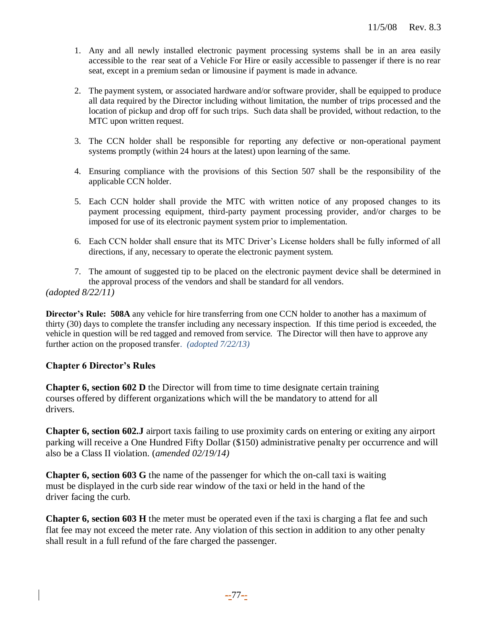- 1. Any and all newly installed electronic payment processing systems shall be in an area easily accessible to the rear seat of a Vehicle For Hire or easily accessible to passenger if there is no rear seat, except in a premium sedan or limousine if payment is made in advance.
- 2. The payment system, or associated hardware and/or software provider, shall be equipped to produce all data required by the Director including without limitation, the number of trips processed and the location of pickup and drop off for such trips. Such data shall be provided, without redaction, to the MTC upon written request.
- 3. The CCN holder shall be responsible for reporting any defective or non-operational payment systems promptly (within 24 hours at the latest) upon learning of the same.
- 4. Ensuring compliance with the provisions of this Section 507 shall be the responsibility of the applicable CCN holder.
- 5. Each CCN holder shall provide the MTC with written notice of any proposed changes to its payment processing equipment, third-party payment processing provider, and/or charges to be imposed for use of its electronic payment system prior to implementation.
- 6. Each CCN holder shall ensure that its MTC Driver's License holders shall be fully informed of all directions, if any, necessary to operate the electronic payment system.
- 7. The amount of suggested tip to be placed on the electronic payment device shall be determined in the approval process of the vendors and shall be standard for all vendors. *(adopted 8/22/11)*

**Director's Rule: 508A** any vehicle for hire transferring from one CCN holder to another has a maximum of thirty (30) days to complete the transfer including any necessary inspection. If this time period is exceeded, the vehicle in question will be red tagged and removed from service. The Director will then have to approve any further action on the proposed transfer. *(adopted 7/22/13)*

## **Chapter 6 Director's Rules**

**Chapter 6, section 602 D** the Director will from time to time designate certain training courses offered by different organizations which will the be mandatory to attend for all drivers.

**Chapter 6, section 602.J** airport taxis failing to use proximity cards on entering or exiting any airport parking will receive a One Hundred Fifty Dollar (\$150) administrative penalty per occurrence and will also be a Class II violation. (*amended 02/19/14)*

**Chapter 6, section 603 G** the name of the passenger for which the on-call taxi is waiting must be displayed in the curb side rear window of the taxi or held in the hand of the driver facing the curb.

**Chapter 6, section 603 H** the meter must be operated even if the taxi is charging a flat fee and such flat fee may not exceed the meter rate. Any violation of this section in addition to any other penalty shall result in a full refund of the fare charged the passenger.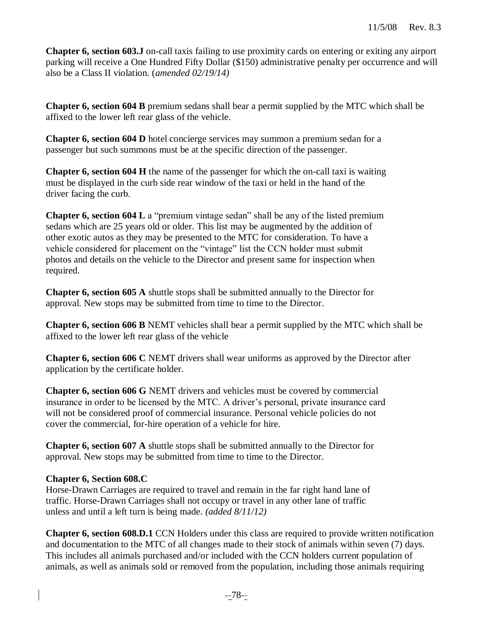**Chapter 6, section 603.J** on-call taxis failing to use proximity cards on entering or exiting any airport parking will receive a One Hundred Fifty Dollar (\$150) administrative penalty per occurrence and will also be a Class II violation. (*amended 02/19/14)*

**Chapter 6, section 604 B** premium sedans shall bear a permit supplied by the MTC which shall be affixed to the lower left rear glass of the vehicle.

**Chapter 6, section 604 D** hotel concierge services may summon a premium sedan for a passenger but such summons must be at the specific direction of the passenger.

**Chapter 6, section 604 H** the name of the passenger for which the on-call taxi is waiting must be displayed in the curb side rear window of the taxi or held in the hand of the driver facing the curb.

**Chapter 6, section 604 L** a "premium vintage sedan" shall be any of the listed premium sedans which are 25 years old or older. This list may be augmented by the addition of other exotic autos as they may be presented to the MTC for consideration. To have a vehicle considered for placement on the "vintage" list the CCN holder must submit photos and details on the vehicle to the Director and present same for inspection when required.

**Chapter 6, section 605 A** shuttle stops shall be submitted annually to the Director for approval. New stops may be submitted from time to time to the Director.

**Chapter 6, section 606 B** NEMT vehicles shall bear a permit supplied by the MTC which shall be affixed to the lower left rear glass of the vehicle

**Chapter 6, section 606 C** NEMT drivers shall wear uniforms as approved by the Director after application by the certificate holder.

**Chapter 6, section 606 G** NEMT drivers and vehicles must be covered by commercial insurance in order to be licensed by the MTC. A driver's personal, private insurance card will not be considered proof of commercial insurance. Personal vehicle policies do not cover the commercial, for-hire operation of a vehicle for hire.

**Chapter 6, section 607 A** shuttle stops shall be submitted annually to the Director for approval. New stops may be submitted from time to time to the Director.

## **Chapter 6, Section 608.C**

Horse-Drawn Carriages are required to travel and remain in the far right hand lane of traffic. Horse-Drawn Carriages shall not occupy or travel in any other lane of traffic unless and until a left turn is being made. *(added 8/11/12)*

**Chapter 6, section 608.D.1** CCN Holders under this class are required to provide written notification and documentation to the MTC of all changes made to their stock of animals within seven (7) days. This includes all animals purchased and/or included with the CCN holders current population of animals, as well as animals sold or removed from the population, including those animals requiring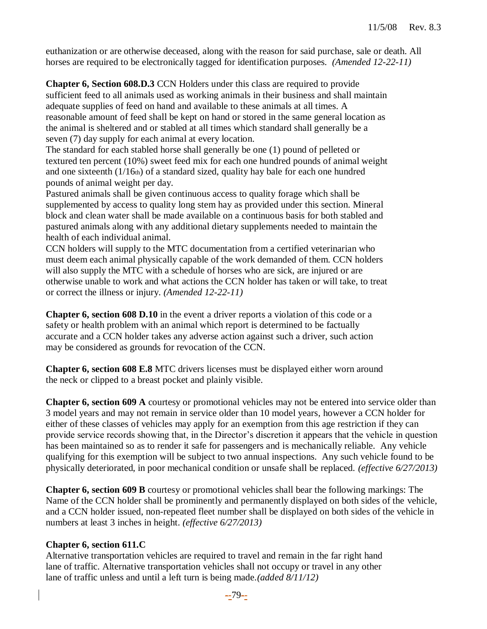euthanization or are otherwise deceased, along with the reason for said purchase, sale or death. All horses are required to be electronically tagged for identification purposes. *(Amended 12-22-11)*

**Chapter 6, Section 608.D.3** CCN Holders under this class are required to provide sufficient feed to all animals used as working animals in their business and shall maintain adequate supplies of feed on hand and available to these animals at all times. A reasonable amount of feed shall be kept on hand or stored in the same general location as the animal is sheltered and or stabled at all times which standard shall generally be a seven (7) day supply for each animal at every location.

The standard for each stabled horse shall generally be one (1) pound of pelleted or textured ten percent (10%) sweet feed mix for each one hundred pounds of animal weight and one sixteenth  $(1/16<sub>th</sub>)$  of a standard sized, quality hay bale for each one hundred pounds of animal weight per day.

Pastured animals shall be given continuous access to quality forage which shall be supplemented by access to quality long stem hay as provided under this section. Mineral block and clean water shall be made available on a continuous basis for both stabled and pastured animals along with any additional dietary supplements needed to maintain the health of each individual animal.

CCN holders will supply to the MTC documentation from a certified veterinarian who must deem each animal physically capable of the work demanded of them. CCN holders will also supply the MTC with a schedule of horses who are sick, are injured or are otherwise unable to work and what actions the CCN holder has taken or will take, to treat or correct the illness or injury. *(Amended 12-22-11)*

**Chapter 6, section 608 D.10** in the event a driver reports a violation of this code or a safety or health problem with an animal which report is determined to be factually accurate and a CCN holder takes any adverse action against such a driver, such action may be considered as grounds for revocation of the CCN.

**Chapter 6, section 608 E.8** MTC drivers licenses must be displayed either worn around the neck or clipped to a breast pocket and plainly visible.

**Chapter 6, section 609 A** courtesy or promotional vehicles may not be entered into service older than 3 model years and may not remain in service older than 10 model years, however a CCN holder for either of these classes of vehicles may apply for an exemption from this age restriction if they can provide service records showing that, in the Director's discretion it appears that the vehicle in question has been maintained so as to render it safe for passengers and is mechanically reliable. Any vehicle qualifying for this exemption will be subject to two annual inspections. Any such vehicle found to be physically deteriorated, in poor mechanical condition or unsafe shall be replaced. *(effective 6/27/2013)*

**Chapter 6, section 609 B** courtesy or promotional vehicles shall bear the following markings: The Name of the CCN holder shall be prominently and permanently displayed on both sides of the vehicle, and a CCN holder issued, non-repeated fleet number shall be displayed on both sides of the vehicle in numbers at least 3 inches in height. *(effective 6/27/2013)*

#### **Chapter 6, section 611.C**

Alternative transportation vehicles are required to travel and remain in the far right hand lane of traffic. Alternative transportation vehicles shall not occupy or travel in any other lane of traffic unless and until a left turn is being made.*(added 8/11/12)*

**--**79**--**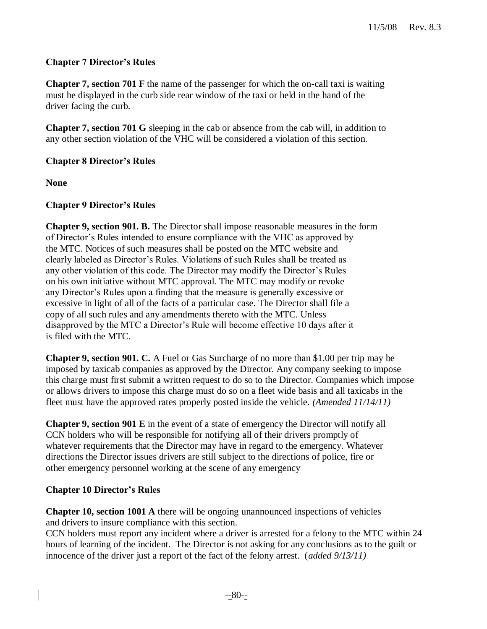# **Chapter 7 Director's Rules**

**Chapter 7, section 701 F** the name of the passenger for which the on-call taxi is waiting must be displayed in the curb side rear window of the taxi or held in the hand of the driver facing the curb.

**Chapter 7, section 701 G** sleeping in the cab or absence from the cab will, in addition to any other section violation of the VHC will be considered a violation of this section.

# **Chapter 8 Director's Rules**

**None**

## **Chapter 9 Director's Rules**

**Chapter 9, section 901. B.** The Director shall impose reasonable measures in the form of Director's Rules intended to ensure compliance with the VHC as approved by the MTC. Notices of such measures shall be posted on the MTC website and clearly labeled as Director's Rules. Violations of such Rules shall be treated as any other violation of this code. The Director may modify the Director's Rules on his own initiative without MTC approval. The MTC may modify or revoke any Director's Rules upon a finding that the measure is generally excessive or excessive in light of all of the facts of a particular case. The Director shall file a copy of all such rules and any amendments thereto with the MTC. Unless disapproved by the MTC a Director's Rule will become effective 10 days after it is filed with the MTC.

**Chapter 9, section 901. C.** A Fuel or Gas Surcharge of no more than \$1.00 per trip may be imposed by taxicab companies as approved by the Director. Any company seeking to impose this charge must first submit a written request to do so to the Director. Companies which impose or allows drivers to impose this charge must do so on a fleet wide basis and all taxicabs in the fleet must have the approved rates properly posted inside the vehicle. *(Amended 11/14/11)*

**Chapter 9, section 901 E** in the event of a state of emergency the Director will notify all CCN holders who will be responsible for notifying all of their drivers promptly of whatever requirements that the Director may have in regard to the emergency. Whatever directions the Director issues drivers are still subject to the directions of police, fire or other emergency personnel working at the scene of any emergency

## **Chapter 10 Director's Rules**

**Chapter 10, section 1001 A** there will be ongoing unannounced inspections of vehicles and drivers to insure compliance with this section.

CCN holders must report any incident where a driver is arrested for a felony to the MTC within 24 hours of learning of the incident. The Director is not asking for any conclusions as to the guilt or innocence of the driver just a report of the fact of the felony arrest. (*added 9/13/11)*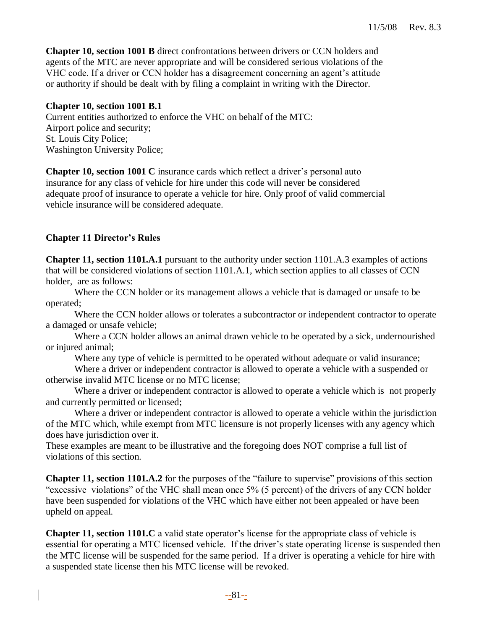**Chapter 10, section 1001 B** direct confrontations between drivers or CCN holders and agents of the MTC are never appropriate and will be considered serious violations of the VHC code. If a driver or CCN holder has a disagreement concerning an agent's attitude or authority if should be dealt with by filing a complaint in writing with the Director.

#### **Chapter 10, section 1001 B.1**

Current entities authorized to enforce the VHC on behalf of the MTC: Airport police and security; St. Louis City Police; Washington University Police;

**Chapter 10, section 1001 C** insurance cards which reflect a driver's personal auto insurance for any class of vehicle for hire under this code will never be considered adequate proof of insurance to operate a vehicle for hire. Only proof of valid commercial vehicle insurance will be considered adequate.

# **Chapter 11 Director's Rules**

**Chapter 11, section 1101.A.1** pursuant to the authority under section 1101.A.3 examples of actions that will be considered violations of section 1101.A.1, which section applies to all classes of CCN holder, are as follows:

Where the CCN holder or its management allows a vehicle that is damaged or unsafe to be operated;

Where the CCN holder allows or tolerates a subcontractor or independent contractor to operate a damaged or unsafe vehicle;

Where a CCN holder allows an animal drawn vehicle to be operated by a sick, undernourished or injured animal;

Where any type of vehicle is permitted to be operated without adequate or valid insurance;

Where a driver or independent contractor is allowed to operate a vehicle with a suspended or otherwise invalid MTC license or no MTC license;

Where a driver or independent contractor is allowed to operate a vehicle which is not properly and currently permitted or licensed;

Where a driver or independent contractor is allowed to operate a vehicle within the jurisdiction of the MTC which, while exempt from MTC licensure is not properly licenses with any agency which does have jurisdiction over it.

These examples are meant to be illustrative and the foregoing does NOT comprise a full list of violations of this section.

**Chapter 11, section 1101.A.2** for the purposes of the "failure to supervise" provisions of this section "excessive violations" of the VHC shall mean once 5% (5 percent) of the drivers of any CCN holder have been suspended for violations of the VHC which have either not been appealed or have been upheld on appeal.

**Chapter 11, section 1101.C** a valid state operator's license for the appropriate class of vehicle is essential for operating a MTC licensed vehicle. If the driver's state operating license is suspended then the MTC license will be suspended for the same period. If a driver is operating a vehicle for hire with a suspended state license then his MTC license will be revoked.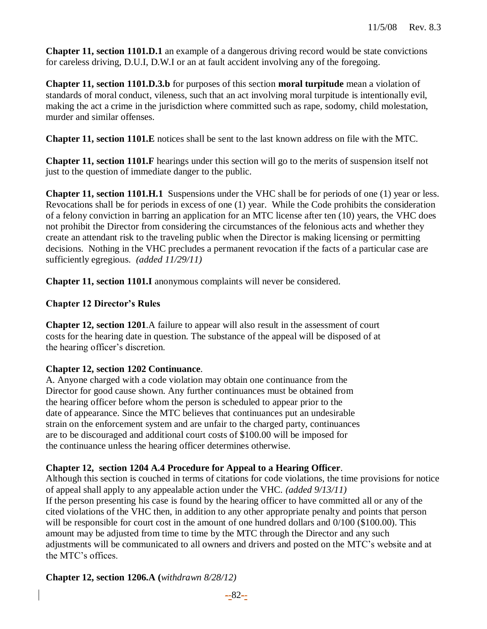**Chapter 11, section 1101.D.1** an example of a dangerous driving record would be state convictions for careless driving, D.U.I, D.W.I or an at fault accident involving any of the foregoing.

**Chapter 11, section 1101.D.3.b** for purposes of this section **moral turpitude** mean a violation of standards of moral conduct, vileness, such that an act involving moral turpitude is intentionally evil, making the act a crime in the jurisdiction where committed such as rape, sodomy, child molestation, murder and similar offenses.

**Chapter 11, section 1101.E** notices shall be sent to the last known address on file with the MTC.

**Chapter 11, section 1101.F** hearings under this section will go to the merits of suspension itself not just to the question of immediate danger to the public.

**Chapter 11, section 1101.H.1** Suspensions under the VHC shall be for periods of one (1) year or less. Revocations shall be for periods in excess of one (1) year. While the Code prohibits the consideration of a felony conviction in barring an application for an MTC license after ten (10) years, the VHC does not prohibit the Director from considering the circumstances of the felonious acts and whether they create an attendant risk to the traveling public when the Director is making licensing or permitting decisions. Nothing in the VHC precludes a permanent revocation if the facts of a particular case are sufficiently egregious. *(added 11/29/11)*

**Chapter 11, section 1101.I** anonymous complaints will never be considered.

## **Chapter 12 Director's Rules**

**Chapter 12, section 1201**.A failure to appear will also result in the assessment of court costs for the hearing date in question. The substance of the appeal will be disposed of at the hearing officer's discretion.

## **Chapter 12, section 1202 Continuance**.

A. Anyone charged with a code violation may obtain one continuance from the Director for good cause shown. Any further continuances must be obtained from the hearing officer before whom the person is scheduled to appear prior to the date of appearance. Since the MTC believes that continuances put an undesirable strain on the enforcement system and are unfair to the charged party, continuances are to be discouraged and additional court costs of \$100.00 will be imposed for the continuance unless the hearing officer determines otherwise.

## **Chapter 12, section 1204 A.4 Procedure for Appeal to a Hearing Officer**.

Although this section is couched in terms of citations for code violations, the time provisions for notice of appeal shall apply to any appealable action under the VHC. *(added 9/13/11)* If the person presenting his case is found by the hearing officer to have committed all or any of the cited violations of the VHC then, in addition to any other appropriate penalty and points that person will be responsible for court cost in the amount of one hundred dollars and  $0/100$  (\$100.00). This amount may be adjusted from time to time by the MTC through the Director and any such adjustments will be communicated to all owners and drivers and posted on the MTC's website and at the MTC's offices.

## **Chapter 12, section 1206.A (***withdrawn 8/28/12)*